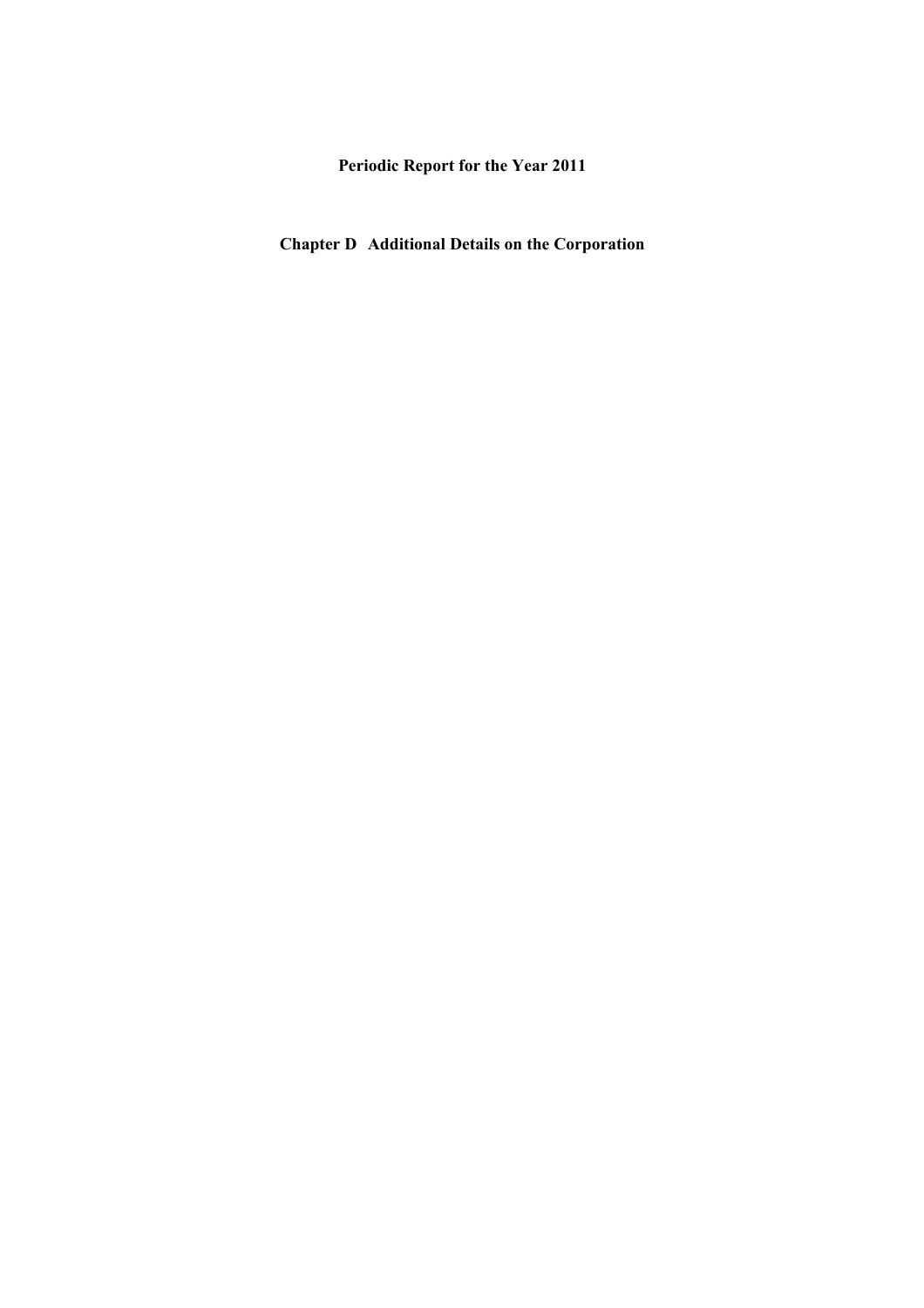**Periodic Report for the Year 2011** 

**Chapter D Additional Details on the Corporation**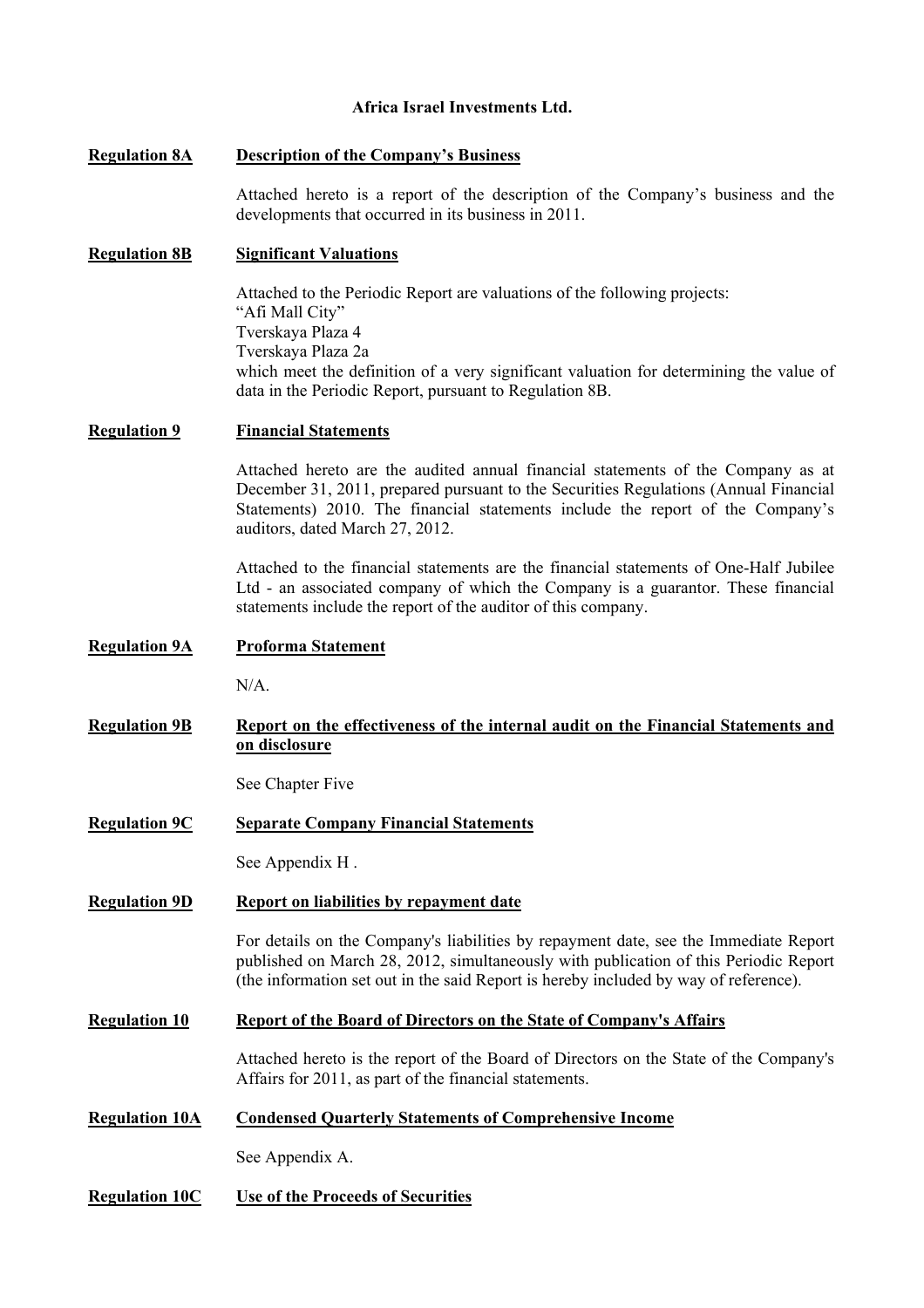## **Africa Israel Investments Ltd.**

## **Regulation 8A Description of the Company's Business**

Attached hereto is a report of the description of the Company's business and the developments that occurred in its business in 2011.

## **Regulation 8B Significant Valuations**

Attached to the Periodic Report are valuations of the following projects: "Afi Mall City" Tverskaya Plaza 4 Tverskaya Plaza 2a which meet the definition of a very significant valuation for determining the value of data in the Periodic Report, pursuant to Regulation 8B.

## **Regulation 9 Financial Statements**

Attached hereto are the audited annual financial statements of the Company as at December 31, 2011, prepared pursuant to the Securities Regulations (Annual Financial Statements) 2010. The financial statements include the report of the Company's auditors, dated March 27, 2012.

Attached to the financial statements are the financial statements of One-Half Jubilee Ltd - an associated company of which the Company is a guarantor. These financial statements include the report of the auditor of this company.

#### **Regulation 9A Proforma Statement**

 $N/A$ .

## **Regulation 9B Report on the effectiveness of the internal audit on the Financial Statements and on disclosure**

See Chapter Five

**Regulation 9C Separate Company Financial Statements** 

See Appendix H .

## **Regulation 9D Report on liabilities by repayment date**

For details on the Company's liabilities by repayment date, see the Immediate Report published on March 28, 2012, simultaneously with publication of this Periodic Report (the information set out in the said Report is hereby included by way of reference).

## **Regulation 10 Report of the Board of Directors on the State of Company's Affairs**

Attached hereto is the report of the Board of Directors on the State of the Company's Affairs for 2011, as part of the financial statements.

#### **Regulation 10A Condensed Quarterly Statements of Comprehensive Income**

See Appendix A.

## **Regulation 10C Use of the Proceeds of Securities**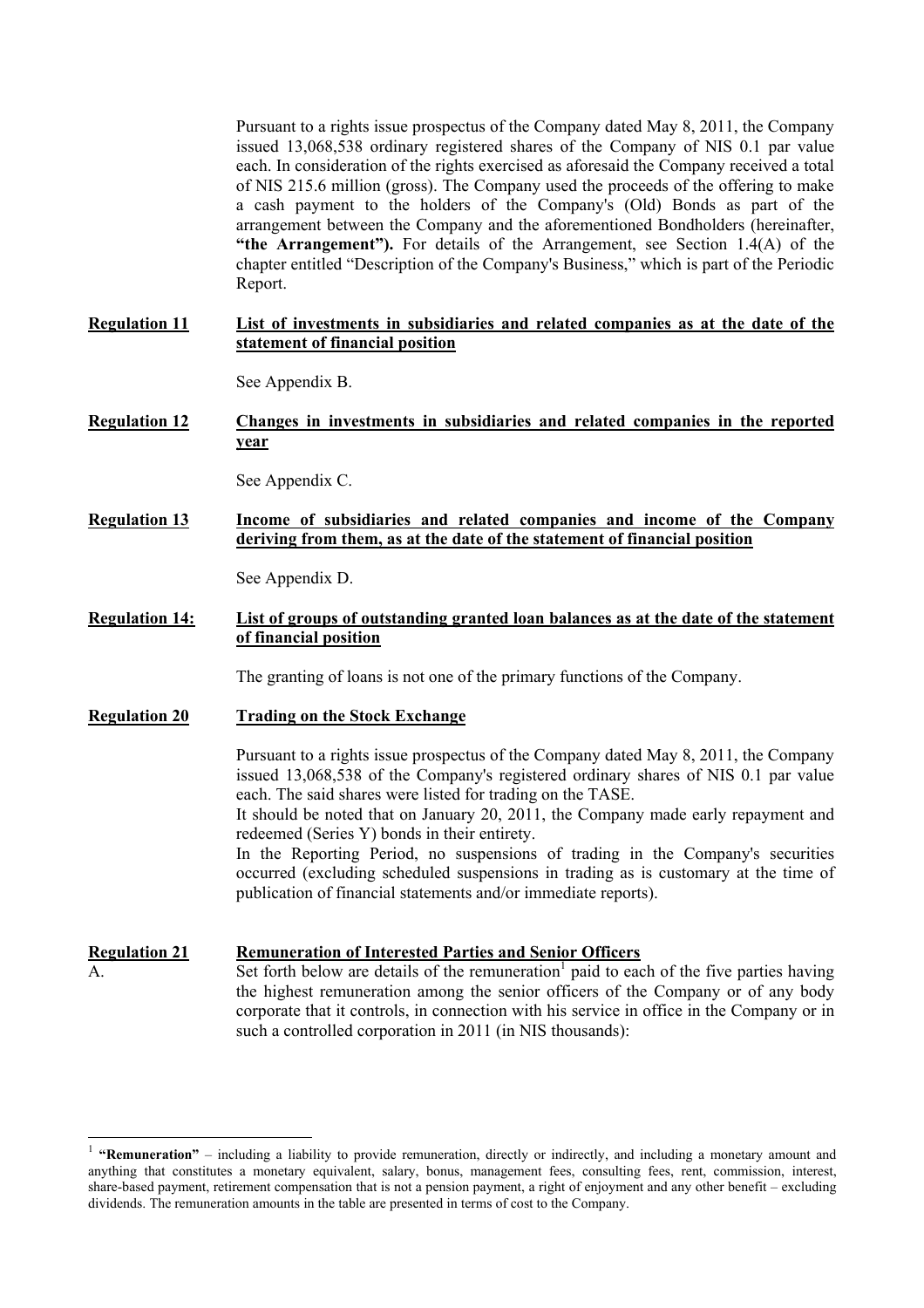Pursuant to a rights issue prospectus of the Company dated May 8, 2011, the Company issued 13,068,538 ordinary registered shares of the Company of NIS 0.1 par value each. In consideration of the rights exercised as aforesaid the Company received a total of NIS 215.6 million (gross). The Company used the proceeds of the offering to make a cash payment to the holders of the Company's (Old) Bonds as part of the arrangement between the Company and the aforementioned Bondholders (hereinafter, **"the Arrangement").** For details of the Arrangement, see Section 1.4(A) of the chapter entitled "Description of the Company's Business," which is part of the Periodic Report.

## **Regulation 11 List of investments in subsidiaries and related companies as at the date of the statement of financial position**

See Appendix B.

**Regulation 12 Changes in investments in subsidiaries and related companies in the reported year** 

See Appendix C.

**Regulation 13 Income of subsidiaries and related companies and income of the Company deriving from them, as at the date of the statement of financial position** 

See Appendix D.

**Regulation 14: List of groups of outstanding granted loan balances as at the date of the statement of financial position** 

The granting of loans is not one of the primary functions of the Company.

#### **Regulation 20 Trading on the Stock Exchange**

 $\overline{a}$ 

Pursuant to a rights issue prospectus of the Company dated May 8, 2011, the Company issued 13,068,538 of the Company's registered ordinary shares of NIS 0.1 par value each. The said shares were listed for trading on the TASE.

It should be noted that on January 20, 2011, the Company made early repayment and redeemed (Series Y) bonds in their entirety.

In the Reporting Period, no suspensions of trading in the Company's securities occurred (excluding scheduled suspensions in trading as is customary at the time of publication of financial statements and/or immediate reports).

**Regulation 21 Remuneration of Interested Parties and Senior Officers** 

 $\overline{A}$ . Set forth below are details of the remuneration<sup>1</sup> paid to each of the five parties having the highest remuneration among the senior officers of the Company or of any body corporate that it controls, in connection with his service in office in the Company or in such a controlled corporation in 2011 (in NIS thousands):

<sup>&</sup>lt;sup>1</sup> "Remuneration" – including a liability to provide remuneration, directly or indirectly, and including a monetary amount and anything that constitutes a monetary equivalent, salary, bonus, management fees, consulting fees, rent, commission, interest, share-based payment, retirement compensation that is not a pension payment, a right of enjoyment and any other benefit – excluding dividends. The remuneration amounts in the table are presented in terms of cost to the Company.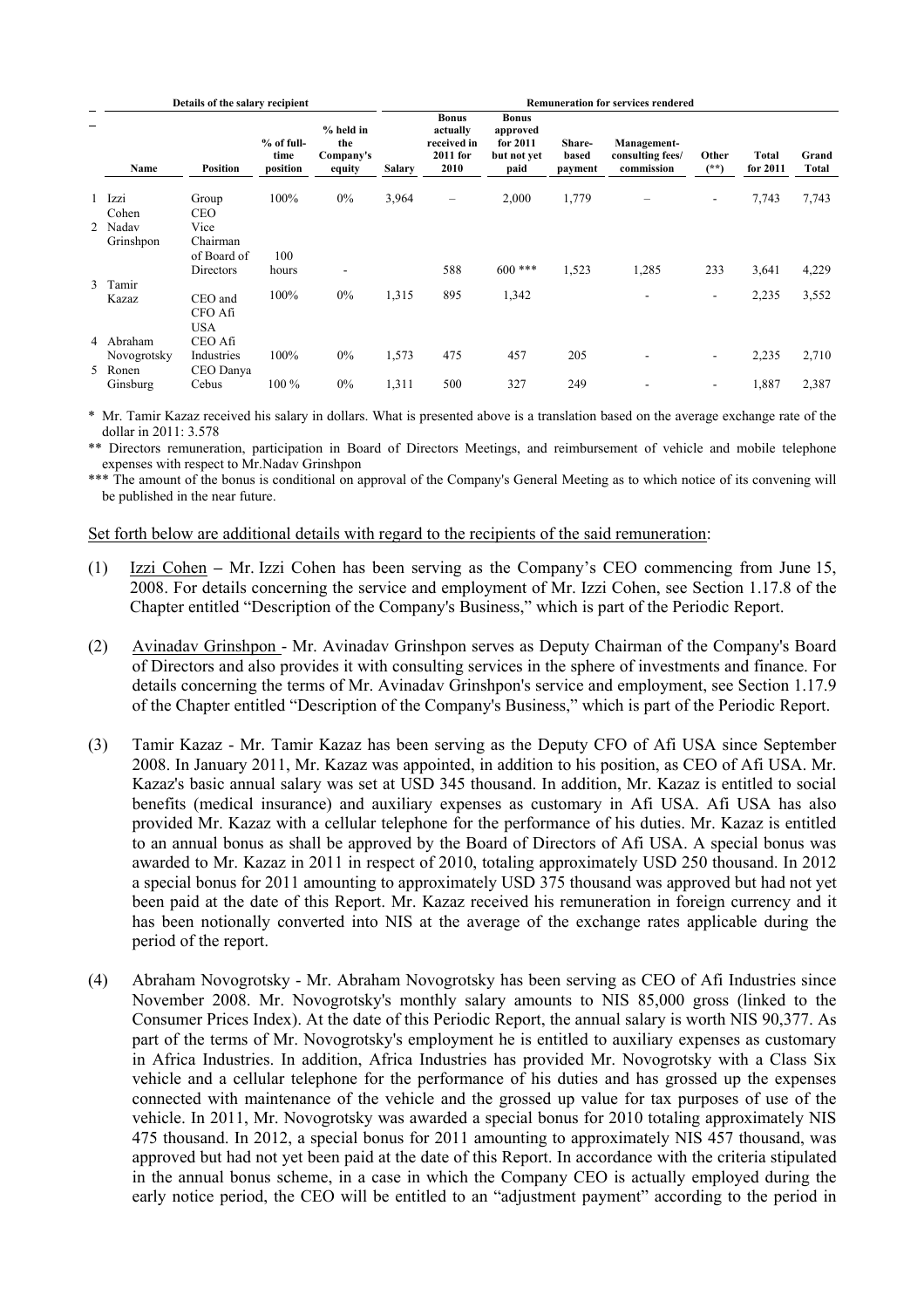|   |                          | Details of the salary recipient  |                                  |                                         |               | <b>Remuneration for services rendered</b>                   |                                                             |                            |                                               |                          |                   |                |  |  |  |
|---|--------------------------|----------------------------------|----------------------------------|-----------------------------------------|---------------|-------------------------------------------------------------|-------------------------------------------------------------|----------------------------|-----------------------------------------------|--------------------------|-------------------|----------------|--|--|--|
| - | Name                     | <b>Position</b>                  | $%$ of full-<br>time<br>position | % held in<br>the<br>Company's<br>equity | <b>Salary</b> | <b>Bonus</b><br>actually<br>received in<br>2011 for<br>2010 | <b>Bonus</b><br>approved<br>for 2011<br>but not vet<br>paid | Share-<br>based<br>payment | Management-<br>consulting fees/<br>commission | Other<br>$(**)$          | Total<br>for 2011 | Grand<br>Total |  |  |  |
|   | 1 Izzi<br>Cohen          | Group<br><b>CEO</b>              | 100%                             | $0\%$                                   | 3,964         | -                                                           | 2,000                                                       | 1,779                      |                                               | ٠                        | 7,743             | 7,743          |  |  |  |
|   | 2 Nadav<br>Grinshpon     | Vice<br>Chairman                 |                                  |                                         |               |                                                             |                                                             |                            |                                               |                          |                   |                |  |  |  |
|   |                          | of Board of<br>Directors         | 100<br>hours                     | $\overline{\phantom{a}}$                |               | 588                                                         | $600$ ***                                                   | 1,523                      | 1,285                                         | 233                      | 3,641             | 4,229          |  |  |  |
|   | 3 Tamir<br>Kazaz         | CEO and<br>CFO Afi<br><b>USA</b> | 100%                             | $0\%$                                   | 1,315         | 895                                                         | 1,342                                                       |                            |                                               | $\overline{\phantom{a}}$ | 2,235             | 3,552          |  |  |  |
|   | 4 Abraham<br>Novogrotsky | CEO Afi<br>Industries            | 100%                             | $0\%$                                   | 1,573         | 475                                                         | 457                                                         | 205                        |                                               | $\overline{\phantom{a}}$ | 2,235             | 2,710          |  |  |  |
|   | 5 Ronen                  | CEO Danya                        |                                  |                                         |               |                                                             |                                                             |                            |                                               |                          |                   |                |  |  |  |
|   | Ginsburg                 | Cebus                            | 100 %                            | $0\%$                                   | 1,311         | 500                                                         | 327                                                         | 249                        |                                               | -                        | 1,887             | 2,387          |  |  |  |

\* Mr. Tamir Kazaz received his salary in dollars. What is presented above is a translation based on the average exchange rate of the dollar in 2011: 3.578

\*\* Directors remuneration, participation in Board of Directors Meetings, and reimbursement of vehicle and mobile telephone expenses with respect to Mr.Nadav Grinshpon

\*\*\* The amount of the bonus is conditional on approval of the Company's General Meeting as to which notice of its convening will be published in the near future.

#### Set forth below are additional details with regard to the recipients of the said remuneration:

- (1) Izzi CohenMr. Izzi Cohen has been serving as the Company's CEO commencing from June 15, 2008. For details concerning the service and employment of Mr. Izzi Cohen, see Section 1.17.8 of the Chapter entitled "Description of the Company's Business," which is part of the Periodic Report.
- (2) Avinadav Grinshpon Mr. Avinadav Grinshpon serves as Deputy Chairman of the Company's Board of Directors and also provides it with consulting services in the sphere of investments and finance. For details concerning the terms of Mr. Avinadav Grinshpon's service and employment, see Section 1.17.9 of the Chapter entitled "Description of the Company's Business," which is part of the Periodic Report.
- (3) Tamir Kazaz Mr. Tamir Kazaz has been serving as the Deputy CFO of Afi USA since September 2008. In January 2011, Mr. Kazaz was appointed, in addition to his position, as CEO of Afi USA. Mr. Kazaz's basic annual salary was set at USD 345 thousand. In addition, Mr. Kazaz is entitled to social benefits (medical insurance) and auxiliary expenses as customary in Afi USA. Afi USA has also provided Mr. Kazaz with a cellular telephone for the performance of his duties. Mr. Kazaz is entitled to an annual bonus as shall be approved by the Board of Directors of Afi USA. A special bonus was awarded to Mr. Kazaz in 2011 in respect of 2010, totaling approximately USD 250 thousand. In 2012 a special bonus for 2011 amounting to approximately USD 375 thousand was approved but had not yet been paid at the date of this Report. Mr. Kazaz received his remuneration in foreign currency and it has been notionally converted into NIS at the average of the exchange rates applicable during the period of the report.
- (4) Abraham Novogrotsky Mr. Abraham Novogrotsky has been serving as CEO of Afi Industries since November 2008. Mr. Novogrotsky's monthly salary amounts to NIS 85,000 gross (linked to the Consumer Prices Index). At the date of this Periodic Report, the annual salary is worth NIS 90,377. As part of the terms of Mr. Novogrotsky's employment he is entitled to auxiliary expenses as customary in Africa Industries. In addition, Africa Industries has provided Mr. Novogrotsky with a Class Six vehicle and a cellular telephone for the performance of his duties and has grossed up the expenses connected with maintenance of the vehicle and the grossed up value for tax purposes of use of the vehicle. In 2011, Mr. Novogrotsky was awarded a special bonus for 2010 totaling approximately NIS 475 thousand. In 2012, a special bonus for 2011 amounting to approximately NIS 457 thousand, was approved but had not yet been paid at the date of this Report. In accordance with the criteria stipulated in the annual bonus scheme, in a case in which the Company CEO is actually employed during the early notice period, the CEO will be entitled to an "adjustment payment" according to the period in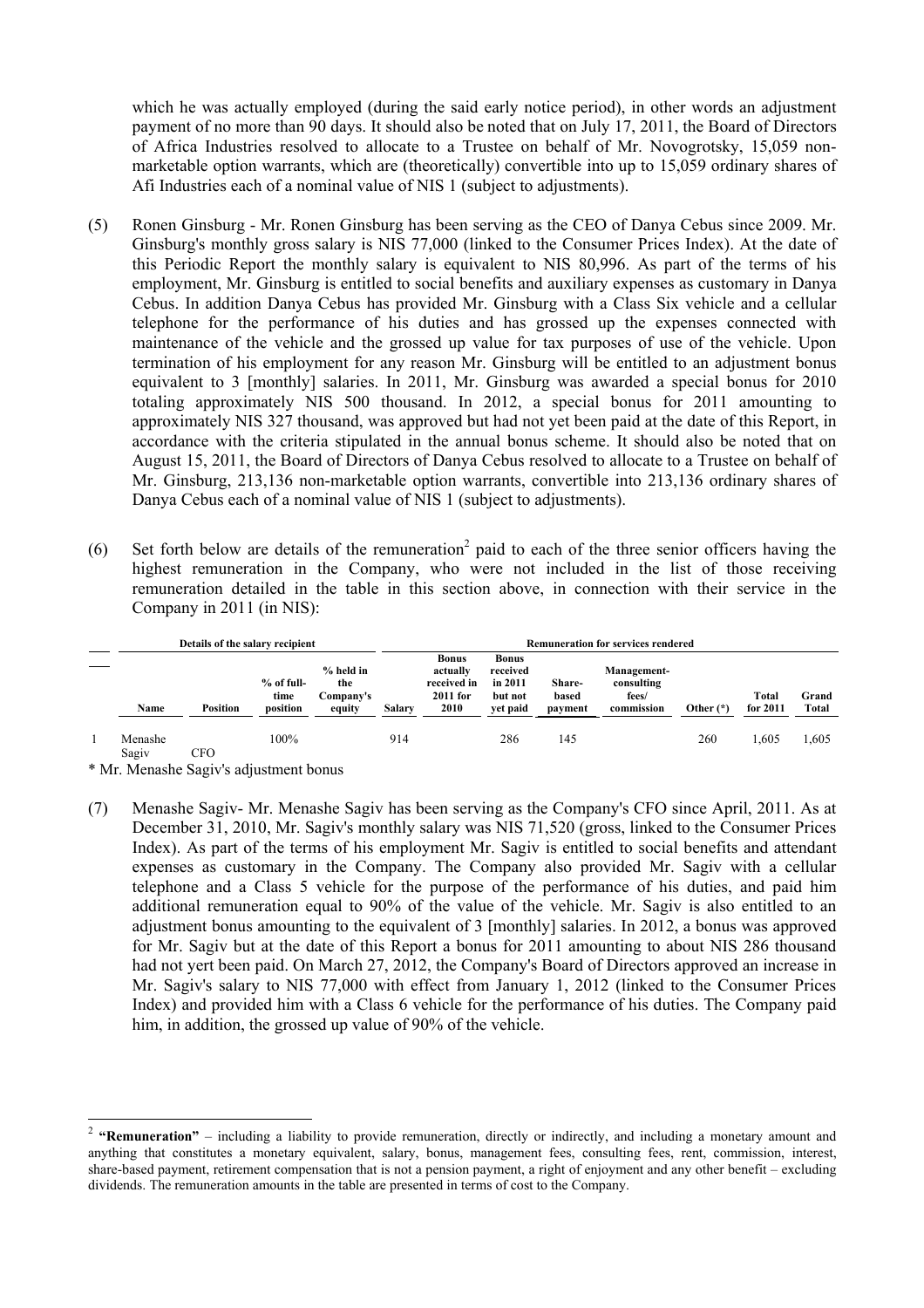which he was actually employed (during the said early notice period), in other words an adjustment payment of no more than 90 days. It should also be noted that on July 17, 2011, the Board of Directors of Africa Industries resolved to allocate to a Trustee on behalf of Mr. Novogrotsky, 15,059 nonmarketable option warrants, which are (theoretically) convertible into up to 15,059 ordinary shares of Afi Industries each of a nominal value of NIS 1 (subject to adjustments).

- (5) Ronen Ginsburg Mr. Ronen Ginsburg has been serving as the CEO of Danya Cebus since 2009. Mr. Ginsburg's monthly gross salary is NIS 77,000 (linked to the Consumer Prices Index). At the date of this Periodic Report the monthly salary is equivalent to NIS 80,996. As part of the terms of his employment, Mr. Ginsburg is entitled to social benefits and auxiliary expenses as customary in Danya Cebus. In addition Danya Cebus has provided Mr. Ginsburg with a Class Six vehicle and a cellular telephone for the performance of his duties and has grossed up the expenses connected with maintenance of the vehicle and the grossed up value for tax purposes of use of the vehicle. Upon termination of his employment for any reason Mr. Ginsburg will be entitled to an adjustment bonus equivalent to 3 [monthly] salaries. In 2011, Mr. Ginsburg was awarded a special bonus for 2010 totaling approximately NIS 500 thousand. In 2012, a special bonus for 2011 amounting to approximately NIS 327 thousand, was approved but had not yet been paid at the date of this Report, in accordance with the criteria stipulated in the annual bonus scheme. It should also be noted that on August 15, 2011, the Board of Directors of Danya Cebus resolved to allocate to a Trustee on behalf of Mr. Ginsburg, 213,136 non-marketable option warrants, convertible into 213,136 ordinary shares of Danya Cebus each of a nominal value of NIS 1 (subject to adjustments).
- (6) Set forth below are details of the remuneration<sup>2</sup> paid to each of the three senior officers having the highest remuneration in the Company, who were not included in the list of those receiving remuneration detailed in the table in this section above, in connection with their service in the Company in 2011 (in NIS):

|                  | Details of the salary recipient |                                |                                           | <b>Remuneration for services rendered</b> |                                                               |                                                            |                            |                                                  |             |                   |                |  |  |
|------------------|---------------------------------|--------------------------------|-------------------------------------------|-------------------------------------------|---------------------------------------------------------------|------------------------------------------------------------|----------------------------|--------------------------------------------------|-------------|-------------------|----------------|--|--|
| Name             | <b>Position</b>                 | % of full-<br>time<br>position | $%$ held in<br>the<br>Company's<br>equity | <b>Salary</b>                             | <b>Bonus</b><br>actually<br>received in<br>$2011$ for<br>2010 | <b>Bonus</b><br>received<br>in 2011<br>but not<br>yet paid | Share-<br>based<br>payment | Management-<br>consulting<br>fees/<br>commission | Other $(*)$ | Total<br>for 2011 | Grand<br>Total |  |  |
| Menashe<br>Sagiv | CFO.                            | 100%                           |                                           | 914                                       |                                                               | 286                                                        | 145                        |                                                  | 260         | .605              | 1,605          |  |  |

\* Mr. Menashe Sagiv's adjustment bonus

l

(7) Menashe Sagiv- Mr. Menashe Sagiv has been serving as the Company's CFO since April, 2011. As at December 31, 2010, Mr. Sagiv's monthly salary was NIS 71,520 (gross, linked to the Consumer Prices Index). As part of the terms of his employment Mr. Sagiv is entitled to social benefits and attendant expenses as customary in the Company. The Company also provided Mr. Sagiv with a cellular telephone and a Class 5 vehicle for the purpose of the performance of his duties, and paid him additional remuneration equal to 90% of the value of the vehicle. Mr. Sagiv is also entitled to an adjustment bonus amounting to the equivalent of 3 [monthly] salaries. In 2012, a bonus was approved for Mr. Sagiv but at the date of this Report a bonus for 2011 amounting to about NIS 286 thousand had not yert been paid. On March 27, 2012, the Company's Board of Directors approved an increase in Mr. Sagiv's salary to NIS 77,000 with effect from January 1, 2012 (linked to the Consumer Prices Index) and provided him with a Class 6 vehicle for the performance of his duties. The Company paid him, in addition, the grossed up value of 90% of the vehicle.

<sup>&</sup>lt;sup>2</sup> **"Remuneration"** – including a liability to provide remuneration, directly or indirectly, and including a monetary amount and anything that constitutes a monetary equivalent, salary, bonus, management fees, consulting fees, rent, commission, interest, share-based payment, retirement compensation that is not a pension payment, a right of enjoyment and any other benefit – excluding dividends. The remuneration amounts in the table are presented in terms of cost to the Company.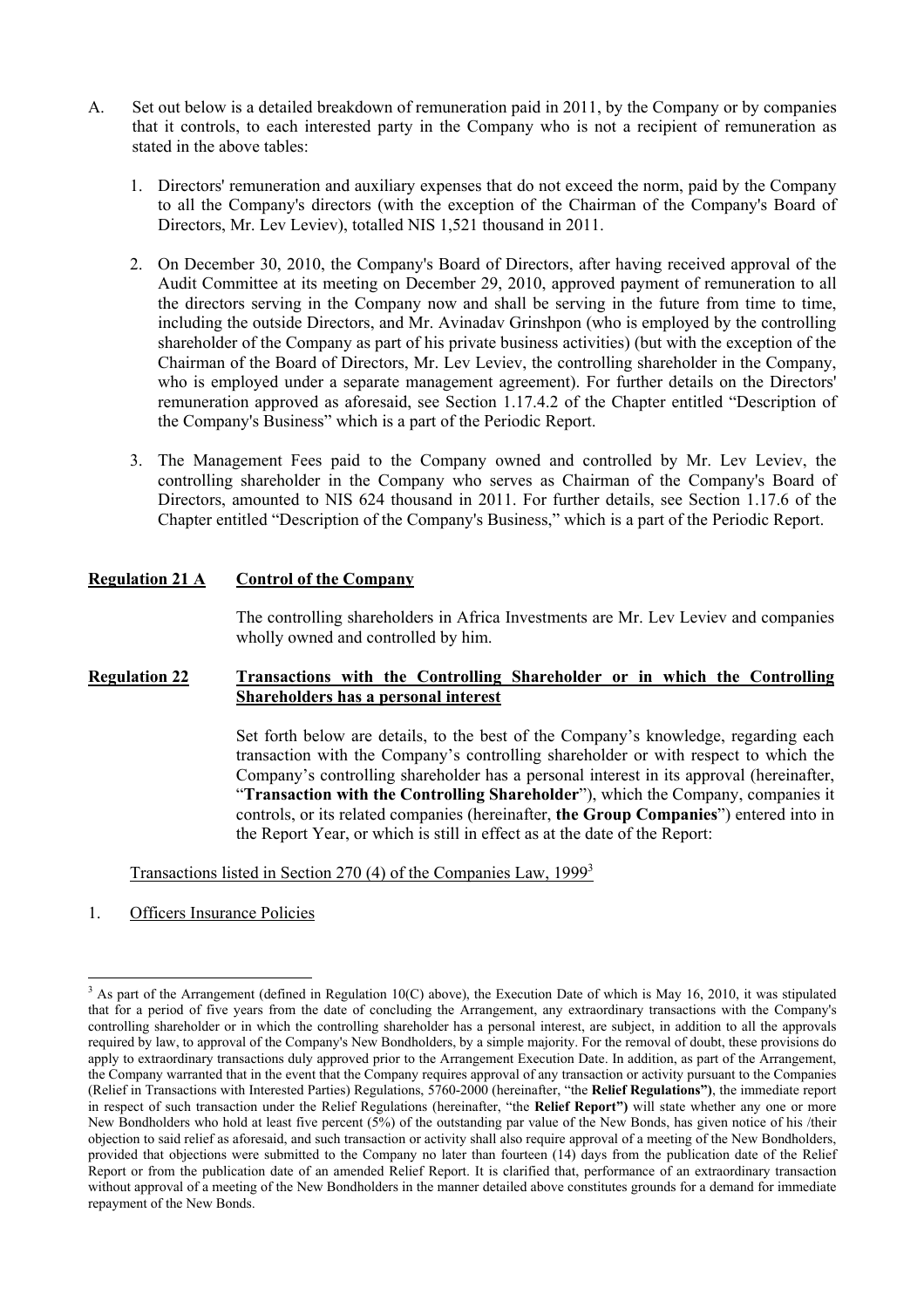- A. Set out below is a detailed breakdown of remuneration paid in 2011, by the Company or by companies that it controls, to each interested party in the Company who is not a recipient of remuneration as stated in the above tables:
	- 1. Directors' remuneration and auxiliary expenses that do not exceed the norm, paid by the Company to all the Company's directors (with the exception of the Chairman of the Company's Board of Directors, Mr. Lev Leviev), totalled NIS 1,521 thousand in 2011.
	- 2. On December 30, 2010, the Company's Board of Directors, after having received approval of the Audit Committee at its meeting on December 29, 2010, approved payment of remuneration to all the directors serving in the Company now and shall be serving in the future from time to time, including the outside Directors, and Mr. Avinadav Grinshpon (who is employed by the controlling shareholder of the Company as part of his private business activities) (but with the exception of the Chairman of the Board of Directors, Mr. Lev Leviev, the controlling shareholder in the Company, who is employed under a separate management agreement). For further details on the Directors' remuneration approved as aforesaid, see Section 1.17.4.2 of the Chapter entitled "Description of the Company's Business" which is a part of the Periodic Report.
	- 3. The Management Fees paid to the Company owned and controlled by Mr. Lev Leviev, the controlling shareholder in the Company who serves as Chairman of the Company's Board of Directors, amounted to NIS 624 thousand in 2011. For further details, see Section 1.17.6 of the Chapter entitled "Description of the Company's Business," which is a part of the Periodic Report.

## **Regulation 21 A Control of the Company**

The controlling shareholders in Africa Investments are Mr. Lev Leviev and companies wholly owned and controlled by him.

## **Regulation 22 Transactions with the Controlling Shareholder or in which the Controlling Shareholders has a personal interest**

Set forth below are details, to the best of the Company's knowledge, regarding each transaction with the Company's controlling shareholder or with respect to which the Company's controlling shareholder has a personal interest in its approval (hereinafter, "**Transaction with the Controlling Shareholder**"), which the Company, companies it controls, or its related companies (hereinafter, **the Group Companies**") entered into in the Report Year, or which is still in effect as at the date of the Report:

## Transactions listed in Section 270 (4) of the Companies Law, 19993

1. Officers Insurance Policies

<sup>&</sup>lt;sup>3</sup> As part of the Arrangement (defined in Regulation 10(C) above), the Execution Date of which is May 16, 2010, it was stipulated that for a period of five years from the date of concluding the Arrangement, any extraordinary transactions with the Company's controlling shareholder or in which the controlling shareholder has a personal interest, are subject, in addition to all the approvals required by law, to approval of the Company's New Bondholders, by a simple majority. For the removal of doubt, these provisions do apply to extraordinary transactions duly approved prior to the Arrangement Execution Date. In addition, as part of the Arrangement, the Company warranted that in the event that the Company requires approval of any transaction or activity pursuant to the Companies (Relief in Transactions with Interested Parties) Regulations, 5760-2000 (hereinafter, "the **Relief Regulations")**, the immediate report in respect of such transaction under the Relief Regulations (hereinafter, "the **Relief Report")** will state whether any one or more New Bondholders who hold at least five percent (5%) of the outstanding par value of the New Bonds, has given notice of his /their objection to said relief as aforesaid, and such transaction or activity shall also require approval of a meeting of the New Bondholders, provided that objections were submitted to the Company no later than fourteen (14) days from the publication date of the Relief Report or from the publication date of an amended Relief Report. It is clarified that, performance of an extraordinary transaction without approval of a meeting of the New Bondholders in the manner detailed above constitutes grounds for a demand for immediate repayment of the New Bonds.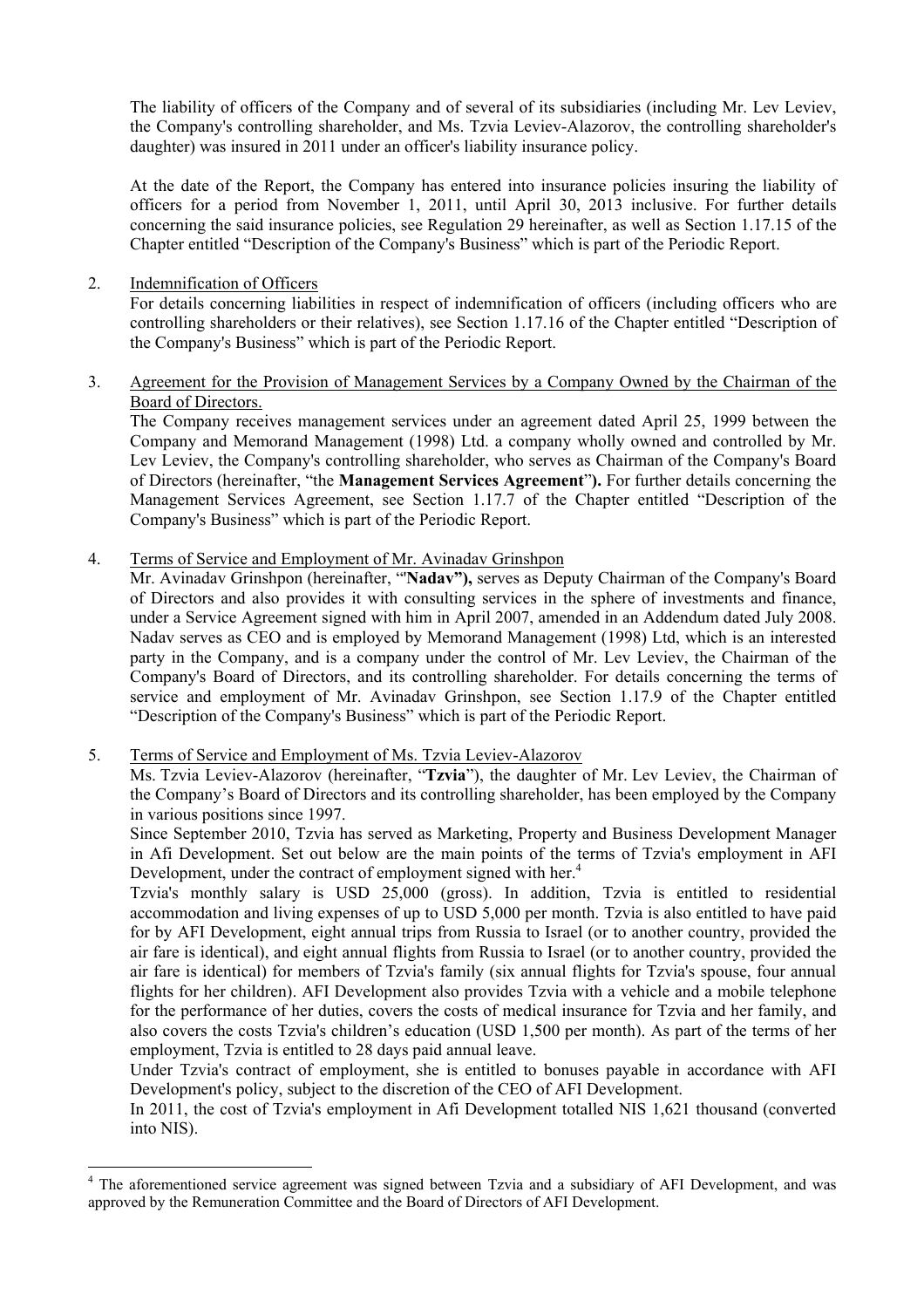The liability of officers of the Company and of several of its subsidiaries (including Mr. Lev Leviev, the Company's controlling shareholder, and Ms. Tzvia Leviev-Alazorov, the controlling shareholder's daughter) was insured in 2011 under an officer's liability insurance policy.

 At the date of the Report, the Company has entered into insurance policies insuring the liability of officers for a period from November 1, 2011, until April 30, 2013 inclusive. For further details concerning the said insurance policies, see Regulation 29 hereinafter, as well as Section 1.17.15 of the Chapter entitled "Description of the Company's Business" which is part of the Periodic Report.

2. Indemnification of Officers

l

 For details concerning liabilities in respect of indemnification of officers (including officers who are controlling shareholders or their relatives), see Section 1.17.16 of the Chapter entitled "Description of the Company's Business" which is part of the Periodic Report.

3. Agreement for the Provision of Management Services by a Company Owned by the Chairman of the Board of Directors.

 The Company receives management services under an agreement dated April 25, 1999 between the Company and Memorand Management (1998) Ltd. a company wholly owned and controlled by Mr. Lev Leviev, the Company's controlling shareholder, who serves as Chairman of the Company's Board of Directors (hereinafter, "the **Management Services Agreement**"**).** For further details concerning the Management Services Agreement, see Section 1.17.7 of the Chapter entitled "Description of the Company's Business" which is part of the Periodic Report.

4. Terms of Service and Employment of Mr. Avinadav Grinshpon

 Mr. Avinadav Grinshpon (hereinafter, "'**Nadav"),** serves as Deputy Chairman of the Company's Board of Directors and also provides it with consulting services in the sphere of investments and finance, under a Service Agreement signed with him in April 2007, amended in an Addendum dated July 2008. Nadav serves as CEO and is employed by Memorand Management (1998) Ltd, which is an interested party in the Company, and is a company under the control of Mr. Lev Leviev, the Chairman of the Company's Board of Directors, and its controlling shareholder. For details concerning the terms of service and employment of Mr. Avinadav Grinshpon, see Section 1.17.9 of the Chapter entitled "Description of the Company's Business" which is part of the Periodic Report.

5. Terms of Service and Employment of Ms. Tzvia Leviev-Alazorov

 Ms. Tzvia Leviev-Alazorov (hereinafter, "**Tzvia**"), the daughter of Mr. Lev Leviev, the Chairman of the Company's Board of Directors and its controlling shareholder, has been employed by the Company in various positions since 1997.

 Since September 2010, Tzvia has served as Marketing, Property and Business Development Manager in Afi Development. Set out below are the main points of the terms of Tzvia's employment in AFI Development, under the contract of employment signed with her.<sup>4</sup>

 Tzvia's monthly salary is USD 25,000 (gross). In addition, Tzvia is entitled to residential accommodation and living expenses of up to USD 5,000 per month. Tzvia is also entitled to have paid for by AFI Development, eight annual trips from Russia to Israel (or to another country, provided the air fare is identical), and eight annual flights from Russia to Israel (or to another country, provided the air fare is identical) for members of Tzvia's family (six annual flights for Tzvia's spouse, four annual flights for her children). AFI Development also provides Tzvia with a vehicle and a mobile telephone for the performance of her duties, covers the costs of medical insurance for Tzvia and her family, and also covers the costs Tzvia's children's education (USD 1,500 per month). As part of the terms of her employment, Tzvia is entitled to 28 days paid annual leave.

 Under Tzvia's contract of employment, she is entitled to bonuses payable in accordance with AFI Development's policy, subject to the discretion of the CEO of AFI Development.

 In 2011, the cost of Tzvia's employment in Afi Development totalled NIS 1,621 thousand (converted into NIS).

<sup>&</sup>lt;sup>4</sup> The aforementioned service agreement was signed between Tzvia and a subsidiary of AFI Development, and was approved by the Remuneration Committee and the Board of Directors of AFI Development.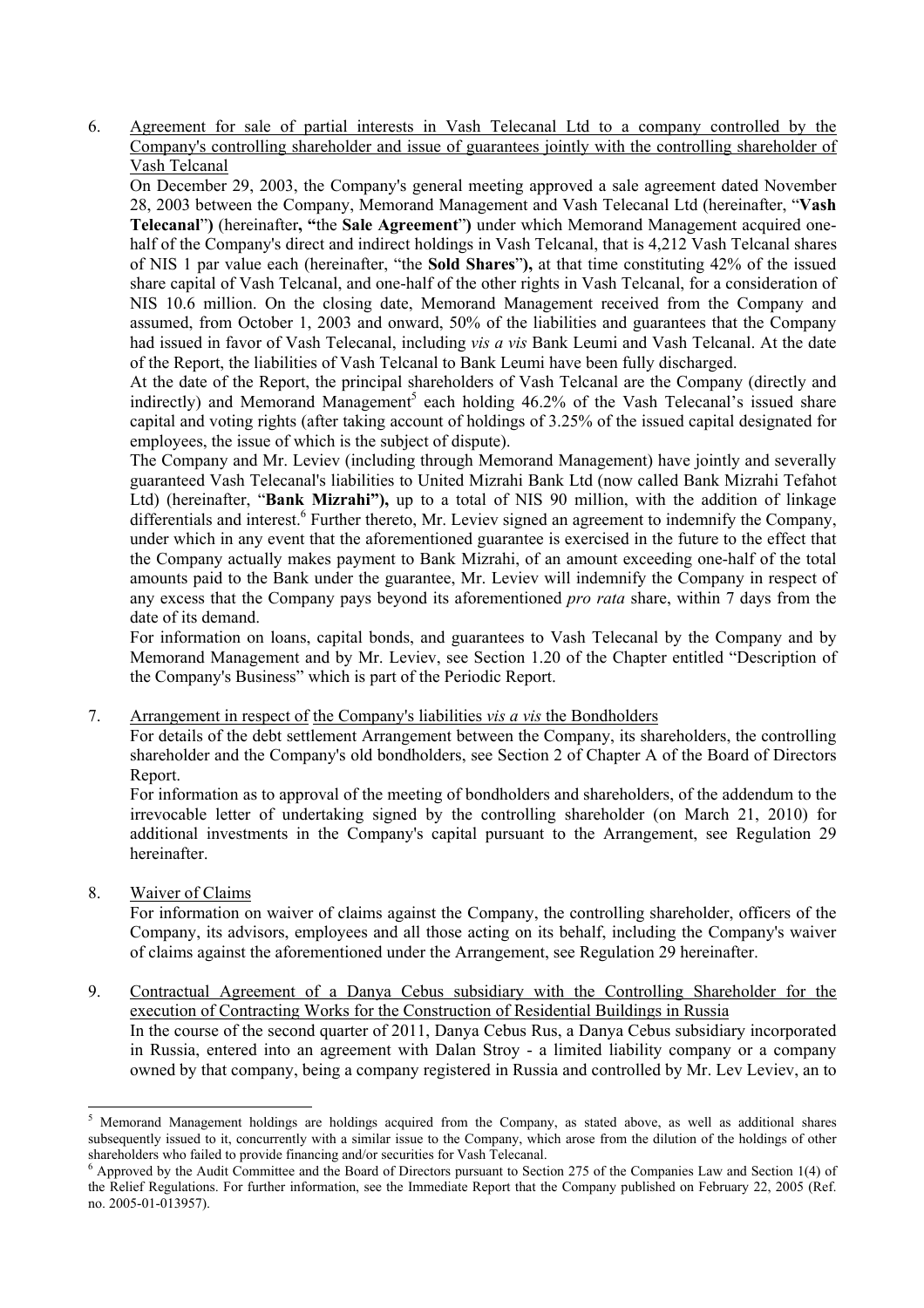6. Agreement for sale of partial interests in Vash Telecanal Ltd to a company controlled by the Company's controlling shareholder and issue of guarantees jointly with the controlling shareholder of Vash Telcanal

 On December 29, 2003, the Company's general meeting approved a sale agreement dated November 28, 2003 between the Company, Memorand Management and Vash Telecanal Ltd (hereinafter, "**Vash Telecanal**"**)** (hereinafter**, "**the **Sale Agreement**"**)** under which Memorand Management acquired onehalf of the Company's direct and indirect holdings in Vash Telcanal, that is 4,212 Vash Telcanal shares of NIS 1 par value each (hereinafter, "the **Sold Shares**"**),** at that time constituting 42% of the issued share capital of Vash Telcanal, and one-half of the other rights in Vash Telcanal, for a consideration of NIS 10.6 million. On the closing date, Memorand Management received from the Company and assumed, from October 1, 2003 and onward, 50% of the liabilities and guarantees that the Company had issued in favor of Vash Telecanal, including *vis a vis* Bank Leumi and Vash Telcanal. At the date of the Report, the liabilities of Vash Telcanal to Bank Leumi have been fully discharged.

 At the date of the Report, the principal shareholders of Vash Telcanal are the Company (directly and indirectly) and Memorand Management<sup>5</sup> each holding 46.2% of the Vash Telecanal's issued share capital and voting rights (after taking account of holdings of 3.25% of the issued capital designated for employees, the issue of which is the subject of dispute).

 The Company and Mr. Leviev (including through Memorand Management) have jointly and severally guaranteed Vash Telecanal's liabilities to United Mizrahi Bank Ltd (now called Bank Mizrahi Tefahot Ltd) (hereinafter, "**Bank Mizrahi"),** up to a total of NIS 90 million, with the addition of linkage differentials and interest.<sup>6</sup> Further thereto, Mr. Leviev signed an agreement to indemnify the Company, under which in any event that the aforementioned guarantee is exercised in the future to the effect that the Company actually makes payment to Bank Mizrahi, of an amount exceeding one-half of the total amounts paid to the Bank under the guarantee, Mr. Leviev will indemnify the Company in respect of any excess that the Company pays beyond its aforementioned *pro rata* share, within 7 days from the date of its demand.

 For information on loans, capital bonds, and guarantees to Vash Telecanal by the Company and by Memorand Management and by Mr. Leviev, see Section 1.20 of the Chapter entitled "Description of the Company's Business" which is part of the Periodic Report.

7. Arrangement in respect of the Company's liabilities *vis a vis* the Bondholders

 For details of the debt settlement Arrangement between the Company, its shareholders, the controlling shareholder and the Company's old bondholders, see Section 2 of Chapter A of the Board of Directors Report.

 For information as to approval of the meeting of bondholders and shareholders, of the addendum to the irrevocable letter of undertaking signed by the controlling shareholder (on March 21, 2010) for additional investments in the Company's capital pursuant to the Arrangement, see Regulation 29 hereinafter.

8. Waiver of Claims

l

 For information on waiver of claims against the Company, the controlling shareholder, officers of the Company, its advisors, employees and all those acting on its behalf, including the Company's waiver of claims against the aforementioned under the Arrangement, see Regulation 29 hereinafter.

9. Contractual Agreement of a Danya Cebus subsidiary with the Controlling Shareholder for the execution of Contracting Works for the Construction of Residential Buildings in Russia In the course of the second quarter of 2011, Danya Cebus Rus, a Danya Cebus subsidiary incorporated in Russia, entered into an agreement with Dalan Stroy - a limited liability company or a company owned by that company, being a company registered in Russia and controlled by Mr. Lev Leviev, an to

 $<sup>5</sup>$  Memorand Management holdings are holdings acquired from the Company, as stated above, as well as additional shares</sup> subsequently issued to it, concurrently with a similar issue to the Company, which arose from the dilution of the holdings of other shareholders who failed to provide financing and/or securities for Vash Telecanal. 6

 $6$  Approved by the Audit Committee and the Board of Directors pursuant to Section 275 of the Companies Law and Section 1(4) of the Relief Regulations. For further information, see the Immediate Report that the Company published on February 22, 2005 (Ref. no. 2005-01-013957).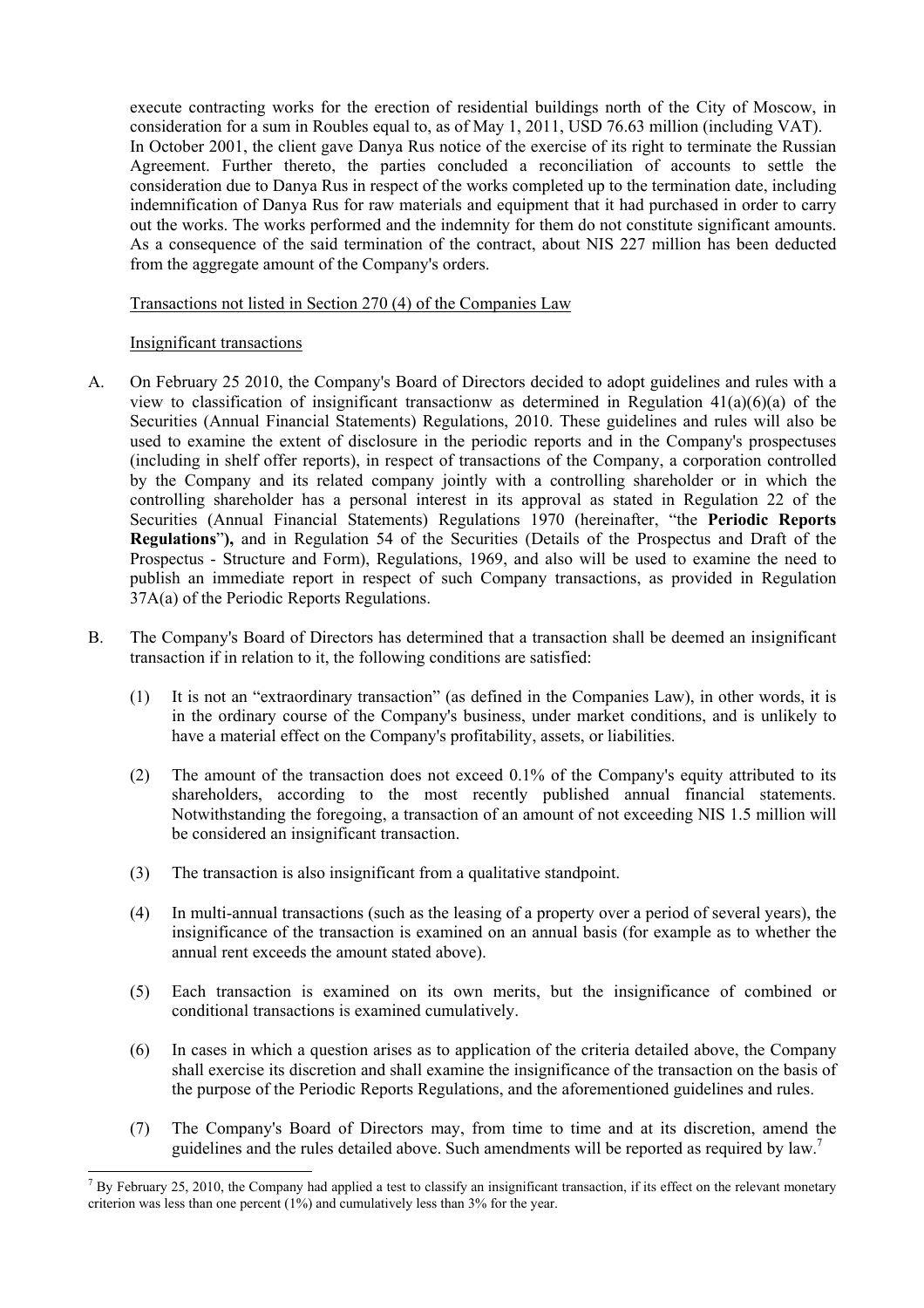execute contracting works for the erection of residential buildings north of the City of Moscow, in consideration for a sum in Roubles equal to, as of May 1, 2011, USD 76.63 million (including VAT). In October 2001, the client gave Danya Rus notice of the exercise of its right to terminate the Russian Agreement. Further thereto, the parties concluded a reconciliation of accounts to settle the consideration due to Danya Rus in respect of the works completed up to the termination date, including indemnification of Danya Rus for raw materials and equipment that it had purchased in order to carry out the works. The works performed and the indemnity for them do not constitute significant amounts. As a consequence of the said termination of the contract, about NIS 227 million has been deducted from the aggregate amount of the Company's orders.

Transactions not listed in Section 270 (4) of the Companies Law

## Insignificant transactions

- A. On February 25 2010, the Company's Board of Directors decided to adopt guidelines and rules with a view to classification of insignificant transactionw as determined in Regulation  $41(a)(6)(a)$  of the Securities (Annual Financial Statements) Regulations, 2010. These guidelines and rules will also be used to examine the extent of disclosure in the periodic reports and in the Company's prospectuses (including in shelf offer reports), in respect of transactions of the Company, a corporation controlled by the Company and its related company jointly with a controlling shareholder or in which the controlling shareholder has a personal interest in its approval as stated in Regulation 22 of the Securities (Annual Financial Statements) Regulations 1970 (hereinafter, "the **Periodic Reports Regulations**"**),** and in Regulation 54 of the Securities (Details of the Prospectus and Draft of the Prospectus - Structure and Form), Regulations, 1969, and also will be used to examine the need to publish an immediate report in respect of such Company transactions, as provided in Regulation 37A(a) of the Periodic Reports Regulations.
- B. The Company's Board of Directors has determined that a transaction shall be deemed an insignificant transaction if in relation to it, the following conditions are satisfied:
	- (1) It is not an "extraordinary transaction" (as defined in the Companies Law), in other words, it is in the ordinary course of the Company's business, under market conditions, and is unlikely to have a material effect on the Company's profitability, assets, or liabilities.
	- (2) The amount of the transaction does not exceed 0.1% of the Company's equity attributed to its shareholders, according to the most recently published annual financial statements. Notwithstanding the foregoing, a transaction of an amount of not exceeding NIS 1.5 million will be considered an insignificant transaction.
	- (3) The transaction is also insignificant from a qualitative standpoint.
	- (4) In multi-annual transactions (such as the leasing of a property over a period of several years), the insignificance of the transaction is examined on an annual basis (for example as to whether the annual rent exceeds the amount stated above).
	- (5) Each transaction is examined on its own merits, but the insignificance of combined or conditional transactions is examined cumulatively.
	- (6) In cases in which a question arises as to application of the criteria detailed above, the Company shall exercise its discretion and shall examine the insignificance of the transaction on the basis of the purpose of the Periodic Reports Regulations, and the aforementioned guidelines and rules.
	- (7) The Company's Board of Directors may, from time to time and at its discretion, amend the guidelines and the rules detailed above. Such amendments will be reported as required by law.<sup>7</sup>

l 7 By February 25, 2010, the Company had applied a test to classify an insignificant transaction, if its effect on the relevant monetary criterion was less than one percent (1%) and cumulatively less than 3% for the year.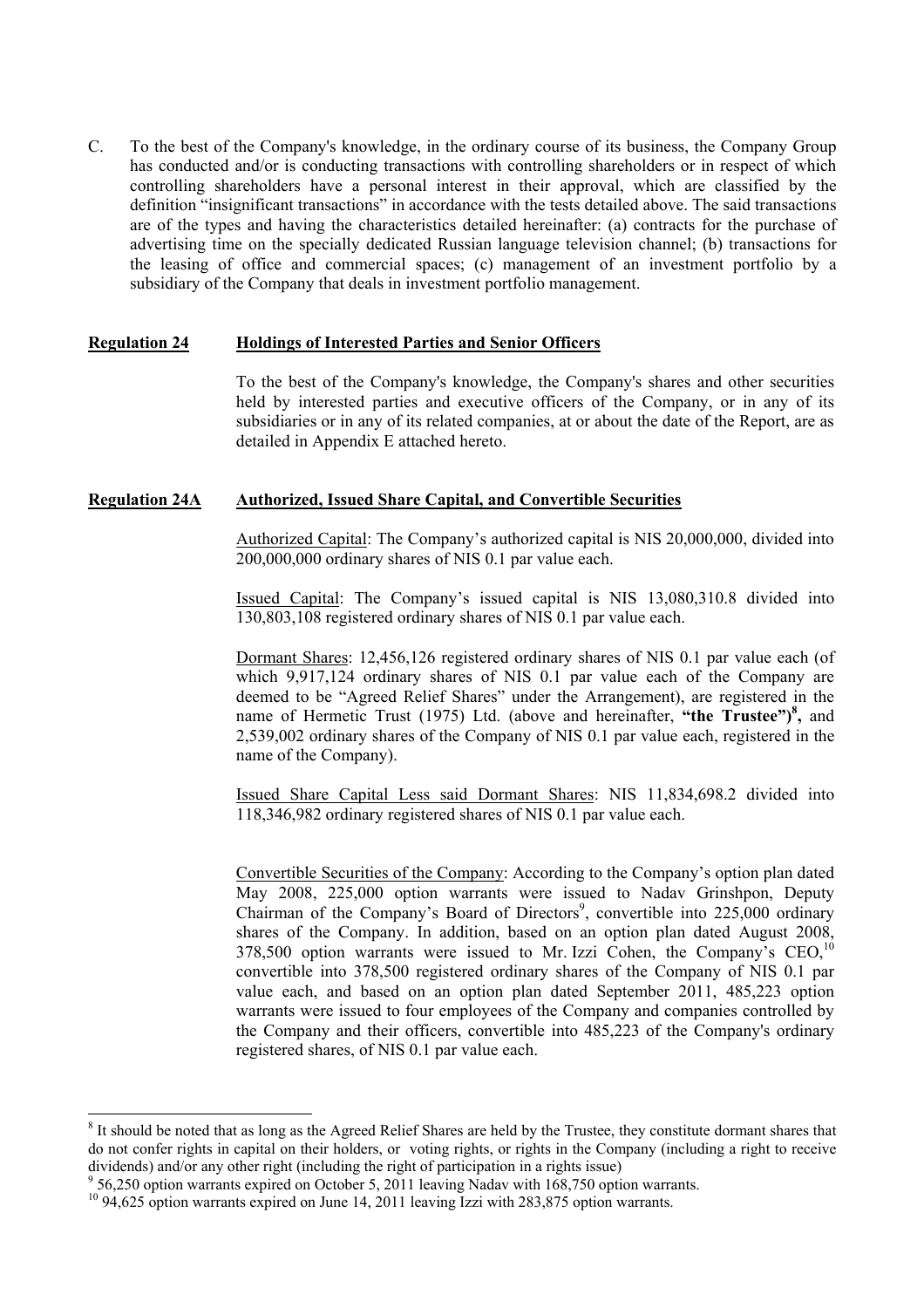C. To the best of the Company's knowledge, in the ordinary course of its business, the Company Group has conducted and/or is conducting transactions with controlling shareholders or in respect of which controlling shareholders have a personal interest in their approval, which are classified by the definition "insignificant transactions" in accordance with the tests detailed above. The said transactions are of the types and having the characteristics detailed hereinafter: (a) contracts for the purchase of advertising time on the specially dedicated Russian language television channel; (b) transactions for the leasing of office and commercial spaces; (c) management of an investment portfolio by a subsidiary of the Company that deals in investment portfolio management.

#### **Regulation 24 Holdings of Interested Parties and Senior Officers**

To the best of the Company's knowledge, the Company's shares and other securities held by interested parties and executive officers of the Company, or in any of its subsidiaries or in any of its related companies, at or about the date of the Report, are as detailed in Appendix E attached hereto.

## **Regulation 24A Authorized, Issued Share Capital, and Convertible Securities**

Authorized Capital: The Company's authorized capital is NIS 20,000,000, divided into 200,000,000 ordinary shares of NIS 0.1 par value each.

Issued Capital: The Company's issued capital is NIS 13,080,310.8 divided into 130,803,108 registered ordinary shares of NIS 0.1 par value each.

Dormant Shares: 12,456,126 registered ordinary shares of NIS 0.1 par value each (of which 9,917,124 ordinary shares of NIS 0.1 par value each of the Company are deemed to be "Agreed Relief Shares" under the Arrangement), are registered in the name of Hermetic Trust (1975) Ltd. (above and hereinafter, **"the Trustee")<sup>8</sup> ,** and 2,539,002 ordinary shares of the Company of NIS 0.1 par value each, registered in the name of the Company).

Issued Share Capital Less said Dormant Shares: NIS 11,834,698.2 divided into 118,346,982 ordinary registered shares of NIS 0.1 par value each.

Convertible Securities of the Company: According to the Company's option plan dated May 2008, 225,000 option warrants were issued to Nadav Grinshpon, Deputy Chairman of the Company's Board of Directors<sup>9</sup>, convertible into  $225,000$  ordinary shares of the Company. In addition, based on an option plan dated August 2008, 378,500 option warrants were issued to Mr. Izzi Cohen, the Company's CEO,<sup>10</sup> convertible into 378,500 registered ordinary shares of the Company of NIS 0.1 par value each, and based on an option plan dated September 2011, 485,223 option warrants were issued to four employees of the Company and companies controlled by the Company and their officers, convertible into 485,223 of the Company's ordinary registered shares, of NIS 0.1 par value each.

l

 $8$  It should be noted that as long as the Agreed Relief Shares are held by the Trustee, they constitute dormant shares that do not confer rights in capital on their holders, or voting rights, or rights in the Company (including a right to receive dividends) and/or any other right (including the right of participation in a rights issue)

<sup>&</sup>lt;sup>9</sup> 56,250 option warrants expired on October 5, 2011 leaving Nadav with 168,750 option warrants.

<sup>&</sup>lt;sup>10</sup> 94,625 option warrants expired on June 14, 2011 leaving Izzi with 283,875 option warrants.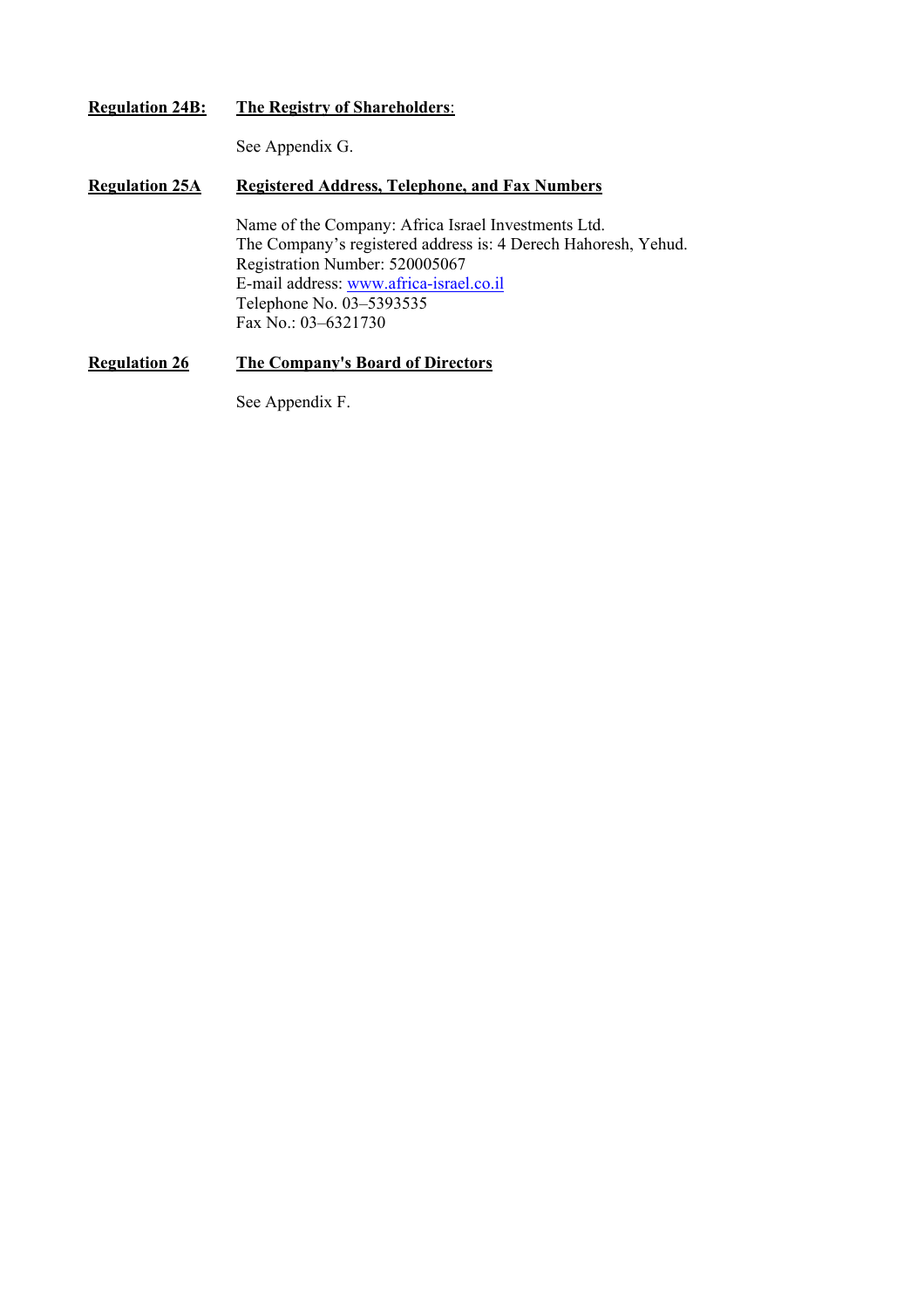## **Regulation 24B: The Registry of Shareholders**:

See Appendix G.

## **Regulation 25A Registered Address, Telephone, and Fax Numbers**

Name of the Company: Africa Israel Investments Ltd. The Company's registered address is: 4 Derech Hahoresh, Yehud. Registration Number: 520005067 E-mail address: www.africa-israel.co.il Telephone No. 03–5393535 Fax No.: 03–6321730

## **Regulation 26 The Company's Board of Directors**

See Appendix F.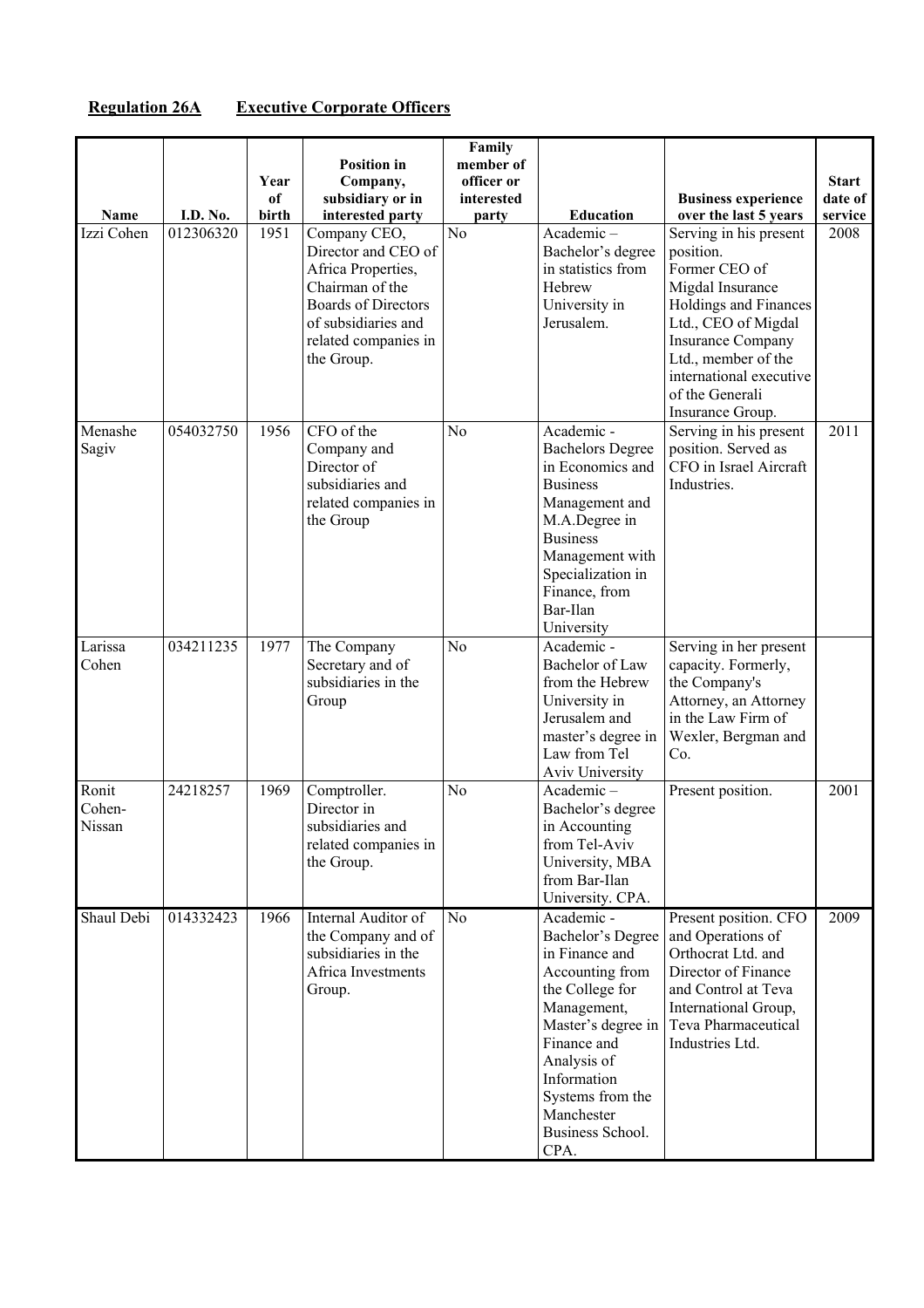## **Regulation 26A Executive Corporate Officers**

|                           |           |                     |                                                                                                                                                                         | Family                                         |                                                                                                                                                                                                                                         |                                                                                                                                                                                                                                               |                                    |
|---------------------------|-----------|---------------------|-------------------------------------------------------------------------------------------------------------------------------------------------------------------------|------------------------------------------------|-----------------------------------------------------------------------------------------------------------------------------------------------------------------------------------------------------------------------------------------|-----------------------------------------------------------------------------------------------------------------------------------------------------------------------------------------------------------------------------------------------|------------------------------------|
| Name                      | I.D. No.  | Year<br>of<br>birth | <b>Position in</b><br>Company,<br>subsidiary or in<br>interested party                                                                                                  | member of<br>officer or<br>interested<br>party | <b>Education</b>                                                                                                                                                                                                                        | <b>Business experience</b><br>over the last 5 years                                                                                                                                                                                           | <b>Start</b><br>date of<br>service |
| Izzi Cohen                | 012306320 | 1951                | Company CEO,<br>Director and CEO of<br>Africa Properties,<br>Chairman of the<br><b>Boards of Directors</b><br>of subsidiaries and<br>related companies in<br>the Group. | N <sub>o</sub>                                 | $Academic -$<br>Bachelor's degree<br>in statistics from<br>Hebrew<br>University in<br>Jerusalem.                                                                                                                                        | Serving in his present<br>position.<br>Former CEO of<br>Migdal Insurance<br>Holdings and Finances<br>Ltd., CEO of Migdal<br><b>Insurance Company</b><br>Ltd., member of the<br>international executive<br>of the Generali<br>Insurance Group. | 2008                               |
| Menashe<br>Sagiv          | 054032750 | 1956                | CFO of the<br>Company and<br>Director of<br>subsidiaries and<br>related companies in<br>the Group                                                                       | N <sub>0</sub>                                 | Academic -<br><b>Bachelors Degree</b><br>in Economics and<br><b>Business</b><br>Management and<br>M.A.Degree in<br><b>Business</b><br>Management with<br>Specialization in<br>Finance, from<br>Bar-Ilan<br>University                   | Serving in his present<br>position. Served as<br>CFO in Israel Aircraft<br>Industries.                                                                                                                                                        | 2011                               |
| Larissa<br>Cohen          | 034211235 | 1977                | The Company<br>Secretary and of<br>subsidiaries in the<br>Group                                                                                                         | N <sub>o</sub>                                 | Academic -<br>Bachelor of Law<br>from the Hebrew<br>University in<br>Jerusalem and<br>master's degree in<br>Law from Tel<br>Aviv University                                                                                             | Serving in her present<br>capacity. Formerly,<br>the Company's<br>Attorney, an Attorney<br>in the Law Firm of<br>Wexler, Bergman and<br>Co.                                                                                                   |                                    |
| Ronit<br>Cohen-<br>Nissan | 24218257  | 1969                | Comptroller.<br>Director in<br>subsidiaries and<br>related companies in<br>the Group.                                                                                   | N <sub>o</sub>                                 | Academic-<br>Bachelor's degree<br>in Accounting<br>from Tel-Aviv<br>University, MBA<br>from Bar-Ilan<br>University. CPA.                                                                                                                | Present position.                                                                                                                                                                                                                             | 2001                               |
| Shaul Debi                | 014332423 | 1966                | Internal Auditor of<br>the Company and of<br>subsidiaries in the<br>Africa Investments<br>Group.                                                                        | N <sub>o</sub>                                 | Academic -<br>Bachelor's Degree<br>in Finance and<br>Accounting from<br>the College for<br>Management,<br>Master's degree in<br>Finance and<br>Analysis of<br>Information<br>Systems from the<br>Manchester<br>Business School.<br>CPA. | Present position. CFO<br>and Operations of<br>Orthocrat Ltd. and<br>Director of Finance<br>and Control at Teva<br>International Group,<br>Teva Pharmaceutical<br>Industries Ltd.                                                              | 2009                               |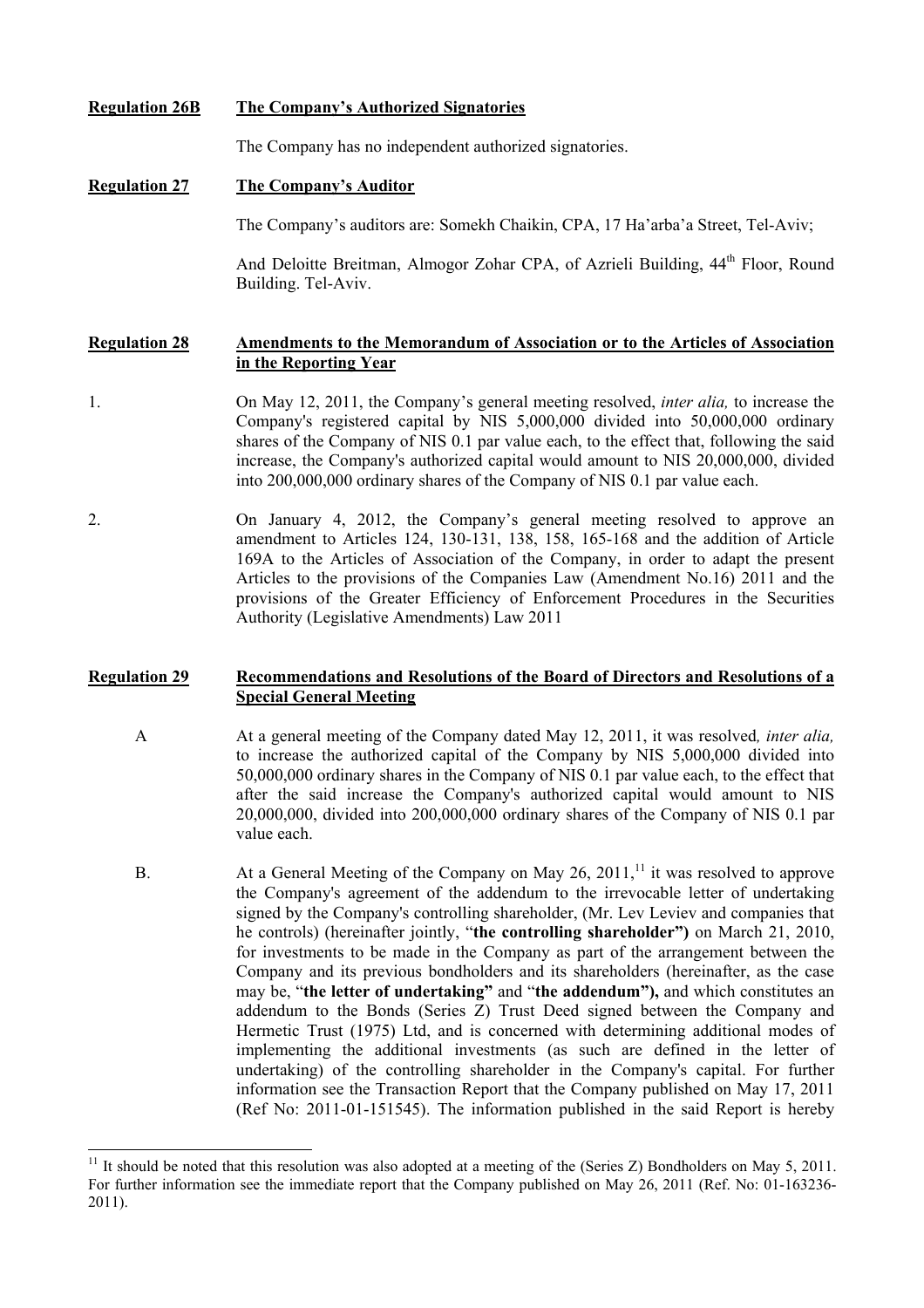**Regulation 26B The Company's Authorized Signatories**

The Company has no independent authorized signatories.

## **Regulation 27 The Company's Auditor**

l

The Company's auditors are: Somekh Chaikin, CPA, 17 Ha'arba'a Street, Tel-Aviv;

And Deloitte Breitman, Almogor Zohar CPA, of Azrieli Building, 44<sup>th</sup> Floor, Round Building. Tel-Aviv.

## **Regulation 28 Amendments to the Memorandum of Association or to the Articles of Association in the Reporting Year**

- 1. On May 12, 2011, the Company's general meeting resolved, *inter alia,* to increase the Company's registered capital by NIS 5,000,000 divided into 50,000,000 ordinary shares of the Company of NIS 0.1 par value each, to the effect that, following the said increase, the Company's authorized capital would amount to NIS 20,000,000, divided into 200,000,000 ordinary shares of the Company of NIS 0.1 par value each.
- 2. On January 4, 2012, the Company's general meeting resolved to approve an amendment to Articles 124, 130-131, 138, 158, 165-168 and the addition of Article 169A to the Articles of Association of the Company, in order to adapt the present Articles to the provisions of the Companies Law (Amendment No.16) 2011 and the provisions of the Greater Efficiency of Enforcement Procedures in the Securities Authority (Legislative Amendments) Law 2011

## **Regulation 29 Recommendations and Resolutions of the Board of Directors and Resolutions of a Special General Meeting**

- A At a general meeting of the Company dated May 12, 2011, it was resolved*, inter alia,*  to increase the authorized capital of the Company by NIS 5,000,000 divided into 50,000,000 ordinary shares in the Company of NIS 0.1 par value each, to the effect that after the said increase the Company's authorized capital would amount to NIS 20,000,000, divided into 200,000,000 ordinary shares of the Company of NIS 0.1 par value each.
- B. At a General Meeting of the Company on May 26, 2011,<sup>11</sup> it was resolved to approve the Company's agreement of the addendum to the irrevocable letter of undertaking signed by the Company's controlling shareholder, (Mr. Lev Leviev and companies that he controls) (hereinafter jointly, "**the controlling shareholder")** on March 21, 2010, for investments to be made in the Company as part of the arrangement between the Company and its previous bondholders and its shareholders (hereinafter, as the case may be, "**the letter of undertaking"** and "**the addendum"),** and which constitutes an addendum to the Bonds (Series Z) Trust Deed signed between the Company and Hermetic Trust (1975) Ltd, and is concerned with determining additional modes of implementing the additional investments (as such are defined in the letter of undertaking) of the controlling shareholder in the Company's capital. For further information see the Transaction Report that the Company published on May 17, 2011 (Ref No: 2011-01-151545). The information published in the said Report is hereby

<sup>&</sup>lt;sup>11</sup> It should be noted that this resolution was also adopted at a meeting of the (Series Z) Bondholders on May 5, 2011. For further information see the immediate report that the Company published on May 26, 2011 (Ref. No: 01-163236- 2011).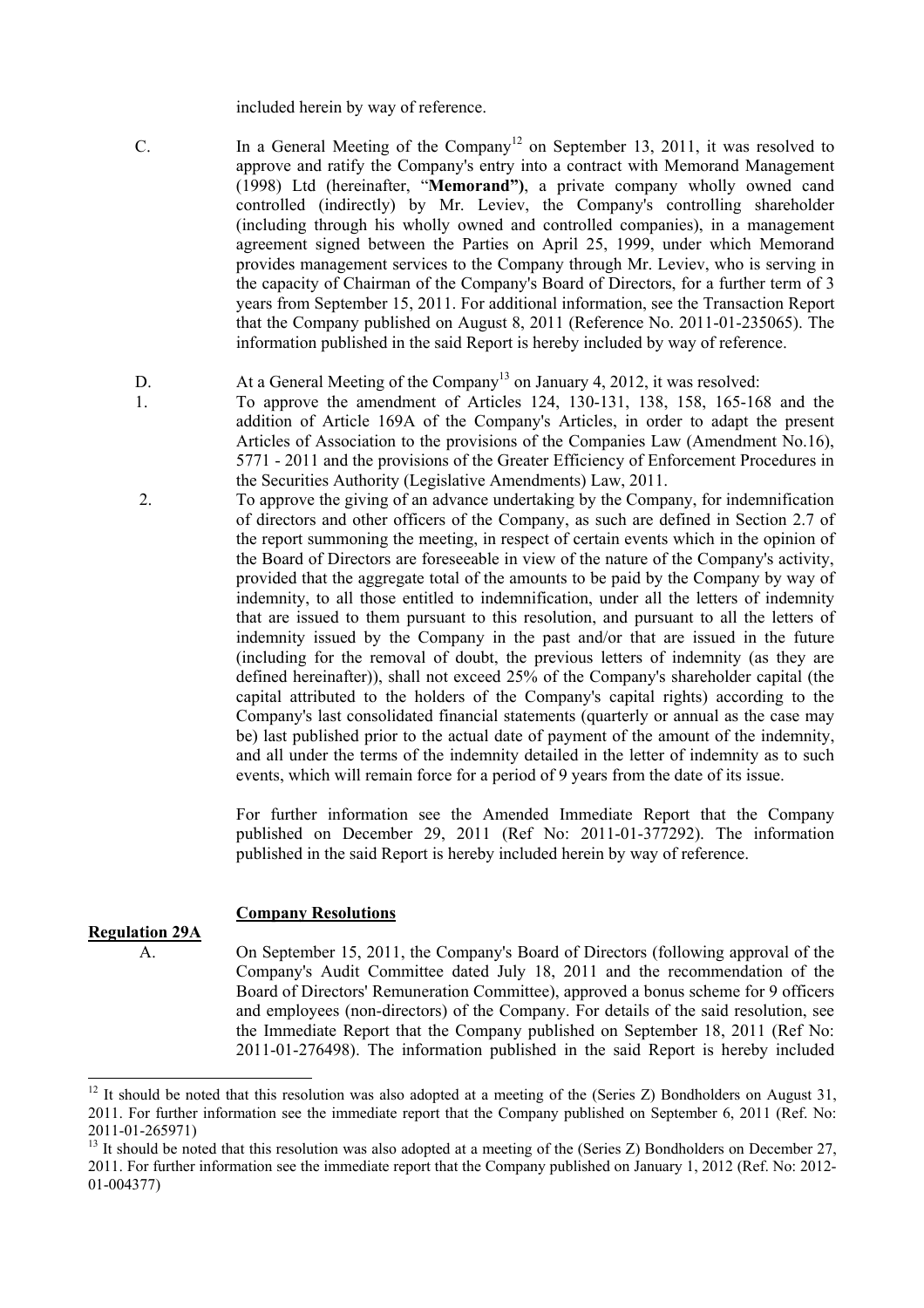included herein by way of reference.

- C. In a General Meeting of the Company<sup>12</sup> on September 13, 2011, it was resolved to approve and ratify the Company's entry into a contract with Memorand Management (1998) Ltd (hereinafter, "**Memorand")**, a private company wholly owned cand controlled (indirectly) by Mr. Leviev, the Company's controlling shareholder (including through his wholly owned and controlled companies), in a management agreement signed between the Parties on April 25, 1999, under which Memorand provides management services to the Company through Mr. Leviev, who is serving in the capacity of Chairman of the Company's Board of Directors, for a further term of 3 years from September 15, 2011. For additional information, see the Transaction Report that the Company published on August 8, 2011 (Reference No. 2011-01-235065). The information published in the said Report is hereby included by way of reference.
- D. At a General Meeting of the Company<sup>13</sup> on January 4, 2012, it was resolved:
	- To approve the amendment of Articles 124, 130-131, 138, 158, 165-168 and the addition of Article 169A of the Company's Articles, in order to adapt the present Articles of Association to the provisions of the Companies Law (Amendment No.16), 5771 - 2011 and the provisions of the Greater Efficiency of Enforcement Procedures in the Securities Authority (Legislative Amendments) Law, 2011.
- 2. To approve the giving of an advance undertaking by the Company, for indemnification of directors and other officers of the Company, as such are defined in Section 2.7 of the report summoning the meeting, in respect of certain events which in the opinion of the Board of Directors are foreseeable in view of the nature of the Company's activity, provided that the aggregate total of the amounts to be paid by the Company by way of indemnity, to all those entitled to indemnification, under all the letters of indemnity that are issued to them pursuant to this resolution, and pursuant to all the letters of indemnity issued by the Company in the past and/or that are issued in the future (including for the removal of doubt, the previous letters of indemnity (as they are defined hereinafter)), shall not exceed 25% of the Company's shareholder capital (the capital attributed to the holders of the Company's capital rights) according to the Company's last consolidated financial statements (quarterly or annual as the case may be) last published prior to the actual date of payment of the amount of the indemnity, and all under the terms of the indemnity detailed in the letter of indemnity as to such events, which will remain force for a period of 9 years from the date of its issue.

For further information see the Amended Immediate Report that the Company published on December 29, 2011 (Ref No: 2011-01-377292). The information published in the said Report is hereby included herein by way of reference.

## **Company Resolutions**

## **Regulation 29A**

1.

 $\overline{\phantom{a}}$ 

 A. On September 15, 2011, the Company's Board of Directors (following approval of the Company's Audit Committee dated July 18, 2011 and the recommendation of the Board of Directors' Remuneration Committee), approved a bonus scheme for 9 officers and employees (non-directors) of the Company. For details of the said resolution, see the Immediate Report that the Company published on September 18, 2011 (Ref No: 2011-01-276498). The information published in the said Report is hereby included

 $12$  It should be noted that this resolution was also adopted at a meeting of the (Series Z) Bondholders on August 31, 2011. For further information see the immediate report that the Company published on September 6, 2011 (Ref. No: 2011-01-265971)

<sup>&</sup>lt;sup>13</sup> It should be noted that this resolution was also adopted at a meeting of the (Series  $Z$ ) Bondholders on December 27, 2011. For further information see the immediate report that the Company published on January 1, 2012 (Ref. No: 2012- 01-004377)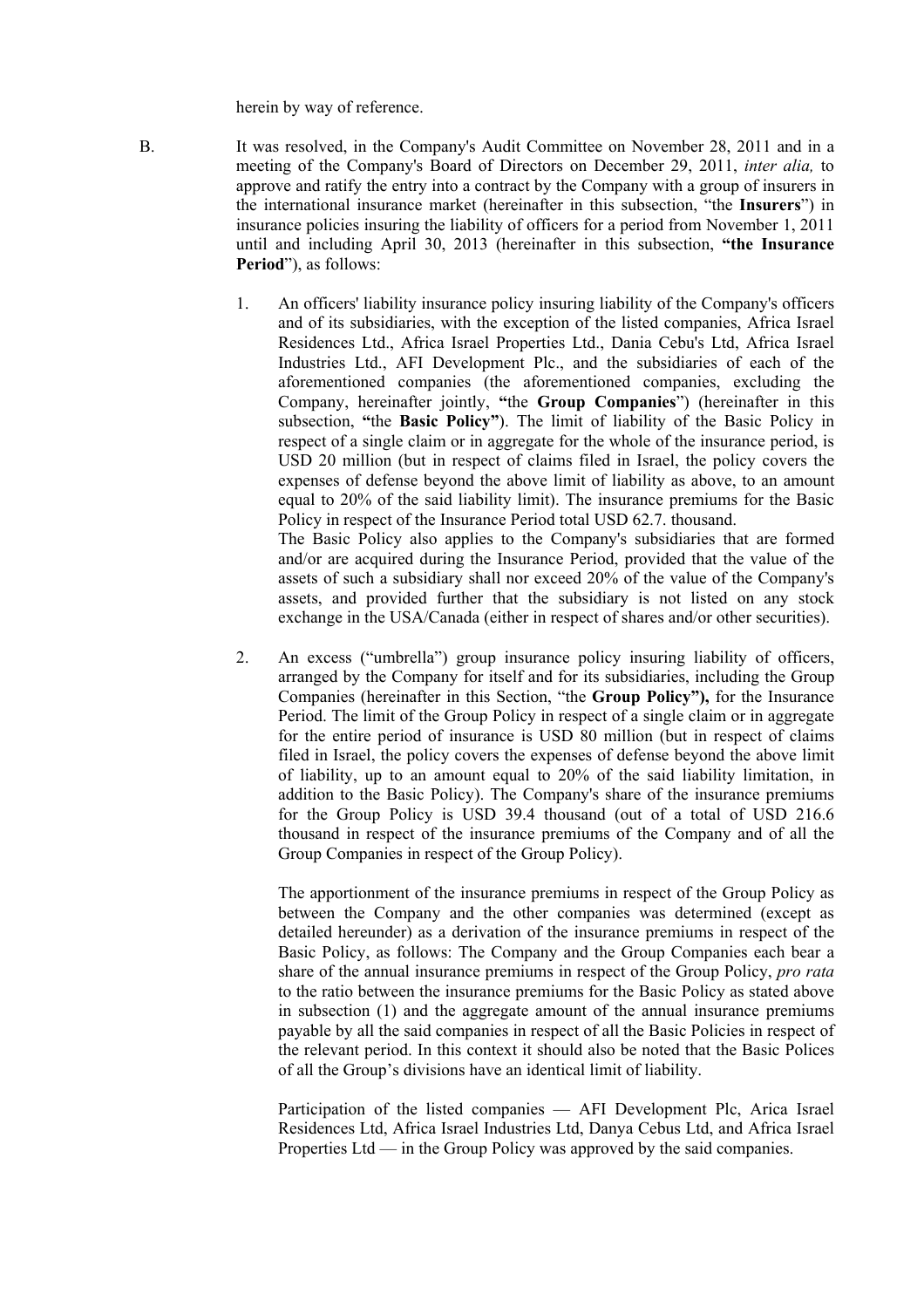herein by way of reference.

 B. It was resolved, in the Company's Audit Committee on November 28, 2011 and in a meeting of the Company's Board of Directors on December 29, 2011, *inter alia,* to approve and ratify the entry into a contract by the Company with a group of insurers in the international insurance market (hereinafter in this subsection, "the **Insurers**") in insurance policies insuring the liability of officers for a period from November 1, 2011 until and including April 30, 2013 (hereinafter in this subsection, **"the Insurance Period**"), as follows:

> 1. An officers' liability insurance policy insuring liability of the Company's officers and of its subsidiaries, with the exception of the listed companies, Africa Israel Residences Ltd., Africa Israel Properties Ltd., Dania Cebu's Ltd, Africa Israel Industries Ltd., AFI Development Plc., and the subsidiaries of each of the aforementioned companies (the aforementioned companies, excluding the Company, hereinafter jointly, **"**the **Group Companies**") (hereinafter in this subsection, **"**the **Basic Policy"**). The limit of liability of the Basic Policy in respect of a single claim or in aggregate for the whole of the insurance period, is USD 20 million (but in respect of claims filed in Israel, the policy covers the expenses of defense beyond the above limit of liability as above, to an amount equal to 20% of the said liability limit). The insurance premiums for the Basic Policy in respect of the Insurance Period total USD 62.7. thousand. The Basic Policy also applies to the Company's subsidiaries that are formed

and/or are acquired during the Insurance Period, provided that the value of the assets of such a subsidiary shall nor exceed 20% of the value of the Company's assets, and provided further that the subsidiary is not listed on any stock exchange in the USA/Canada (either in respect of shares and/or other securities).

2. An excess ("umbrella") group insurance policy insuring liability of officers, arranged by the Company for itself and for its subsidiaries, including the Group Companies (hereinafter in this Section, "the **Group Policy"),** for the Insurance Period. The limit of the Group Policy in respect of a single claim or in aggregate for the entire period of insurance is USD 80 million (but in respect of claims filed in Israel, the policy covers the expenses of defense beyond the above limit of liability, up to an amount equal to 20% of the said liability limitation, in addition to the Basic Policy). The Company's share of the insurance premiums for the Group Policy is USD 39.4 thousand (out of a total of USD 216.6 thousand in respect of the insurance premiums of the Company and of all the Group Companies in respect of the Group Policy).

 The apportionment of the insurance premiums in respect of the Group Policy as between the Company and the other companies was determined (except as detailed hereunder) as a derivation of the insurance premiums in respect of the Basic Policy, as follows: The Company and the Group Companies each bear a share of the annual insurance premiums in respect of the Group Policy, *pro rata* to the ratio between the insurance premiums for the Basic Policy as stated above in subsection (1) and the aggregate amount of the annual insurance premiums payable by all the said companies in respect of all the Basic Policies in respect of the relevant period. In this context it should also be noted that the Basic Polices of all the Group's divisions have an identical limit of liability.

Participation of the listed companies — AFI Development Plc, Arica Israel Residences Ltd, Africa Israel Industries Ltd, Danya Cebus Ltd, and Africa Israel Properties Ltd — in the Group Policy was approved by the said companies.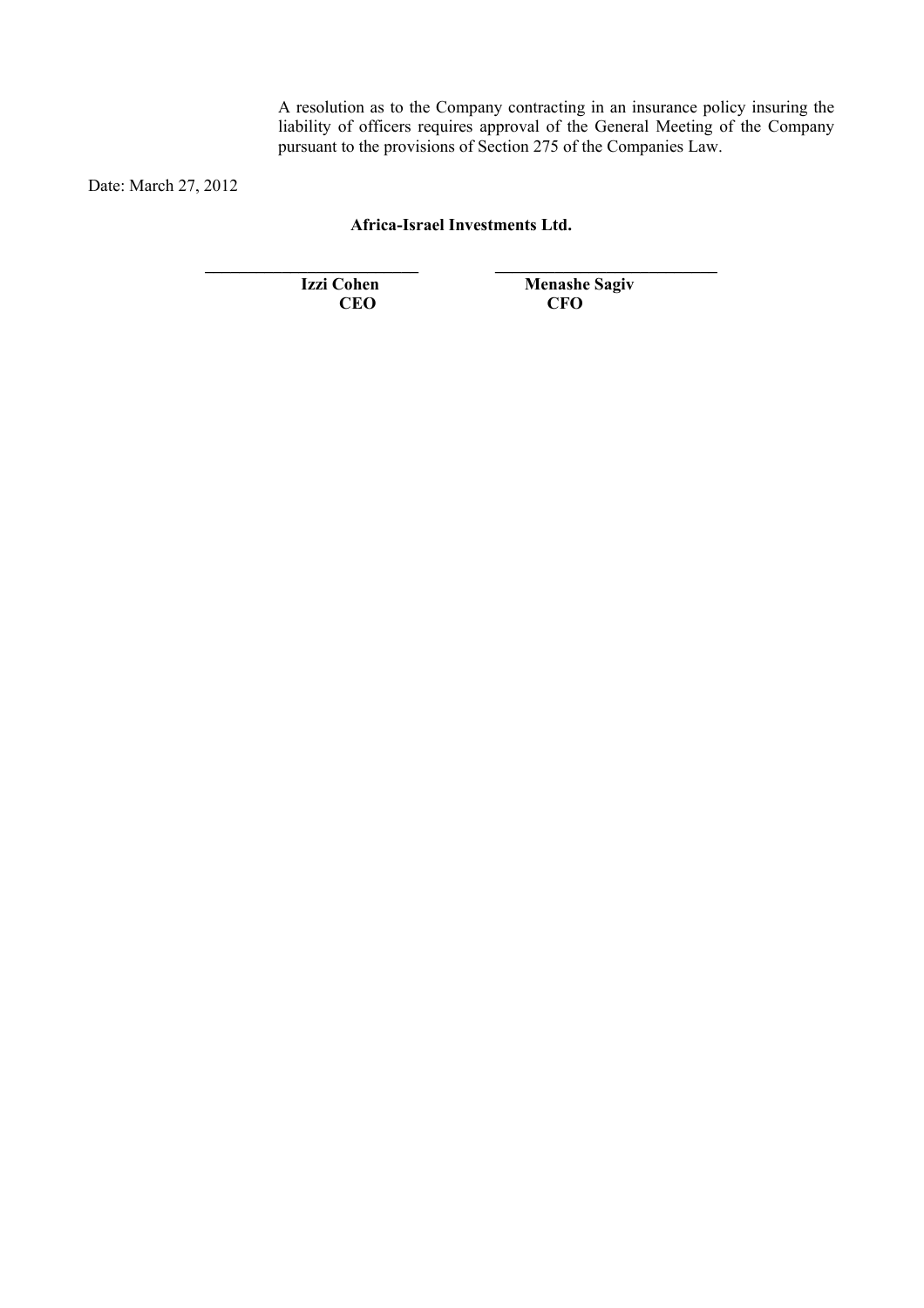A resolution as to the Company contracting in an insurance policy insuring the liability of officers requires approval of the General Meeting of the Company pursuant to the provisions of Section 275 of the Companies Law.

Date: March 27, 2012

**Africa-Israel Investments Ltd.** 

**\_\_\_\_\_\_\_\_\_\_\_\_\_\_\_\_\_\_\_\_\_\_\_\_\_ \_\_\_\_\_\_\_\_\_\_\_\_\_\_\_\_\_\_\_\_\_\_\_\_\_\_** 

**Izzi Cohen** Menashe Sagiv CEO CFO **CEO CFO**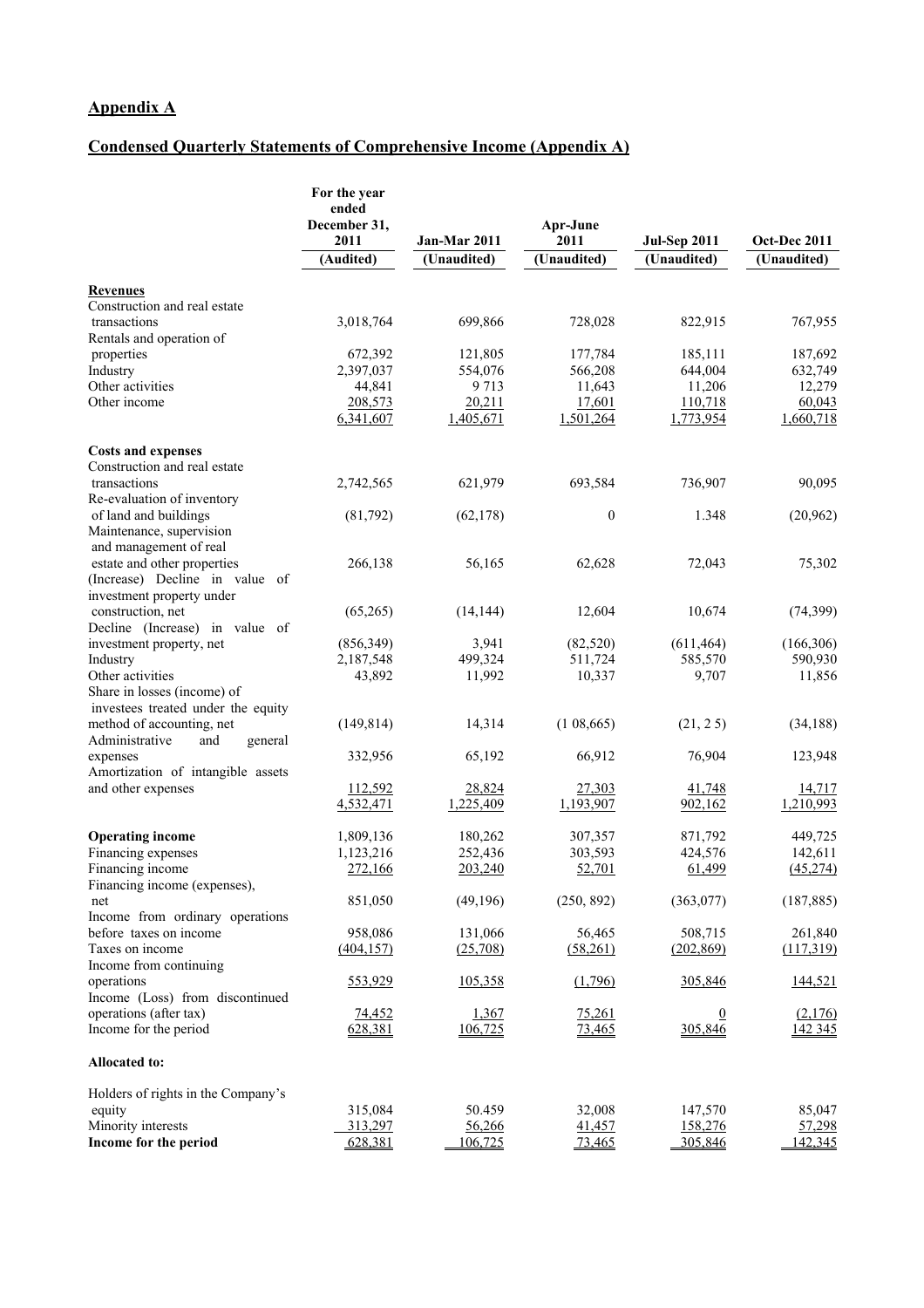## **Condensed Quarterly Statements of Comprehensive Income (Appendix A)**

|                                                     | For the year<br>ended<br>December 31,<br>2011 | Jan-Mar 2011       | Apr-June<br>2011        | <b>Jul-Sep 2011</b>       | Oct-Dec 2011       |
|-----------------------------------------------------|-----------------------------------------------|--------------------|-------------------------|---------------------------|--------------------|
|                                                     | (Audited)                                     | (Unaudited)        | (Unaudited)             | (Unaudited)               | (Unaudited)        |
| <b>Revenues</b>                                     |                                               |                    |                         |                           |                    |
| Construction and real estate                        |                                               |                    |                         |                           |                    |
| transactions                                        | 3,018,764                                     | 699,866            | 728,028                 | 822,915                   | 767,955            |
| Rentals and operation of                            |                                               |                    |                         |                           |                    |
| properties                                          | 672,392                                       | 121,805            | 177,784                 | 185,111                   | 187,692            |
| Industry<br>Other activities                        | 2,397,037<br>44,841                           | 554,076<br>9 7 1 3 | 566,208<br>11,643       | 644,004<br>11,206         | 632,749<br>12,279  |
| Other income                                        | 208,573                                       | 20,211             | 17,601                  | 110,718                   | 60,043             |
|                                                     | 6,341,607                                     | 1,405,671          | 1,501,264               | 1,773,954                 | 1,660,718          |
| <b>Costs and expenses</b>                           |                                               |                    |                         |                           |                    |
| Construction and real estate                        |                                               |                    |                         |                           |                    |
| transactions<br>Re-evaluation of inventory          | 2,742,565                                     | 621,979            | 693,584                 | 736,907                   | 90,095             |
| of land and buildings                               | (81,792)                                      | (62, 178)          | $\boldsymbol{0}$        | 1.348                     | (20, 962)          |
| Maintenance, supervision                            |                                               |                    |                         |                           |                    |
| and management of real                              |                                               |                    |                         |                           |                    |
| estate and other properties                         | 266,138                                       | 56,165             | 62,628                  | 72,043                    | 75,302             |
| (Increase) Decline in value of                      |                                               |                    |                         |                           |                    |
| investment property under                           |                                               |                    |                         |                           |                    |
| construction, net<br>Decline (Increase) in value of | (65,265)                                      | (14, 144)          | 12,604                  | 10,674                    | (74, 399)          |
| investment property, net                            | (856, 349)                                    | 3,941              | (82, 520)               | (611, 464)                | (166, 306)         |
| Industry                                            | 2,187,548                                     | 499,324            | 511,724                 | 585,570                   | 590,930            |
| Other activities                                    | 43,892                                        | 11,992             | 10,337                  | 9,707                     | 11,856             |
| Share in losses (income) of                         |                                               |                    |                         |                           |                    |
| investees treated under the equity                  |                                               |                    |                         |                           |                    |
| method of accounting, net                           | (149, 814)                                    | 14,314             | (108,665)               | (21, 25)                  | (34,188)           |
| Administrative<br>and<br>general<br>expenses        | 332,956                                       | 65,192             | 66,912                  | 76,904                    | 123,948            |
| Amortization of intangible assets                   |                                               |                    |                         |                           |                    |
| and other expenses                                  | 112,592                                       | 28,824             | 27,303                  | 41,748                    | 14,717             |
|                                                     | 4,532,471                                     | 1,225,409          | 1,193,907               | 902,162                   | 1,210,993          |
| <b>Operating income</b>                             | 1,809,136                                     | 180,262            | 307,357                 | 871,792                   | 449,725            |
| Financing expenses                                  | 1,123,216                                     | 252,436            | 303,593                 | 424,576                   | 142,611            |
| Financing income                                    | 272,166                                       | 203,240            | 52,701                  | 61,499                    | (45, 274)          |
| Financing income (expenses),<br>net                 | 851,050                                       | (49,196)           | (250, 892)              | (363, 077)                | (187, 885)         |
| Income from ordinary operations                     |                                               |                    |                         |                           |                    |
| before taxes on income                              | 958,086                                       | 131,066            | 56,465                  | 508,715                   | 261,840            |
| Taxes on income                                     | (404, 157)                                    | (25,708)           | (58,261)                | (202, 869)                | (117,319)          |
| Income from continuing                              |                                               |                    |                         |                           |                    |
| operations                                          | 553,929                                       | 105,358            | (1,796)                 | 305,846                   | 144,521            |
| Income (Loss) from discontinued                     |                                               |                    |                         |                           |                    |
| operations (after tax)<br>Income for the period     | 74,452<br>628,381                             | 1,367<br>106,725   | <u>75,261</u><br>73,465 | $\overline{0}$<br>305,846 | (2,176)<br>142 345 |
| Allocated to:                                       |                                               |                    |                         |                           |                    |
| Holders of rights in the Company's                  |                                               |                    |                         |                           |                    |
| equity                                              | 315,084                                       | 50.459             | 32,008                  | 147,570                   | 85,047             |
| Minority interests                                  | 313,297                                       | 56,266             | 41,457                  | 158,276                   | 57,298             |
| Income for the period                               | 628,381                                       | 106,725            | 73,465                  | 305,846                   | 142,345            |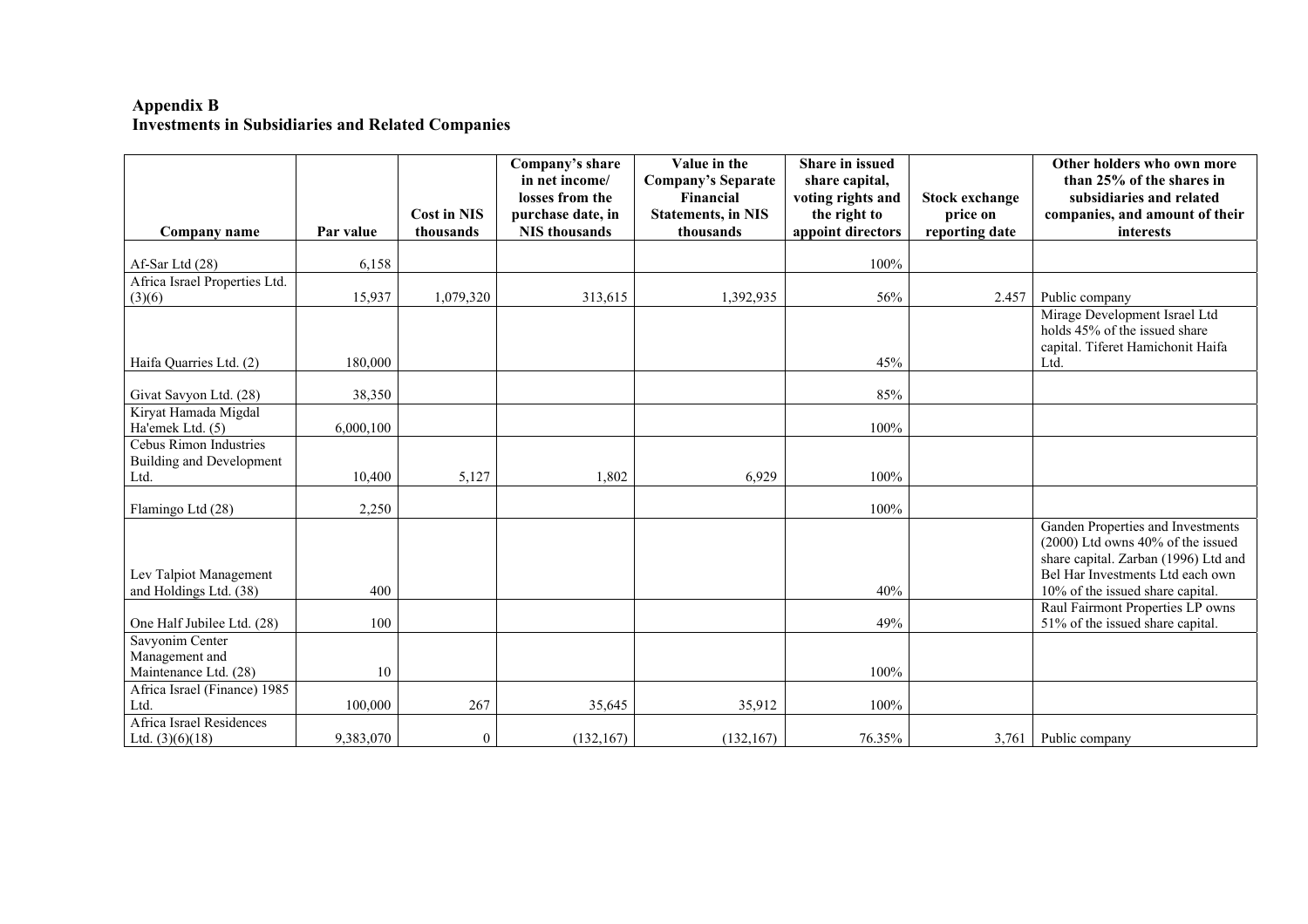## **Appendix B Investments in Subsidiaries and Related Companies**

|                                                  |           |                    | Company's share<br>in net income/<br>losses from the | Value in the<br><b>Company's Separate</b><br>Financial | <b>Share in issued</b><br>share capital,<br>voting rights and | <b>Stock exchange</b>      | Other holders who own more<br>than 25% of the shares in<br>subsidiaries and related                                                                                                         |
|--------------------------------------------------|-----------|--------------------|------------------------------------------------------|--------------------------------------------------------|---------------------------------------------------------------|----------------------------|---------------------------------------------------------------------------------------------------------------------------------------------------------------------------------------------|
|                                                  | Par value | <b>Cost in NIS</b> | purchase date, in<br><b>NIS</b> thousands            | <b>Statements, in NIS</b><br>thousands                 | the right to                                                  | price on<br>reporting date | companies, and amount of their<br>interests                                                                                                                                                 |
| Company name                                     |           | thousands          |                                                      |                                                        | appoint directors                                             |                            |                                                                                                                                                                                             |
| Af-Sar Ltd (28)                                  | 6,158     |                    |                                                      |                                                        | 100%                                                          |                            |                                                                                                                                                                                             |
| Africa Israel Properties Ltd.                    |           |                    |                                                      |                                                        |                                                               |                            |                                                                                                                                                                                             |
| (3)(6)                                           | 15,937    | 1,079,320          | 313,615                                              | 1,392,935                                              | 56%                                                           | 2.457                      | Public company                                                                                                                                                                              |
| Haifa Quarries Ltd. (2)                          | 180,000   |                    |                                                      |                                                        | 45%                                                           |                            | Mirage Development Israel Ltd<br>holds 45% of the issued share<br>capital. Tiferet Hamichonit Haifa<br>Ltd.                                                                                 |
| Givat Savyon Ltd. (28)                           | 38,350    |                    |                                                      |                                                        | 85%                                                           |                            |                                                                                                                                                                                             |
| Kiryat Hamada Migdal<br>Ha'emek Ltd. (5)         | 6,000,100 |                    |                                                      |                                                        | 100%                                                          |                            |                                                                                                                                                                                             |
| <b>Cebus Rimon Industries</b>                    |           |                    |                                                      |                                                        |                                                               |                            |                                                                                                                                                                                             |
| Building and Development                         |           |                    |                                                      |                                                        |                                                               |                            |                                                                                                                                                                                             |
| Ltd.                                             | 10,400    | 5,127              | 1,802                                                | 6,929                                                  | 100%                                                          |                            |                                                                                                                                                                                             |
| Flamingo Ltd (28)                                | 2,250     |                    |                                                      |                                                        | 100%                                                          |                            |                                                                                                                                                                                             |
| Lev Talpiot Management<br>and Holdings Ltd. (38) | 400       |                    |                                                      |                                                        | 40%                                                           |                            | Ganden Properties and Investments<br>$(2000)$ Ltd owns $40\%$ of the issued<br>share capital. Zarban (1996) Ltd and<br>Bel Har Investments Ltd each own<br>10% of the issued share capital. |
| One Half Jubilee Ltd. (28)                       | 100       |                    |                                                      |                                                        | 49%                                                           |                            | Raul Fairmont Properties LP owns<br>51% of the issued share capital.                                                                                                                        |
| Savyonim Center                                  |           |                    |                                                      |                                                        |                                                               |                            |                                                                                                                                                                                             |
| Management and<br>Maintenance Ltd. (28)          | 10        |                    |                                                      |                                                        | 100%                                                          |                            |                                                                                                                                                                                             |
| Africa Israel (Finance) 1985                     |           |                    |                                                      |                                                        |                                                               |                            |                                                                                                                                                                                             |
| Ltd.                                             | 100,000   | 267                | 35,645                                               | 35,912                                                 | 100%                                                          |                            |                                                                                                                                                                                             |
| Africa Israel Residences<br>Ltd. $(3)(6)(18)$    | 9,383,070 | $\theta$           | (132, 167)                                           | (132, 167)                                             | 76.35%                                                        | 3,761                      | Public company                                                                                                                                                                              |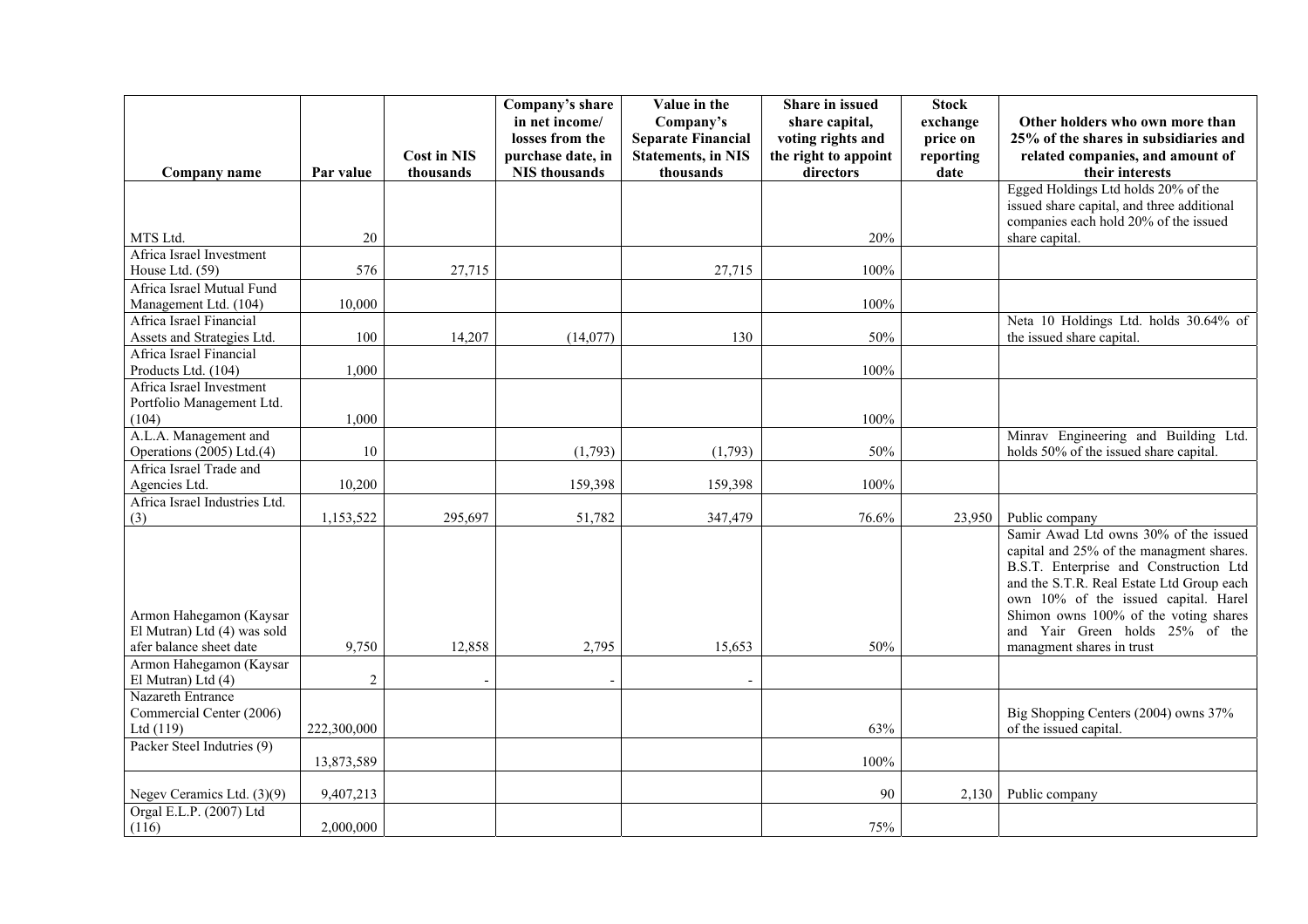|                                                       |                |                    | Company's share      | Value in the              | Share in issued      | <b>Stock</b> |                                            |
|-------------------------------------------------------|----------------|--------------------|----------------------|---------------------------|----------------------|--------------|--------------------------------------------|
|                                                       |                |                    | in net income/       | Company's                 | share capital,       | exchange     | Other holders who own more than            |
|                                                       |                |                    | losses from the      | <b>Separate Financial</b> | voting rights and    | price on     | 25% of the shares in subsidiaries and      |
|                                                       |                | <b>Cost in NIS</b> | purchase date, in    | <b>Statements, in NIS</b> | the right to appoint | reporting    | related companies, and amount of           |
| Company name                                          | Par value      | thousands          | <b>NIS</b> thousands | thousands                 | directors            | date         | their interests                            |
|                                                       |                |                    |                      |                           |                      |              | Egged Holdings Ltd holds 20% of the        |
|                                                       |                |                    |                      |                           |                      |              | issued share capital, and three additional |
|                                                       |                |                    |                      |                           |                      |              | companies each hold 20% of the issued      |
| MTS Ltd.                                              | 20             |                    |                      |                           | 20%                  |              | share capital.                             |
| Africa Israel Investment                              |                |                    |                      |                           |                      |              |                                            |
| House Ltd. (59)                                       | 576            | 27,715             |                      | 27,715                    | 100%                 |              |                                            |
| Africa Israel Mutual Fund                             |                |                    |                      |                           |                      |              |                                            |
| Management Ltd. (104)                                 | 10.000         |                    |                      |                           | 100%                 |              |                                            |
| Africa Israel Financial                               |                |                    |                      |                           |                      |              | Neta 10 Holdings Ltd. holds 30.64% of      |
| Assets and Strategies Ltd.<br>Africa Israel Financial | 100            | 14,207             | (14, 077)            | 130                       | 50%                  |              | the issued share capital.                  |
|                                                       |                |                    |                      |                           |                      |              |                                            |
| Products Ltd. (104)<br>Africa Israel Investment       | 1,000          |                    |                      |                           | 100%                 |              |                                            |
| Portfolio Management Ltd.                             |                |                    |                      |                           |                      |              |                                            |
| (104)                                                 | 1,000          |                    |                      |                           | 100%                 |              |                                            |
| A.L.A. Management and                                 |                |                    |                      |                           |                      |              | Minrav Engineering and Building Ltd.       |
| Operations (2005) Ltd.(4)                             | 10             |                    | (1,793)              | (1,793)                   | 50%                  |              | holds 50% of the issued share capital.     |
| Africa Israel Trade and                               |                |                    |                      |                           |                      |              |                                            |
| Agencies Ltd.                                         | 10,200         |                    | 159,398              | 159,398                   | 100%                 |              |                                            |
| Africa Israel Industries Ltd.                         |                |                    |                      |                           |                      |              |                                            |
| (3)                                                   | 1,153,522      | 295,697            | 51,782               | 347,479                   | 76.6%                | 23,950       | Public company                             |
|                                                       |                |                    |                      |                           |                      |              | Samir Awad Ltd owns 30% of the issued      |
|                                                       |                |                    |                      |                           |                      |              | capital and 25% of the managment shares.   |
|                                                       |                |                    |                      |                           |                      |              | B.S.T. Enterprise and Construction Ltd     |
|                                                       |                |                    |                      |                           |                      |              | and the S.T.R. Real Estate Ltd Group each  |
|                                                       |                |                    |                      |                           |                      |              | own 10% of the issued capital. Harel       |
| Armon Hahegamon (Kaysar                               |                |                    |                      |                           |                      |              | Shimon owns 100% of the voting shares      |
| El Mutran) Ltd (4) was sold                           |                |                    |                      |                           |                      |              | and Yair Green holds 25% of the            |
| afer balance sheet date                               | 9,750          | 12,858             | 2,795                | 15,653                    | 50%                  |              | managment shares in trust                  |
| Armon Hahegamon (Kaysar                               |                |                    |                      |                           |                      |              |                                            |
| El Mutran) Ltd (4)                                    | $\overline{2}$ |                    |                      |                           |                      |              |                                            |
| Nazareth Entrance                                     |                |                    |                      |                           |                      |              |                                            |
| Commercial Center (2006)                              |                |                    |                      |                           |                      |              | Big Shopping Centers (2004) owns 37%       |
| Ltd (119)                                             | 222,300,000    |                    |                      |                           | 63%                  |              | of the issued capital.                     |
| Packer Steel Indutries (9)                            |                |                    |                      |                           |                      |              |                                            |
|                                                       | 13,873,589     |                    |                      |                           | 100%                 |              |                                            |
|                                                       |                |                    |                      |                           |                      |              |                                            |
| Negev Ceramics Ltd. (3)(9)                            | 9,407,213      |                    |                      |                           | 90                   | 2,130        | Public company                             |
| Orgal E.L.P. (2007) Ltd                               |                |                    |                      |                           |                      |              |                                            |
| (116)                                                 | 2,000,000      |                    |                      |                           | 75%                  |              |                                            |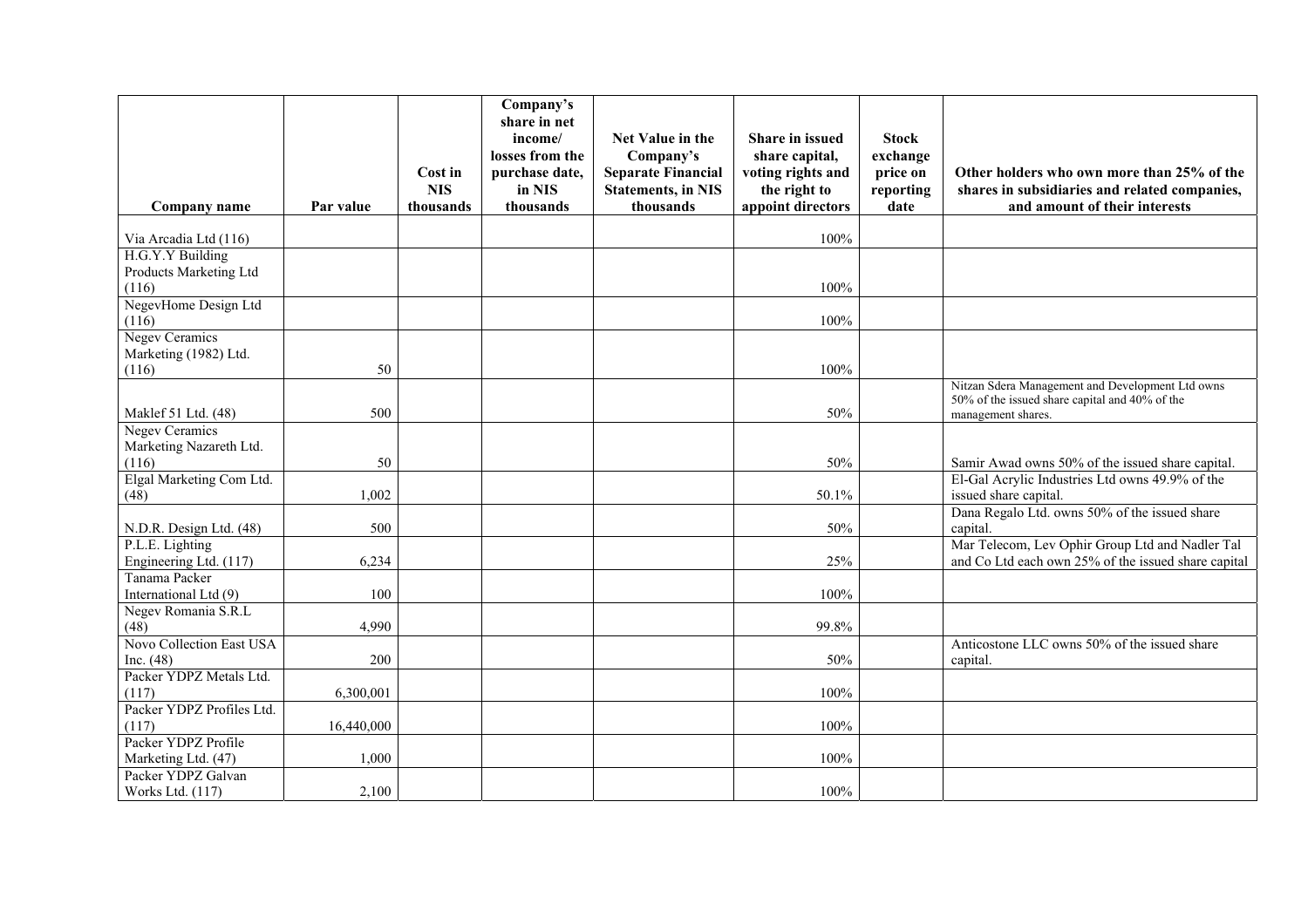| Company name                                            | Par value  | Cost in<br><b>NIS</b><br>thousands | Company's<br>share in net<br>income/<br>losses from the<br>purchase date,<br>in NIS<br>thousands | Net Value in the<br>Company's<br><b>Separate Financial</b><br><b>Statements, in NIS</b><br>thousands | Share in issued<br>share capital,<br>voting rights and<br>the right to<br>appoint directors | <b>Stock</b><br>exchange<br>price on<br>reporting<br>date | Other holders who own more than 25% of the<br>shares in subsidiaries and related companies,<br>and amount of their interests |
|---------------------------------------------------------|------------|------------------------------------|--------------------------------------------------------------------------------------------------|------------------------------------------------------------------------------------------------------|---------------------------------------------------------------------------------------------|-----------------------------------------------------------|------------------------------------------------------------------------------------------------------------------------------|
| Via Arcadia Ltd (116)                                   |            |                                    |                                                                                                  |                                                                                                      | 100%                                                                                        |                                                           |                                                                                                                              |
| H.G.Y.Y Building<br>Products Marketing Ltd<br>(116)     |            |                                    |                                                                                                  |                                                                                                      | 100%                                                                                        |                                                           |                                                                                                                              |
| NegevHome Design Ltd<br>(116)                           |            |                                    |                                                                                                  |                                                                                                      | 100%                                                                                        |                                                           |                                                                                                                              |
| <b>Negev Ceramics</b><br>Marketing (1982) Ltd.<br>(116) | 50         |                                    |                                                                                                  |                                                                                                      | 100%                                                                                        |                                                           |                                                                                                                              |
| Maklef 51 Ltd. (48)                                     | 500        |                                    |                                                                                                  |                                                                                                      | 50%                                                                                         |                                                           | Nitzan Sdera Management and Development Ltd owns<br>50% of the issued share capital and 40% of the<br>management shares.     |
| Negev Ceramics<br>Marketing Nazareth Ltd.<br>(116)      | 50         |                                    |                                                                                                  |                                                                                                      | 50%                                                                                         |                                                           | Samir Awad owns 50% of the issued share capital.                                                                             |
| Elgal Marketing Com Ltd.<br>(48)                        | 1,002      |                                    |                                                                                                  |                                                                                                      | 50.1%                                                                                       |                                                           | El-Gal Acrylic Industries Ltd owns 49.9% of the<br>issued share capital.                                                     |
| N.D.R. Design Ltd. (48)                                 | 500        |                                    |                                                                                                  |                                                                                                      | 50%                                                                                         |                                                           | Dana Regalo Ltd. owns 50% of the issued share<br>capital.                                                                    |
| P.L.E. Lighting<br>Engineering Ltd. (117)               | 6,234      |                                    |                                                                                                  |                                                                                                      | 25%                                                                                         |                                                           | Mar Telecom, Lev Ophir Group Ltd and Nadler Tal<br>and Co Ltd each own 25% of the issued share capital                       |
| Tanama Packer<br>International Ltd (9)                  | 100        |                                    |                                                                                                  |                                                                                                      | 100%                                                                                        |                                                           |                                                                                                                              |
| Negev Romania S.R.L<br>(48)                             | 4,990      |                                    |                                                                                                  |                                                                                                      | 99.8%                                                                                       |                                                           |                                                                                                                              |
| Novo Collection East USA<br>Inc. $(48)$                 | 200        |                                    |                                                                                                  |                                                                                                      | 50%                                                                                         |                                                           | Anticostone LLC owns 50% of the issued share<br>capital.                                                                     |
| Packer YDPZ Metals Ltd.<br>(117)                        | 6,300,001  |                                    |                                                                                                  |                                                                                                      | 100%                                                                                        |                                                           |                                                                                                                              |
| Packer YDPZ Profiles Ltd.<br>(117)                      | 16,440,000 |                                    |                                                                                                  |                                                                                                      | 100%                                                                                        |                                                           |                                                                                                                              |
| Packer YDPZ Profile<br>Marketing Ltd. (47)              | 1,000      |                                    |                                                                                                  |                                                                                                      | 100%                                                                                        |                                                           |                                                                                                                              |
| Packer YDPZ Galvan<br>Works Ltd. (117)                  | 2,100      |                                    |                                                                                                  |                                                                                                      | 100%                                                                                        |                                                           |                                                                                                                              |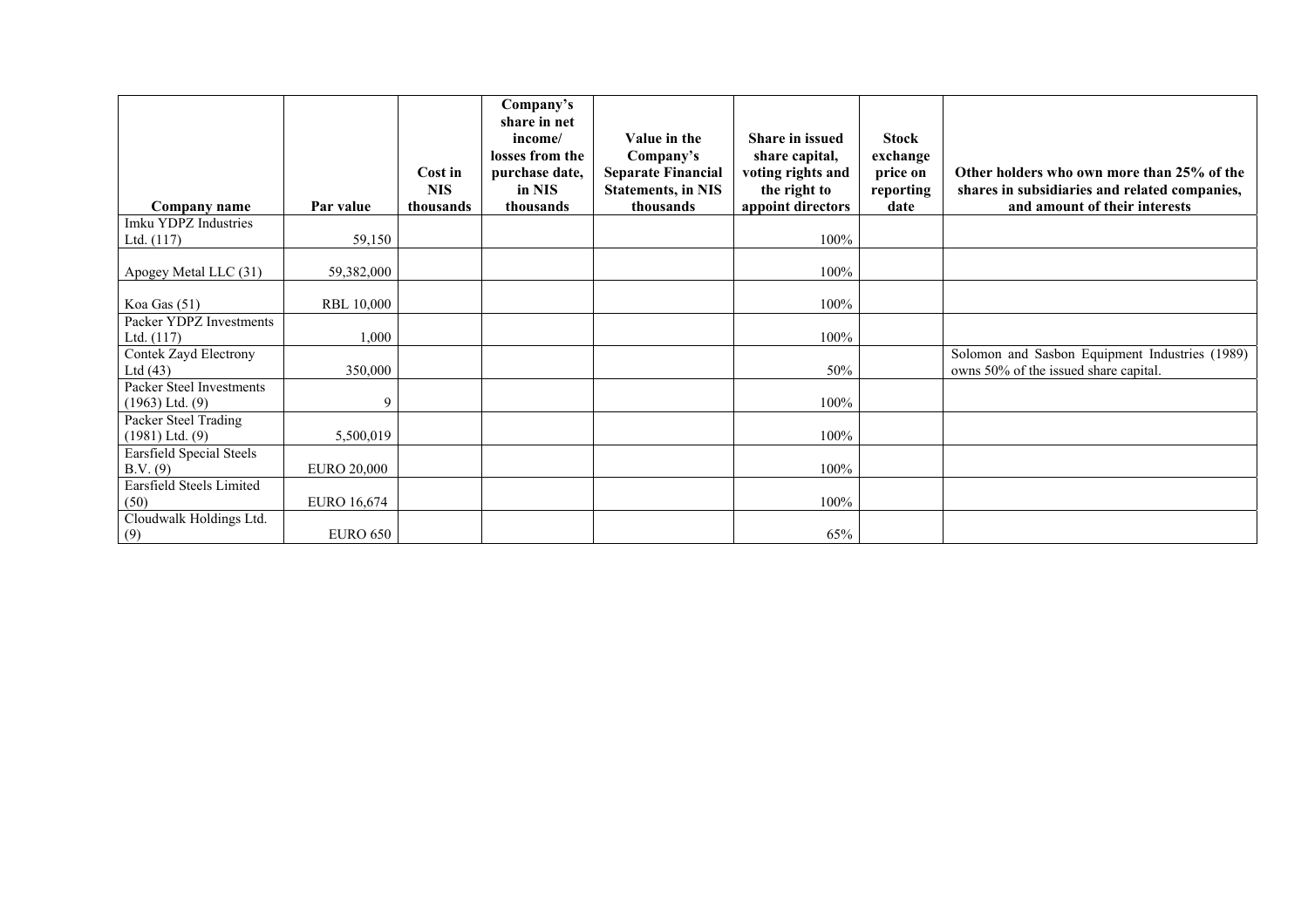|                                                 |                    | Cost in                 | Company's<br>share in net<br>income/<br>losses from the<br>purchase date, | Value in the<br>Company's<br><b>Separate Financial</b> | <b>Share in issued</b><br>share capital,<br>voting rights and | <b>Stock</b><br>exchange<br>price on | Other holders who own more than 25% of the                                              |
|-------------------------------------------------|--------------------|-------------------------|---------------------------------------------------------------------------|--------------------------------------------------------|---------------------------------------------------------------|--------------------------------------|-----------------------------------------------------------------------------------------|
| Company name                                    | Par value          | <b>NIS</b><br>thousands | in NIS<br>thousands                                                       | <b>Statements, in NIS</b><br>thousands                 | the right to<br>appoint directors                             | reporting<br>date                    | shares in subsidiaries and related companies,<br>and amount of their interests          |
| Imku YDPZ Industries                            |                    |                         |                                                                           |                                                        |                                                               |                                      |                                                                                         |
| Ltd. $(117)$                                    | 59,150             |                         |                                                                           |                                                        | 100%                                                          |                                      |                                                                                         |
| Apogey Metal LLC (31)                           | 59,382,000         |                         |                                                                           |                                                        | 100%                                                          |                                      |                                                                                         |
| Koa Gas $(51)$                                  | <b>RBL 10,000</b>  |                         |                                                                           |                                                        | 100%                                                          |                                      |                                                                                         |
| Packer YDPZ Investments<br>Ltd. $(117)$         | 1,000              |                         |                                                                           |                                                        | 100%                                                          |                                      |                                                                                         |
| Contek Zayd Electrony<br>Ltd $(43)$             | 350,000            |                         |                                                                           |                                                        | 50%                                                           |                                      | Solomon and Sasbon Equipment Industries (1989)<br>owns 50% of the issued share capital. |
| Packer Steel Investments<br>$(1963)$ Ltd. $(9)$ | q                  |                         |                                                                           |                                                        | 100%                                                          |                                      |                                                                                         |
| Packer Steel Trading<br>$(1981)$ Ltd. $(9)$     | 5,500,019          |                         |                                                                           |                                                        | 100%                                                          |                                      |                                                                                         |
| Earsfield Special Steels<br>B.V. (9)            | <b>EURO 20,000</b> |                         |                                                                           |                                                        | 100%                                                          |                                      |                                                                                         |
| Earsfield Steels Limited<br>(50)                | <b>EURO 16,674</b> |                         |                                                                           |                                                        | 100%                                                          |                                      |                                                                                         |
| Cloudwalk Holdings Ltd.<br>(9)                  | <b>EURO 650</b>    |                         |                                                                           |                                                        | 65%                                                           |                                      |                                                                                         |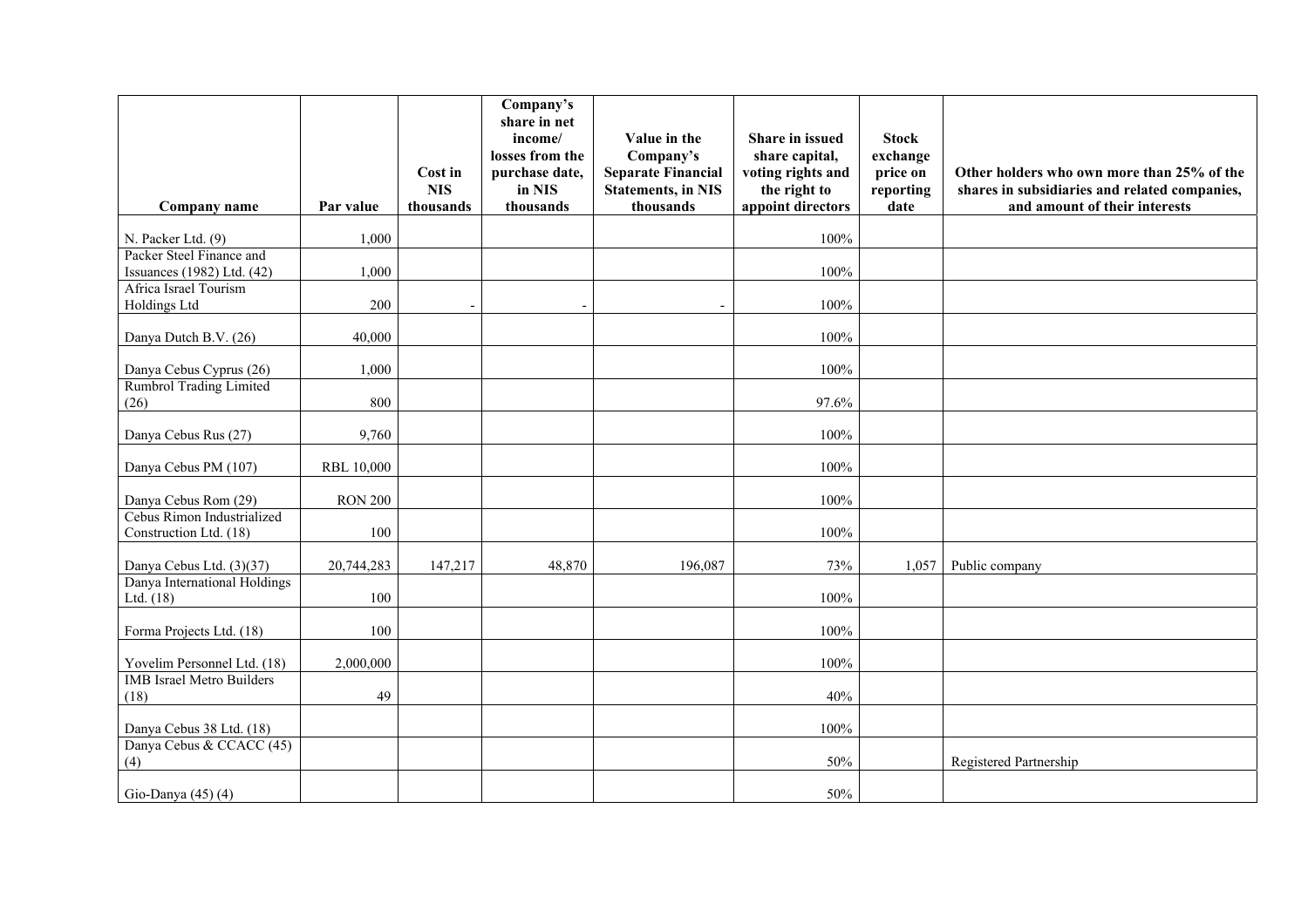| Company name                                           | Par value         | Cost in<br><b>NIS</b><br>thousands | Company's<br>share in net<br>income/<br>losses from the<br>purchase date,<br>in NIS<br>thousands | Value in the<br>Company's<br><b>Separate Financial</b><br><b>Statements, in NIS</b><br>thousands | Share in issued<br>share capital,<br>voting rights and<br>the right to<br>appoint directors | <b>Stock</b><br>exchange<br>price on<br>reporting<br>date | Other holders who own more than 25% of the<br>shares in subsidiaries and related companies,<br>and amount of their interests |
|--------------------------------------------------------|-------------------|------------------------------------|--------------------------------------------------------------------------------------------------|--------------------------------------------------------------------------------------------------|---------------------------------------------------------------------------------------------|-----------------------------------------------------------|------------------------------------------------------------------------------------------------------------------------------|
| N. Packer Ltd. (9)                                     | 1,000             |                                    |                                                                                                  |                                                                                                  | 100%                                                                                        |                                                           |                                                                                                                              |
| Packer Steel Finance and<br>Issuances (1982) Ltd. (42) | 1,000             |                                    |                                                                                                  |                                                                                                  | 100%                                                                                        |                                                           |                                                                                                                              |
| Africa Israel Tourism<br>Holdings Ltd                  | 200               | $\overline{\phantom{a}}$           |                                                                                                  | $\overline{\phantom{a}}$                                                                         | 100%                                                                                        |                                                           |                                                                                                                              |
| Danya Dutch B.V. (26)                                  | 40,000            |                                    |                                                                                                  |                                                                                                  | 100%                                                                                        |                                                           |                                                                                                                              |
| Danya Cebus Cyprus (26)                                | 1,000             |                                    |                                                                                                  |                                                                                                  | 100%                                                                                        |                                                           |                                                                                                                              |
| Rumbrol Trading Limited<br>(26)                        | 800               |                                    |                                                                                                  |                                                                                                  | 97.6%                                                                                       |                                                           |                                                                                                                              |
| Danya Cebus Rus (27)                                   | 9,760             |                                    |                                                                                                  |                                                                                                  | 100%                                                                                        |                                                           |                                                                                                                              |
| Danya Cebus PM (107)                                   | <b>RBL 10,000</b> |                                    |                                                                                                  |                                                                                                  | 100%                                                                                        |                                                           |                                                                                                                              |
| Danya Cebus Rom (29)                                   | <b>RON 200</b>    |                                    |                                                                                                  |                                                                                                  | 100%                                                                                        |                                                           |                                                                                                                              |
| Cebus Rimon Industrialized<br>Construction Ltd. (18)   | 100               |                                    |                                                                                                  |                                                                                                  | 100%                                                                                        |                                                           |                                                                                                                              |
| Danya Cebus Ltd. (3)(37)                               | 20,744,283        | 147,217                            | 48,870                                                                                           | 196,087                                                                                          | 73%                                                                                         | 1,057                                                     | Public company                                                                                                               |
| Danya International Holdings<br>Ltd. $(18)$            | 100               |                                    |                                                                                                  |                                                                                                  | 100%                                                                                        |                                                           |                                                                                                                              |
| Forma Projects Ltd. (18)                               | 100               |                                    |                                                                                                  |                                                                                                  | 100%                                                                                        |                                                           |                                                                                                                              |
| Yovelim Personnel Ltd. (18)                            | 2,000,000         |                                    |                                                                                                  |                                                                                                  | 100%                                                                                        |                                                           |                                                                                                                              |
| <b>IMB</b> Israel Metro Builders<br>(18)               | 49                |                                    |                                                                                                  |                                                                                                  | 40%                                                                                         |                                                           |                                                                                                                              |
| Danya Cebus 38 Ltd. (18)                               |                   |                                    |                                                                                                  |                                                                                                  | 100%                                                                                        |                                                           |                                                                                                                              |
| Danya Cebus & CCACC (45)<br>(4)                        |                   |                                    |                                                                                                  |                                                                                                  | 50%                                                                                         |                                                           | Registered Partnership                                                                                                       |
| Gio-Danya (45) (4)                                     |                   |                                    |                                                                                                  |                                                                                                  | 50%                                                                                         |                                                           |                                                                                                                              |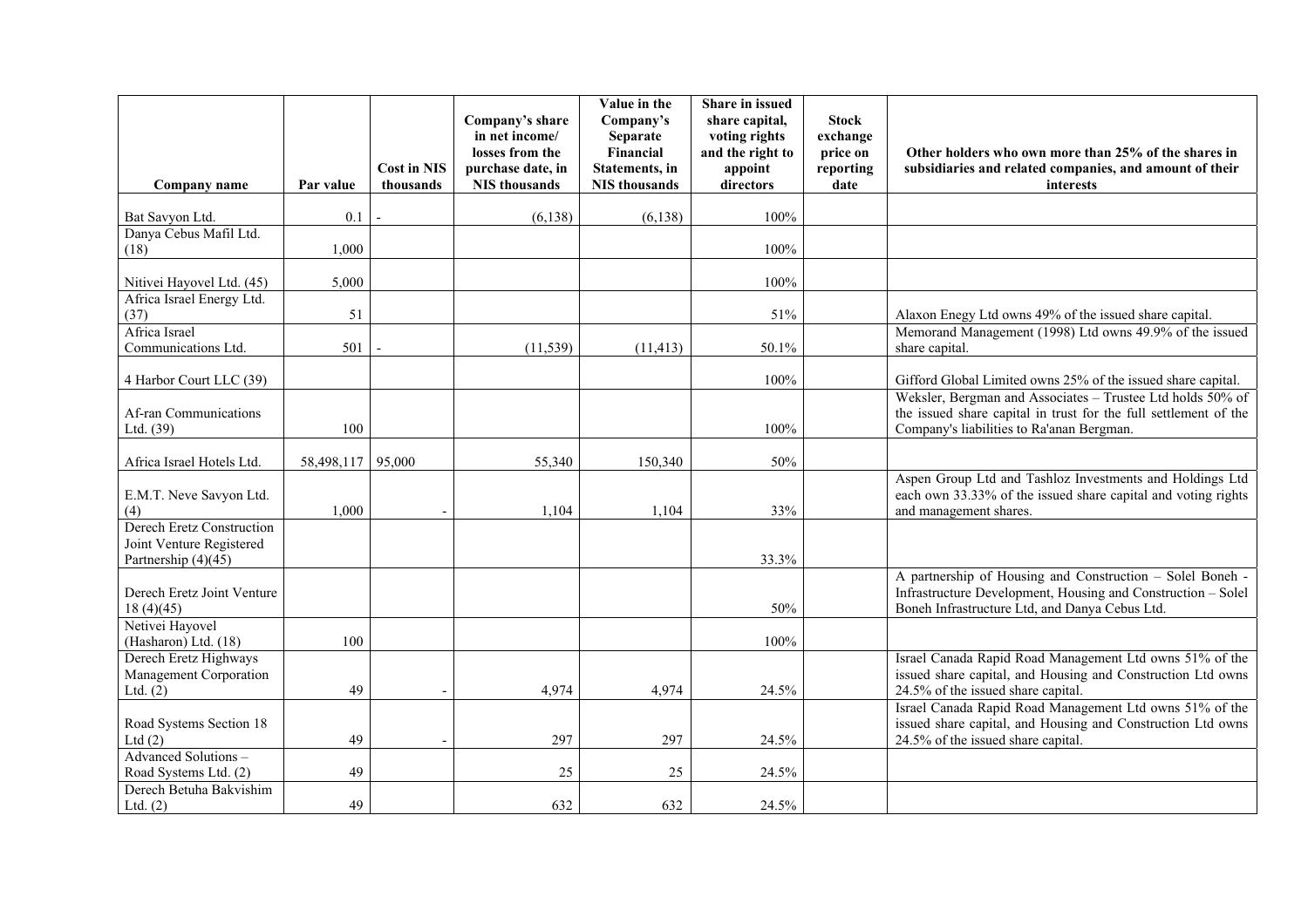|                                                                                |            |                                 | Company's share<br>in net income/                     | Value in the<br>Company's<br>Separate                       | Share in issued<br>share capital,<br>voting rights | <b>Stock</b><br>exchange      |                                                                                                                                                                             |
|--------------------------------------------------------------------------------|------------|---------------------------------|-------------------------------------------------------|-------------------------------------------------------------|----------------------------------------------------|-------------------------------|-----------------------------------------------------------------------------------------------------------------------------------------------------------------------------|
| Company name                                                                   | Par value  | <b>Cost in NIS</b><br>thousands | losses from the<br>purchase date, in<br>NIS thousands | Financial<br><b>Statements</b> , in<br><b>NIS</b> thousands | and the right to<br>appoint<br>directors           | price on<br>reporting<br>date | Other holders who own more than 25% of the shares in<br>subsidiaries and related companies, and amount of their<br>interests                                                |
| Bat Savyon Ltd.                                                                | 0.1        |                                 | (6, 138)                                              | (6, 138)                                                    | 100%                                               |                               |                                                                                                                                                                             |
| Danya Cebus Mafil Ltd.<br>(18)                                                 | 1,000      |                                 |                                                       |                                                             | 100%                                               |                               |                                                                                                                                                                             |
| Nitivei Hayovel Ltd. (45)                                                      | 5,000      |                                 |                                                       |                                                             | 100%                                               |                               |                                                                                                                                                                             |
| Africa Israel Energy Ltd.<br>(37)                                              | 51         |                                 |                                                       |                                                             | 51%                                                |                               | Alaxon Enegy Ltd owns 49% of the issued share capital.                                                                                                                      |
| Africa Israel<br>Communications Ltd.                                           | 501        |                                 | (11, 539)                                             | (11, 413)                                                   | 50.1%                                              |                               | Memorand Management (1998) Ltd owns 49.9% of the issued<br>share capital.                                                                                                   |
| 4 Harbor Court LLC (39)                                                        |            |                                 |                                                       |                                                             | 100%                                               |                               | Gifford Global Limited owns 25% of the issued share capital.                                                                                                                |
| Af-ran Communications<br>Ltd. (39)                                             | 100        |                                 |                                                       |                                                             | 100%                                               |                               | Weksler, Bergman and Associates - Trustee Ltd holds 50% of<br>the issued share capital in trust for the full settlement of the<br>Company's liabilities to Ra'anan Bergman. |
| Africa Israel Hotels Ltd.                                                      | 58,498,117 | 95,000                          | 55,340                                                | 150,340                                                     | 50%                                                |                               |                                                                                                                                                                             |
| E.M.T. Neve Savyon Ltd.<br>(4)                                                 | 1,000      |                                 | 1,104                                                 | 1,104                                                       | 33%                                                |                               | Aspen Group Ltd and Tashloz Investments and Holdings Ltd<br>each own 33.33% of the issued share capital and voting rights<br>and management shares.                         |
| Derech Eretz Construction<br>Joint Venture Registered<br>Partnership $(4)(45)$ |            |                                 |                                                       |                                                             | 33.3%                                              |                               |                                                                                                                                                                             |
| Derech Eretz Joint Venture<br>18(4)(45)                                        |            |                                 |                                                       |                                                             | 50%                                                |                               | A partnership of Housing and Construction - Solel Boneh -<br>Infrastructure Development, Housing and Construction - Solel<br>Boneh Infrastructure Ltd, and Danya Cebus Ltd. |
| Netivei Hayovel<br>(Hasharon) Ltd. (18)                                        | 100        |                                 |                                                       |                                                             | 100%                                               |                               |                                                                                                                                                                             |
| Derech Eretz Highways<br>Management Corporation<br>Ltd. $(2)$                  | 49         |                                 | 4,974                                                 | 4,974                                                       | 24.5%                                              |                               | Israel Canada Rapid Road Management Ltd owns 51% of the<br>issued share capital, and Housing and Construction Ltd owns<br>24.5% of the issued share capital.                |
| Road Systems Section 18<br>Ltd $(2)$                                           | 49         |                                 | 297                                                   | 297                                                         | 24.5%                                              |                               | Israel Canada Rapid Road Management Ltd owns 51% of the<br>issued share capital, and Housing and Construction Ltd owns<br>24.5% of the issued share capital.                |
| Advanced Solutions -<br>Road Systems Ltd. (2)                                  | 49         |                                 | 25                                                    | 25                                                          | 24.5%                                              |                               |                                                                                                                                                                             |
| Derech Betuha Bakvishim<br>Ltd. $(2)$                                          | 49         |                                 | 632                                                   | 632                                                         | 24.5%                                              |                               |                                                                                                                                                                             |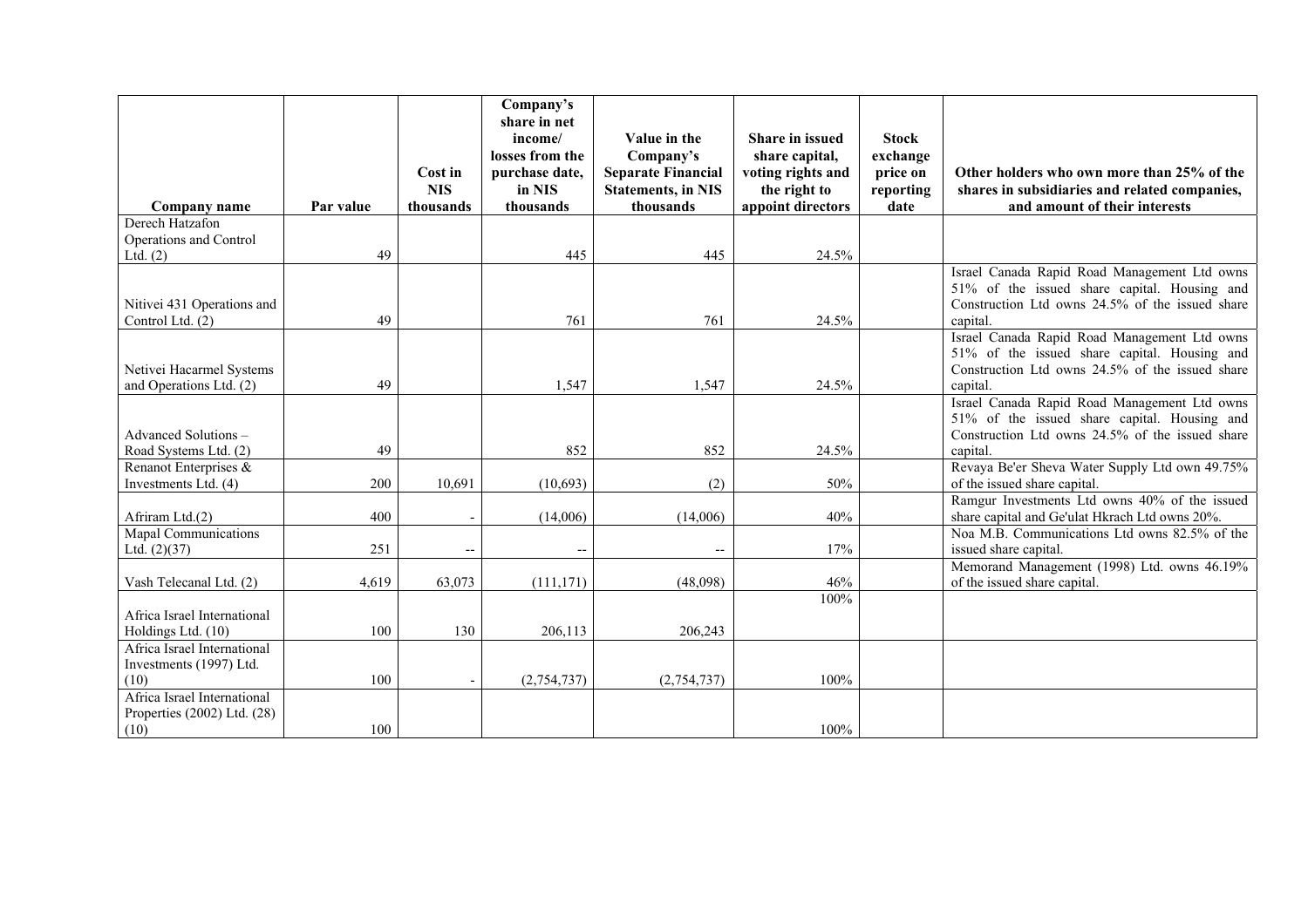|                                                                    |           | Cost in<br><b>NIS</b>    | Company's<br>share in net<br>income/<br>losses from the<br>purchase date,<br>in NIS | Value in the<br>Company's<br><b>Separate Financial</b><br><b>Statements, in NIS</b> | <b>Share in issued</b><br>share capital,<br>voting rights and<br>the right to | <b>Stock</b><br>exchange<br>price on<br>reporting | Other holders who own more than 25% of the<br>shares in subsidiaries and related companies,                                                                 |
|--------------------------------------------------------------------|-----------|--------------------------|-------------------------------------------------------------------------------------|-------------------------------------------------------------------------------------|-------------------------------------------------------------------------------|---------------------------------------------------|-------------------------------------------------------------------------------------------------------------------------------------------------------------|
| Company name                                                       | Par value | thousands                | thousands                                                                           | thousands                                                                           | appoint directors                                                             | date                                              | and amount of their interests                                                                                                                               |
| Derech Hatzafon                                                    |           |                          |                                                                                     |                                                                                     |                                                                               |                                                   |                                                                                                                                                             |
| Operations and Control                                             |           |                          |                                                                                     |                                                                                     |                                                                               |                                                   |                                                                                                                                                             |
| Ltd. $(2)$                                                         | 49        |                          | 445                                                                                 | 445                                                                                 | 24.5%                                                                         |                                                   |                                                                                                                                                             |
| Nitivei 431 Operations and<br>Control Ltd. (2)                     | 49        |                          | 761                                                                                 | 761                                                                                 | 24.5%                                                                         |                                                   | Israel Canada Rapid Road Management Ltd owns<br>51% of the issued share capital. Housing and<br>Construction Ltd owns 24.5% of the issued share<br>capital. |
| Netivei Hacarmel Systems<br>and Operations Ltd. (2)                | 49        |                          | 1,547                                                                               | 1,547                                                                               | 24.5%                                                                         |                                                   | Israel Canada Rapid Road Management Ltd owns<br>51% of the issued share capital. Housing and<br>Construction Ltd owns 24.5% of the issued share<br>capital. |
| Advanced Solutions-<br>Road Systems Ltd. (2)                       | 49        |                          | 852                                                                                 | 852                                                                                 | 24.5%                                                                         |                                                   | Israel Canada Rapid Road Management Ltd owns<br>51% of the issued share capital. Housing and<br>Construction Ltd owns 24.5% of the issued share<br>capital. |
| Renanot Enterprises &                                              |           |                          |                                                                                     |                                                                                     |                                                                               |                                                   | Revaya Be'er Sheva Water Supply Ltd own 49.75%                                                                                                              |
| Investments Ltd. (4)                                               | 200       | 10,691                   | (10,693)                                                                            | (2)                                                                                 | 50%                                                                           |                                                   | of the issued share capital.                                                                                                                                |
| Afriram Ltd.(2)                                                    | 400       |                          | (14,006)                                                                            | (14,006)                                                                            | 40%                                                                           |                                                   | Ramgur Investments Ltd owns 40% of the issued<br>share capital and Ge'ulat Hkrach Ltd owns 20%.                                                             |
| Mapal Communications<br>Ltd. $(2)(37)$                             | 251       | $\overline{\phantom{a}}$ | $\overline{\phantom{a}}$                                                            | $\overline{\phantom{a}}$                                                            | 17%                                                                           |                                                   | Noa M.B. Communications Ltd owns 82.5% of the<br>issued share capital.                                                                                      |
| Vash Telecanal Ltd. (2)                                            | 4,619     | 63,073                   | (111, 171)                                                                          | (48,098)                                                                            | 46%                                                                           |                                                   | Memorand Management (1998) Ltd. owns 46.19%<br>of the issued share capital.                                                                                 |
| Africa Israel International<br>Holdings Ltd. (10)                  | 100       | 130                      | 206,113                                                                             | 206,243                                                                             | 100%                                                                          |                                                   |                                                                                                                                                             |
| Africa Israel International<br>Investments (1997) Ltd.<br>(10)     | 100       |                          | (2,754,737)                                                                         | (2,754,737)                                                                         | 100%                                                                          |                                                   |                                                                                                                                                             |
| Africa Israel International<br>Properties (2002) Ltd. (28)<br>(10) | 100       |                          |                                                                                     |                                                                                     | 100%                                                                          |                                                   |                                                                                                                                                             |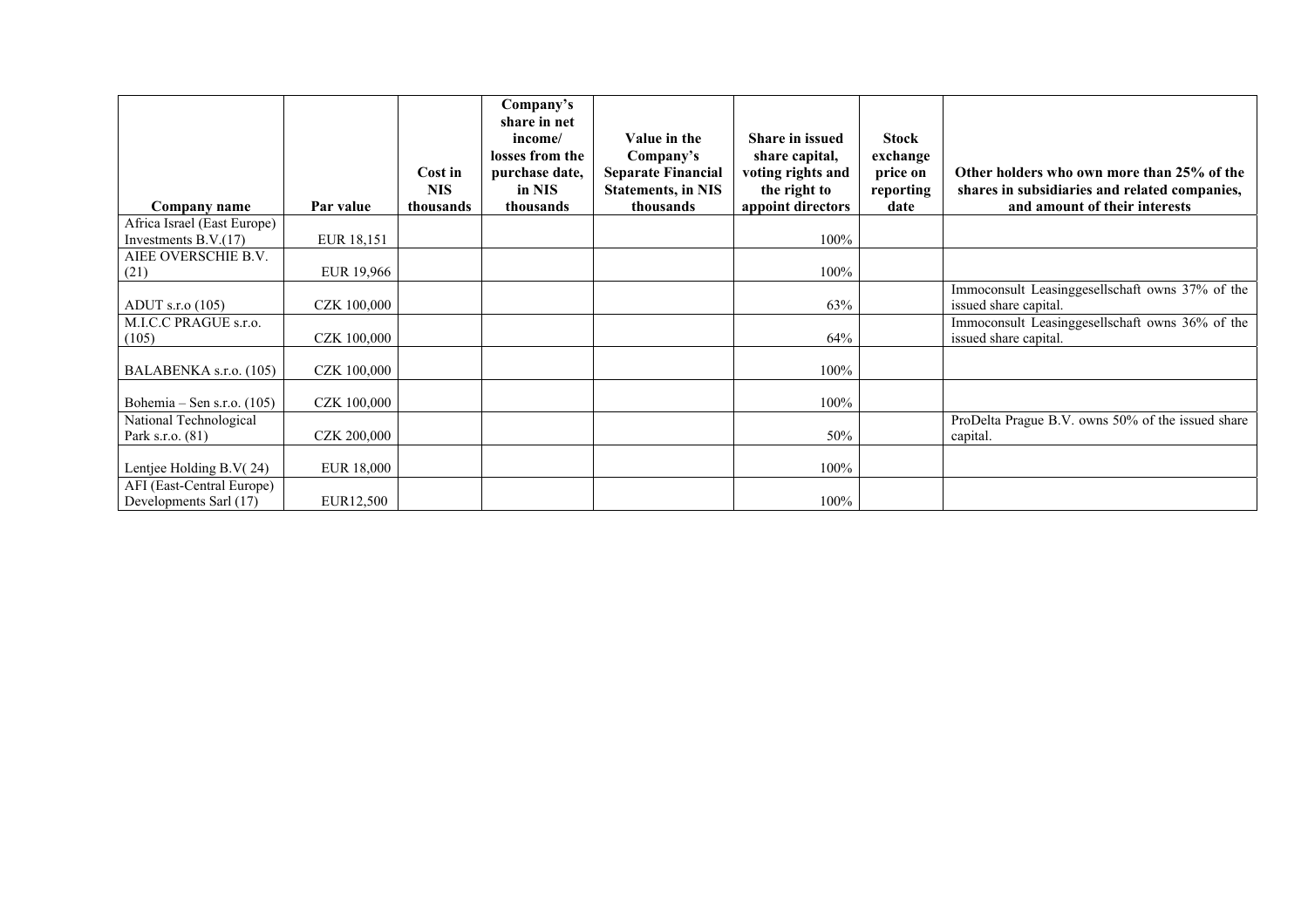| Company name                                          | Par value          | Cost in<br><b>NIS</b><br>thousands | Company's<br>share in net<br>income/<br>losses from the<br>purchase date,<br>in NIS<br>thousands | Value in the<br>Company's<br><b>Separate Financial</b><br><b>Statements, in NIS</b><br>thousands | <b>Share in issued</b><br>share capital,<br>voting rights and<br>the right to<br>appoint directors | <b>Stock</b><br>exchange<br>price on<br>reporting<br>date | Other holders who own more than 25% of the<br>shares in subsidiaries and related companies,<br>and amount of their interests |
|-------------------------------------------------------|--------------------|------------------------------------|--------------------------------------------------------------------------------------------------|--------------------------------------------------------------------------------------------------|----------------------------------------------------------------------------------------------------|-----------------------------------------------------------|------------------------------------------------------------------------------------------------------------------------------|
| Africa Israel (East Europe)<br>Investments $B.V.(17)$ | EUR 18,151         |                                    |                                                                                                  |                                                                                                  | 100%                                                                                               |                                                           |                                                                                                                              |
| AIEE OVERSCHIE B.V.<br>(21)                           | EUR 19,966         |                                    |                                                                                                  |                                                                                                  | 100%                                                                                               |                                                           |                                                                                                                              |
| ADUT s.r.o $(105)$                                    | <b>CZK 100,000</b> |                                    |                                                                                                  |                                                                                                  | 63%                                                                                                |                                                           | Immoconsult Leasinggesellschaft owns 37% of the<br>issued share capital.                                                     |
| M.I.C.C PRAGUE s.r.o.<br>(105)                        | CZK 100,000        |                                    |                                                                                                  |                                                                                                  | 64%                                                                                                |                                                           | Immoconsult Leasinggesellschaft owns 36% of the<br>issued share capital.                                                     |
| BALABENKA s.r.o. (105)                                | CZK 100,000        |                                    |                                                                                                  |                                                                                                  | 100%                                                                                               |                                                           |                                                                                                                              |
| Bohemia – Sen s.r.o. $(105)$                          | CZK 100,000        |                                    |                                                                                                  |                                                                                                  | 100%                                                                                               |                                                           |                                                                                                                              |
| National Technological<br>Park s.r.o. (81)            | <b>CZK 200,000</b> |                                    |                                                                                                  |                                                                                                  | 50%                                                                                                |                                                           | ProDelta Prague B.V. owns 50% of the issued share<br>capital.                                                                |
| Lentjee Holding B.V(24)                               | EUR 18,000         |                                    |                                                                                                  |                                                                                                  | 100%                                                                                               |                                                           |                                                                                                                              |
| AFI (East-Central Europe)<br>Developments Sarl (17)   | EUR12,500          |                                    |                                                                                                  |                                                                                                  | 100%                                                                                               |                                                           |                                                                                                                              |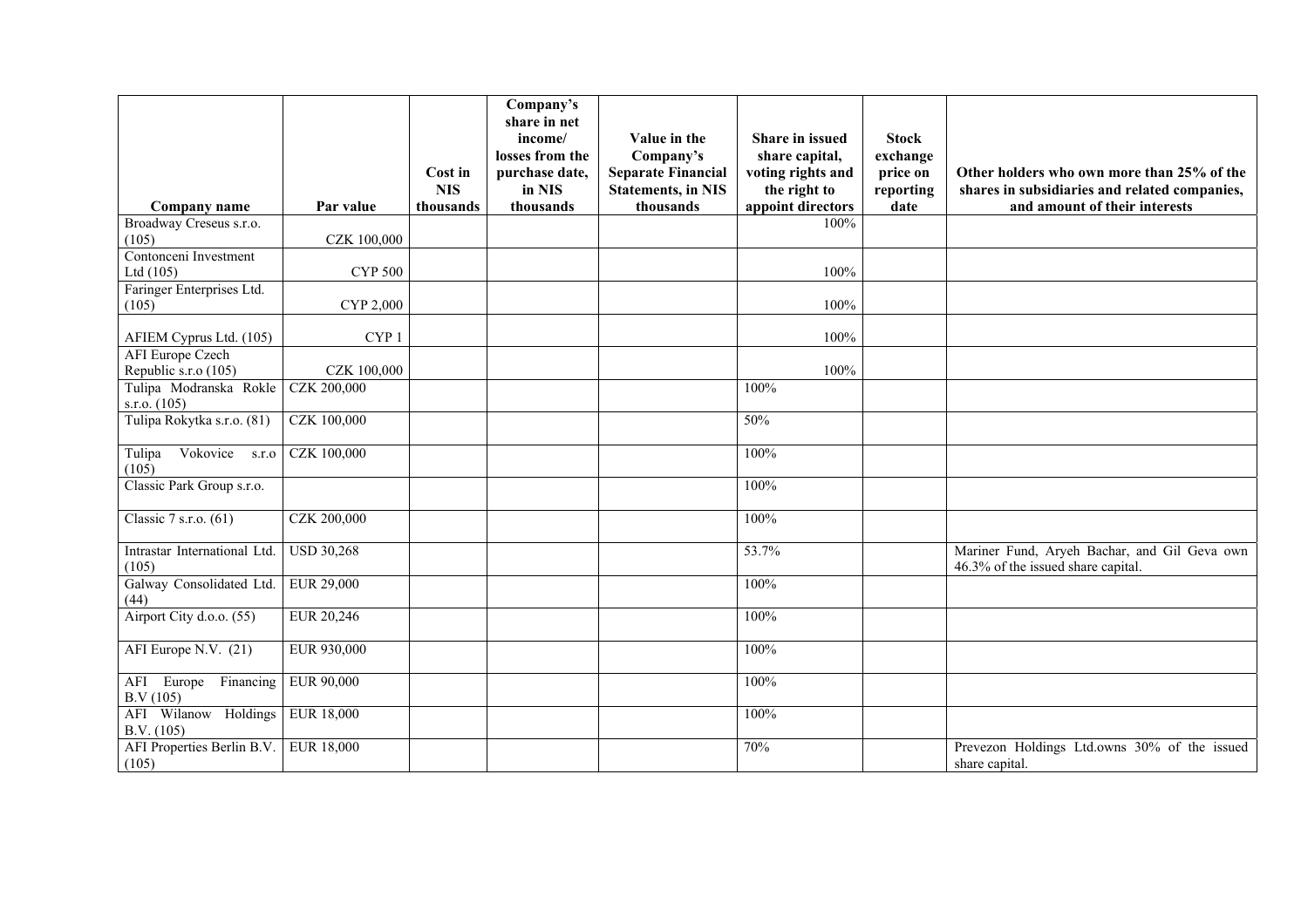|                                                |                    | Cost in<br><b>NIS</b> | Company's<br>share in net<br>income/<br>losses from the<br>purchase date,<br>in NIS | Value in the<br>Company's<br><b>Separate Financial</b><br><b>Statements, in NIS</b> | <b>Share in issued</b><br>share capital,<br>voting rights and<br>the right to | <b>Stock</b><br>exchange<br>price on<br>reporting | Other holders who own more than 25% of the<br>shares in subsidiaries and related companies, |
|------------------------------------------------|--------------------|-----------------------|-------------------------------------------------------------------------------------|-------------------------------------------------------------------------------------|-------------------------------------------------------------------------------|---------------------------------------------------|---------------------------------------------------------------------------------------------|
| Company name                                   | Par value          | thousands             | thousands                                                                           | thousands                                                                           | appoint directors                                                             | date                                              | and amount of their interests                                                               |
| Broadway Creseus s.r.o.                        |                    |                       |                                                                                     |                                                                                     | 100%                                                                          |                                                   |                                                                                             |
| (105)                                          | <b>CZK 100,000</b> |                       |                                                                                     |                                                                                     |                                                                               |                                                   |                                                                                             |
| Contonceni Investment                          |                    |                       |                                                                                     |                                                                                     |                                                                               |                                                   |                                                                                             |
| Ltd $(105)$                                    | <b>CYP 500</b>     |                       |                                                                                     |                                                                                     | 100%                                                                          |                                                   |                                                                                             |
| Faringer Enterprises Ltd.                      |                    |                       |                                                                                     |                                                                                     |                                                                               |                                                   |                                                                                             |
| (105)                                          | CYP 2,000          |                       |                                                                                     |                                                                                     | 100%                                                                          |                                                   |                                                                                             |
| AFIEM Cyprus Ltd. (105)                        | CYP <sub>1</sub>   |                       |                                                                                     |                                                                                     | 100%                                                                          |                                                   |                                                                                             |
| <b>AFI</b> Europe Czech                        |                    |                       |                                                                                     |                                                                                     |                                                                               |                                                   |                                                                                             |
|                                                | CZK 100,000        |                       |                                                                                     |                                                                                     | 100%                                                                          |                                                   |                                                                                             |
| Republic s.r.o (105)<br>Tulipa Modranska Rokle | <b>CZK 200,000</b> |                       |                                                                                     |                                                                                     | 100%                                                                          |                                                   |                                                                                             |
| s.r.o. $(105)$                                 |                    |                       |                                                                                     |                                                                                     |                                                                               |                                                   |                                                                                             |
| Tulipa Rokytka s.r.o. (81)                     | <b>CZK 100,000</b> |                       |                                                                                     |                                                                                     | 50%                                                                           |                                                   |                                                                                             |
| Vokovice<br>Tulipa<br>S.T.O<br>(105)           | <b>CZK 100,000</b> |                       |                                                                                     |                                                                                     | 100%                                                                          |                                                   |                                                                                             |
| Classic Park Group s.r.o.                      |                    |                       |                                                                                     |                                                                                     | 100%                                                                          |                                                   |                                                                                             |
| Classic 7 s.r.o. (61)                          | <b>CZK 200,000</b> |                       |                                                                                     |                                                                                     | 100%                                                                          |                                                   |                                                                                             |
| Intrastar International Ltd.<br>(105)          | <b>USD 30,268</b>  |                       |                                                                                     |                                                                                     | 53.7%                                                                         |                                                   | Mariner Fund, Aryeh Bachar, and Gil Geva own<br>46.3% of the issued share capital.          |
| Galway Consolidated Ltd.<br>(44)               | EUR 29,000         |                       |                                                                                     |                                                                                     | 100%                                                                          |                                                   |                                                                                             |
| Airport City d.o.o. (55)                       | EUR 20,246         |                       |                                                                                     |                                                                                     | 100%                                                                          |                                                   |                                                                                             |
| AFI Europe N.V. (21)                           | EUR 930,000        |                       |                                                                                     |                                                                                     | 100%                                                                          |                                                   |                                                                                             |
| AFI Europe Financing<br>B.V(105)               | EUR 90,000         |                       |                                                                                     |                                                                                     | 100%                                                                          |                                                   |                                                                                             |
| AFI Wilanow Holdings<br>B.V. (105)             | <b>EUR 18,000</b>  |                       |                                                                                     |                                                                                     | 100%                                                                          |                                                   |                                                                                             |
| AFI Properties Berlin B.V.<br>(105)            | <b>EUR 18,000</b>  |                       |                                                                                     |                                                                                     | 70%                                                                           |                                                   | Prevezon Holdings Ltd.owns 30% of the issued<br>share capital.                              |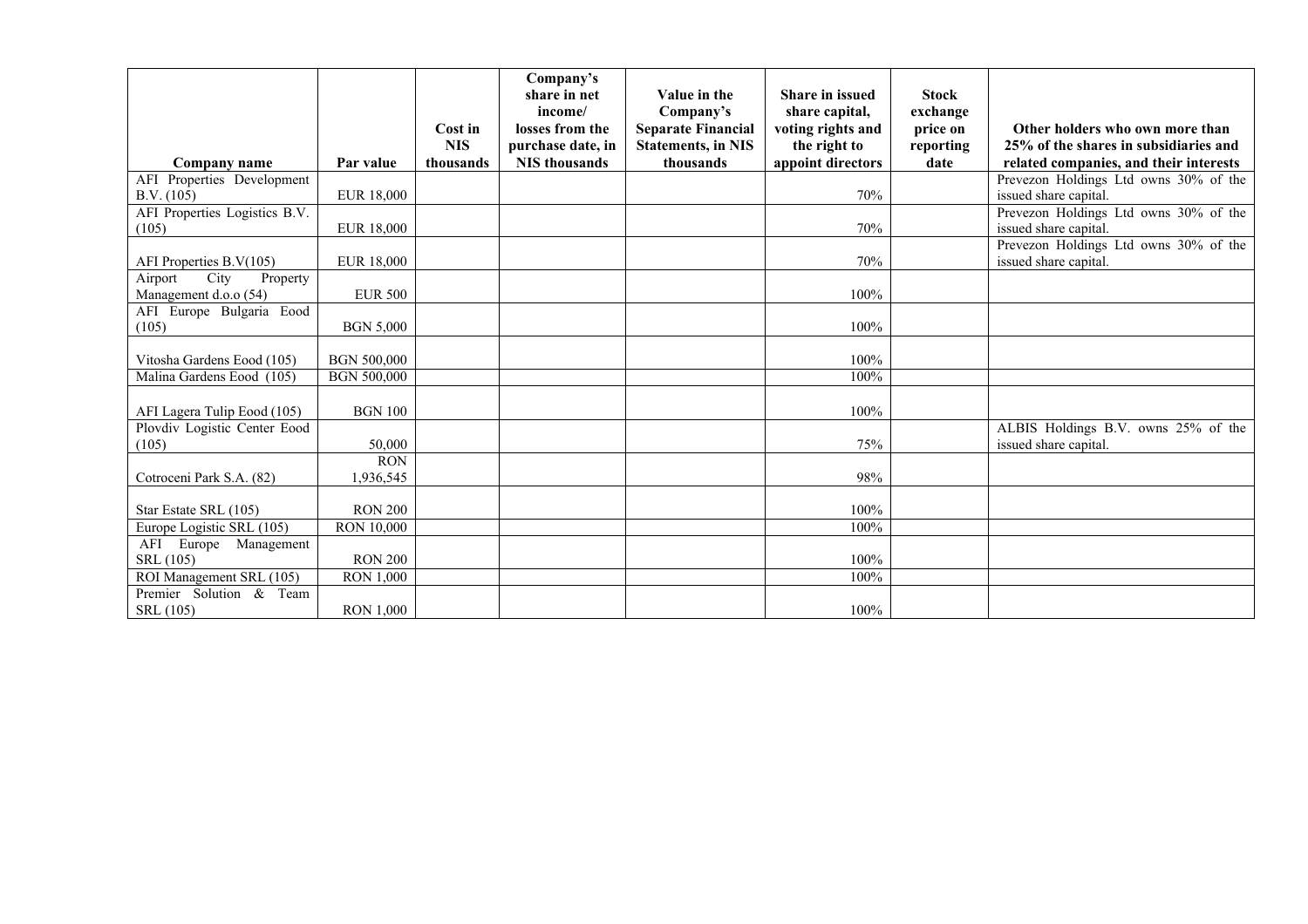|                                                      |                         | Cost in<br><b>NIS</b> | Company's<br>share in net<br>income/<br>losses from the<br>purchase date, in | Value in the<br>Company's<br><b>Separate Financial</b><br><b>Statements, in NIS</b> | <b>Share in issued</b><br>share capital,<br>voting rights and<br>the right to | <b>Stock</b><br>exchange<br>price on<br>reporting | Other holders who own more than<br>25% of the shares in subsidiaries and |
|------------------------------------------------------|-------------------------|-----------------------|------------------------------------------------------------------------------|-------------------------------------------------------------------------------------|-------------------------------------------------------------------------------|---------------------------------------------------|--------------------------------------------------------------------------|
| Company name                                         | Par value               | thousands             | <b>NIS</b> thousands                                                         | thousands                                                                           | appoint directors                                                             | date                                              | related companies, and their interests                                   |
| AFI Properties Development<br>B.V. (105)             | <b>EUR 18,000</b>       |                       |                                                                              |                                                                                     | 70%                                                                           |                                                   | Prevezon Holdings Ltd owns 30% of the<br>issued share capital.           |
| AFI Properties Logistics B.V.<br>(105)               | <b>EUR 18,000</b>       |                       |                                                                              |                                                                                     | 70%                                                                           |                                                   | Prevezon Holdings Ltd owns 30% of the<br>issued share capital.           |
| AFI Properties B.V(105)                              | <b>EUR 18,000</b>       |                       |                                                                              |                                                                                     | 70%                                                                           |                                                   | Prevezon Holdings Ltd owns 30% of the<br>issued share capital.           |
| City<br>Airport<br>Property<br>Management d.o.o (54) | <b>EUR 500</b>          |                       |                                                                              |                                                                                     | 100%                                                                          |                                                   |                                                                          |
| AFI Europe Bulgaria Eood<br>(105)                    | <b>BGN 5,000</b>        |                       |                                                                              |                                                                                     | 100%                                                                          |                                                   |                                                                          |
| Vitosha Gardens Eood (105)                           | <b>BGN 500,000</b>      |                       |                                                                              |                                                                                     | 100%                                                                          |                                                   |                                                                          |
| Malina Gardens Eood (105)                            | <b>BGN 500,000</b>      |                       |                                                                              |                                                                                     | 100%                                                                          |                                                   |                                                                          |
| AFI Lagera Tulip Eood (105)                          | <b>BGN 100</b>          |                       |                                                                              |                                                                                     | 100%                                                                          |                                                   |                                                                          |
| Plovdiv Logistic Center Eood<br>(105)                | 50,000                  |                       |                                                                              |                                                                                     | 75%                                                                           |                                                   | ALBIS Holdings B.V. owns 25% of the<br>issued share capital.             |
| Cotroceni Park S.A. (82)                             | <b>RON</b><br>1,936,545 |                       |                                                                              |                                                                                     | 98%                                                                           |                                                   |                                                                          |
| Star Estate SRL (105)                                | <b>RON 200</b>          |                       |                                                                              |                                                                                     | 100%                                                                          |                                                   |                                                                          |
| Europe Logistic SRL (105)                            | <b>RON 10,000</b>       |                       |                                                                              |                                                                                     | 100%                                                                          |                                                   |                                                                          |
| AFI Europe Management<br>SRL (105)                   | <b>RON 200</b>          |                       |                                                                              |                                                                                     | 100%                                                                          |                                                   |                                                                          |
| ROI Management SRL (105)                             | <b>RON 1,000</b>        |                       |                                                                              |                                                                                     | 100%                                                                          |                                                   |                                                                          |
| Premier Solution & Team<br>SRL (105)                 | <b>RON 1,000</b>        |                       |                                                                              |                                                                                     | 100%                                                                          |                                                   |                                                                          |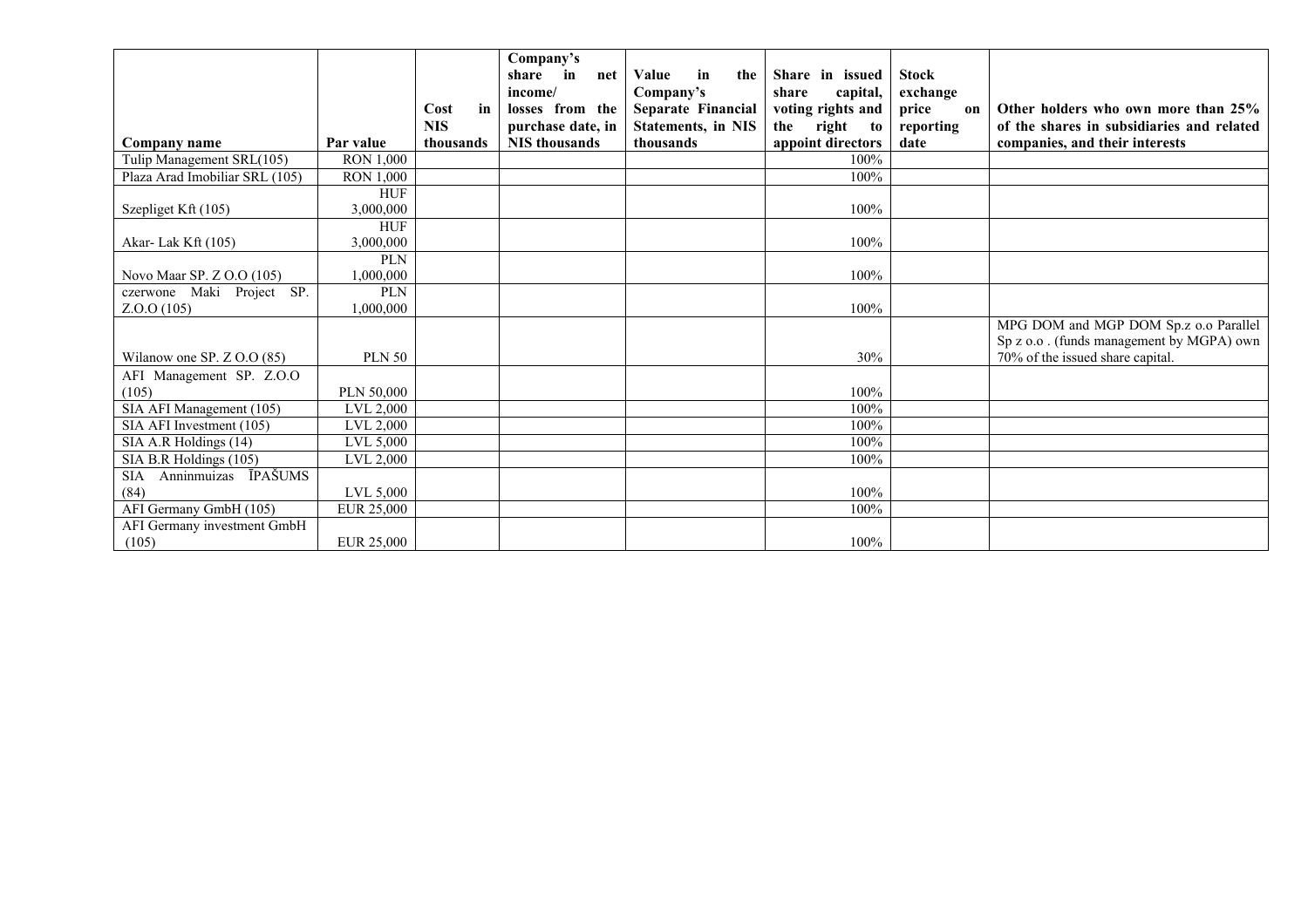|                                    |                  |            | Company's<br>$\mathbf{in}$<br>share<br>net | Value<br>in<br>the        | Share in issued    | <b>Stock</b> |                                                                                   |
|------------------------------------|------------------|------------|--------------------------------------------|---------------------------|--------------------|--------------|-----------------------------------------------------------------------------------|
|                                    |                  |            | income/                                    | Company's                 | capital,<br>share  | exchange     |                                                                                   |
|                                    |                  | Cost<br>in | losses from the                            | Separate Financial        | voting rights and  | price<br>on  | Other holders who own more than 25%                                               |
|                                    |                  | <b>NIS</b> | purchase date, in                          | <b>Statements, in NIS</b> | the<br>right<br>to | reporting    | of the shares in subsidiaries and related                                         |
| Company name                       | Par value        | thousands  | <b>NIS</b> thousands                       | thousands                 | appoint directors  | date         | companies, and their interests                                                    |
| Tulip Management SRL(105)          | <b>RON 1,000</b> |            |                                            |                           | 100%               |              |                                                                                   |
| Plaza Arad Imobiliar SRL (105)     | <b>RON 1,000</b> |            |                                            |                           | 100%               |              |                                                                                   |
|                                    | <b>HUF</b>       |            |                                            |                           |                    |              |                                                                                   |
| Szepliget Kft (105)                | 3,000,000        |            |                                            |                           | 100%               |              |                                                                                   |
|                                    | <b>HUF</b>       |            |                                            |                           |                    |              |                                                                                   |
| Akar-Lak Kft (105)                 | 3.000.000        |            |                                            |                           | 100%               |              |                                                                                   |
|                                    | <b>PLN</b>       |            |                                            |                           |                    |              |                                                                                   |
| Novo Maar SP. Z O.O (105)          | 1,000,000        |            |                                            |                           | 100%               |              |                                                                                   |
| czerwone Maki Project SP.          | <b>PLN</b>       |            |                                            |                           | 100%               |              |                                                                                   |
| Z.0.0(105)                         | 1,000,000        |            |                                            |                           |                    |              |                                                                                   |
|                                    |                  |            |                                            |                           |                    |              | MPG DOM and MGP DOM Sp.z o.o Parallel<br>Sp z o.o. (funds management by MGPA) own |
| Wilanow one SP. $Z$ O.O (85)       | <b>PLN 50</b>    |            |                                            |                           | 30%                |              | 70% of the issued share capital.                                                  |
| AFI Management SP. Z.O.O           |                  |            |                                            |                           |                    |              |                                                                                   |
| (105)                              | PLN 50,000       |            |                                            |                           | 100%               |              |                                                                                   |
| SIA AFI Management (105)           | LVL 2,000        |            |                                            |                           | 100%               |              |                                                                                   |
| SIA AFI Investment (105)           | LVL 2,000        |            |                                            |                           | 100%               |              |                                                                                   |
| SIA A.R Holdings (14)              | LVL 5,000        |            |                                            |                           | 100%               |              |                                                                                   |
| SIA B.R Holdings (105)             | LVL 2,000        |            |                                            |                           | 100%               |              |                                                                                   |
| Anninmuizas ĪPAŠUMS<br><b>SIA</b>  |                  |            |                                            |                           |                    |              |                                                                                   |
| (84)                               | LVL 5,000        |            |                                            |                           | 100%               |              |                                                                                   |
| AFI Germany GmbH (105)             | EUR 25,000       |            |                                            |                           | 100%               |              |                                                                                   |
| <b>AFI Germany investment GmbH</b> |                  |            |                                            |                           |                    |              |                                                                                   |
| (105)                              | EUR 25,000       |            |                                            |                           | 100%               |              |                                                                                   |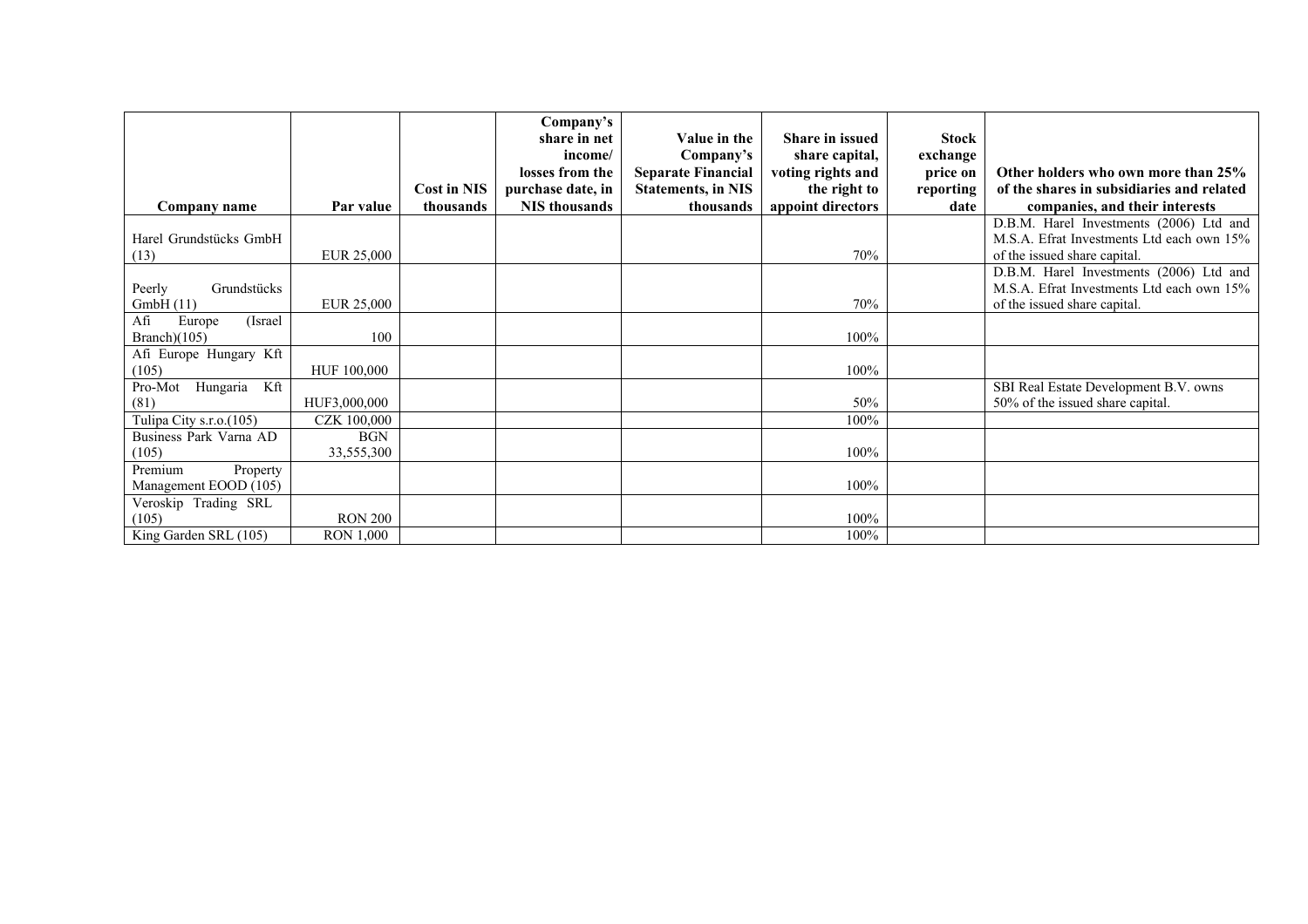|                                       |                  |                    | Company's            |                           |                        |              |                                           |
|---------------------------------------|------------------|--------------------|----------------------|---------------------------|------------------------|--------------|-------------------------------------------|
|                                       |                  |                    | share in net         | Value in the              | <b>Share in issued</b> | <b>Stock</b> |                                           |
|                                       |                  |                    | income/              | Company's                 | share capital,         | exchange     |                                           |
|                                       |                  |                    | losses from the      | <b>Separate Financial</b> | voting rights and      | price on     | Other holders who own more than 25%       |
|                                       |                  | <b>Cost in NIS</b> | purchase date, in    | <b>Statements, in NIS</b> | the right to           | reporting    | of the shares in subsidiaries and related |
| Company name                          | Par value        | thousands          | <b>NIS</b> thousands | thousands                 | appoint directors      | date         | companies, and their interests            |
|                                       |                  |                    |                      |                           |                        |              | D.B.M. Harel Investments (2006) Ltd and   |
| Harel Grundstücks GmbH                |                  |                    |                      |                           |                        |              | M.S.A. Efrat Investments Ltd each own 15% |
| (13)                                  | EUR 25,000       |                    |                      |                           | 70%                    |              | of the issued share capital.              |
|                                       |                  |                    |                      |                           |                        |              | D.B.M. Harel Investments (2006) Ltd and   |
| Peerly<br>Grundstücks                 |                  |                    |                      |                           |                        |              | M.S.A. Efrat Investments Ltd each own 15% |
| GmbH(11)                              | EUR 25,000       |                    |                      |                           | 70%                    |              | of the issued share capital.              |
| Afi<br>Europe<br>(Israel)             |                  |                    |                      |                           |                        |              |                                           |
| Branch $)(105)$                       | 100              |                    |                      |                           | 100%                   |              |                                           |
| Afi Europe Hungary Kft                |                  |                    |                      |                           |                        |              |                                           |
| (105)                                 | HUF 100,000      |                    |                      |                           | 100%                   |              |                                           |
| Pro-Mot<br>Hungaria Kft               |                  |                    |                      |                           |                        |              | SBI Real Estate Development B.V. owns     |
| (81)                                  | HUF3,000,000     |                    |                      |                           | 50%                    |              | 50% of the issued share capital.          |
| Tulipa City s.r.o. $\overline{(105)}$ | CZK 100,000      |                    |                      |                           | 100%                   |              |                                           |
| Business Park Varna AD                | <b>BGN</b>       |                    |                      |                           |                        |              |                                           |
| (105)                                 | 33,555,300       |                    |                      |                           | 100%                   |              |                                           |
| Premium<br>Property                   |                  |                    |                      |                           |                        |              |                                           |
| Management EOOD (105)                 |                  |                    |                      |                           | 100%                   |              |                                           |
| Veroskip Trading SRL                  |                  |                    |                      |                           |                        |              |                                           |
| (105)                                 | <b>RON 200</b>   |                    |                      |                           | 100%                   |              |                                           |
| King Garden SRL (105)                 | <b>RON 1,000</b> |                    |                      |                           | 100%                   |              |                                           |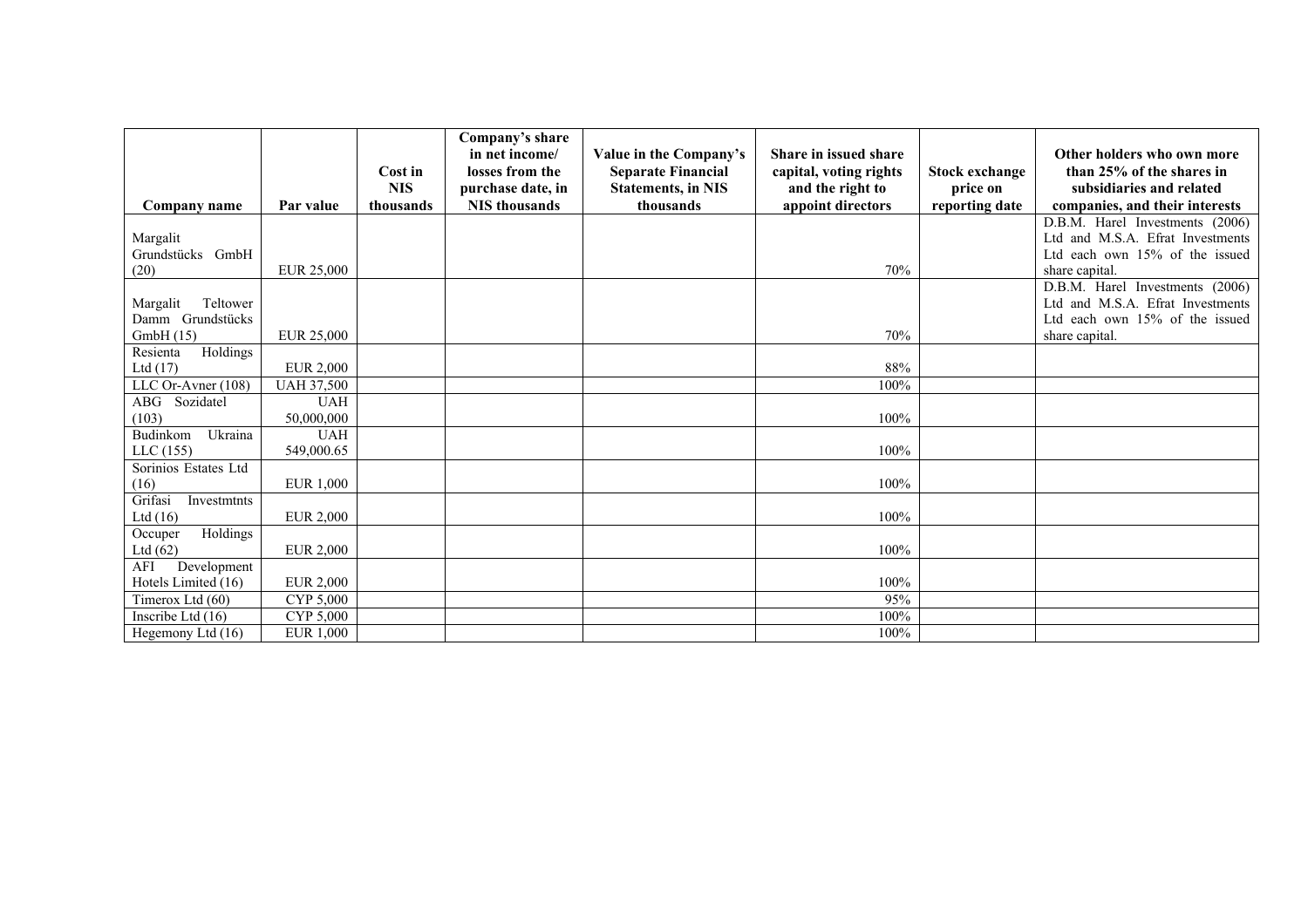|                        |                   |            | Company's share<br>in net income/ |                                                     |                                                 |                       | Other holders who own more       |
|------------------------|-------------------|------------|-----------------------------------|-----------------------------------------------------|-------------------------------------------------|-----------------------|----------------------------------|
|                        |                   | Cost in    | losses from the                   | Value in the Company's<br><b>Separate Financial</b> | Share in issued share<br>capital, voting rights | <b>Stock exchange</b> | than 25% of the shares in        |
|                        |                   | <b>NIS</b> | purchase date, in                 | <b>Statements, in NIS</b>                           | and the right to                                | price on              | subsidiaries and related         |
| Company name           | Par value         | thousands  | <b>NIS</b> thousands              | thousands                                           | appoint directors                               | reporting date        | companies, and their interests   |
|                        |                   |            |                                   |                                                     |                                                 |                       | D.B.M. Harel Investments (2006)  |
| Margalit               |                   |            |                                   |                                                     |                                                 |                       | Ltd and M.S.A. Efrat Investments |
| Grundstücks GmbH       |                   |            |                                   |                                                     |                                                 |                       | Ltd each own 15% of the issued   |
| (20)                   | EUR 25,000        |            |                                   |                                                     | 70%                                             |                       | share capital.                   |
|                        |                   |            |                                   |                                                     |                                                 |                       | D.B.M. Harel Investments (2006)  |
| Teltower<br>Margalit   |                   |            |                                   |                                                     |                                                 |                       | Ltd and M.S.A. Efrat Investments |
| Damm Grundstücks       |                   |            |                                   |                                                     |                                                 |                       | Ltd each own 15% of the issued   |
| GmbH(15)               | EUR 25,000        |            |                                   |                                                     | 70%                                             |                       | share capital.                   |
| Holdings<br>Resienta   |                   |            |                                   |                                                     |                                                 |                       |                                  |
| Ltd $(17)$             | <b>EUR 2,000</b>  |            |                                   |                                                     | 88%                                             |                       |                                  |
| LLC Or-Avner (108)     | <b>UAH 37,500</b> |            |                                   |                                                     | 100%                                            |                       |                                  |
| ABG<br>Sozidatel       | <b>UAH</b>        |            |                                   |                                                     |                                                 |                       |                                  |
| (103)                  | 50,000,000        |            |                                   |                                                     | 100%                                            |                       |                                  |
| Budinkom<br>Ukraina    | <b>UAH</b>        |            |                                   |                                                     |                                                 |                       |                                  |
| LLC(155)               | 549,000.65        |            |                                   |                                                     | 100%                                            |                       |                                  |
| Sorinios Estates Ltd   |                   |            |                                   |                                                     |                                                 |                       |                                  |
| (16)                   | EUR 1,000         |            |                                   |                                                     | 100%                                            |                       |                                  |
| Grifasi<br>Investmtnts |                   |            |                                   |                                                     |                                                 |                       |                                  |
| Ltd $(16)$             | <b>EUR 2,000</b>  |            |                                   |                                                     | 100%                                            |                       |                                  |
| Holdings<br>Occuper    |                   |            |                                   |                                                     |                                                 |                       |                                  |
| Ltd $(62)$             | <b>EUR 2,000</b>  |            |                                   |                                                     | 100%                                            |                       |                                  |
| Development<br>AFI     |                   |            |                                   |                                                     |                                                 |                       |                                  |
| Hotels Limited (16)    | <b>EUR 2,000</b>  |            |                                   |                                                     | 100%                                            |                       |                                  |
| Timerox Ltd (60)       | CYP 5,000         |            |                                   |                                                     | 95%                                             |                       |                                  |
| Inscribe Ltd (16)      | CYP 5,000         |            |                                   |                                                     | $100\%$                                         |                       |                                  |
| Hegemony Ltd (16)      | <b>EUR 1,000</b>  |            |                                   |                                                     | 100%                                            |                       |                                  |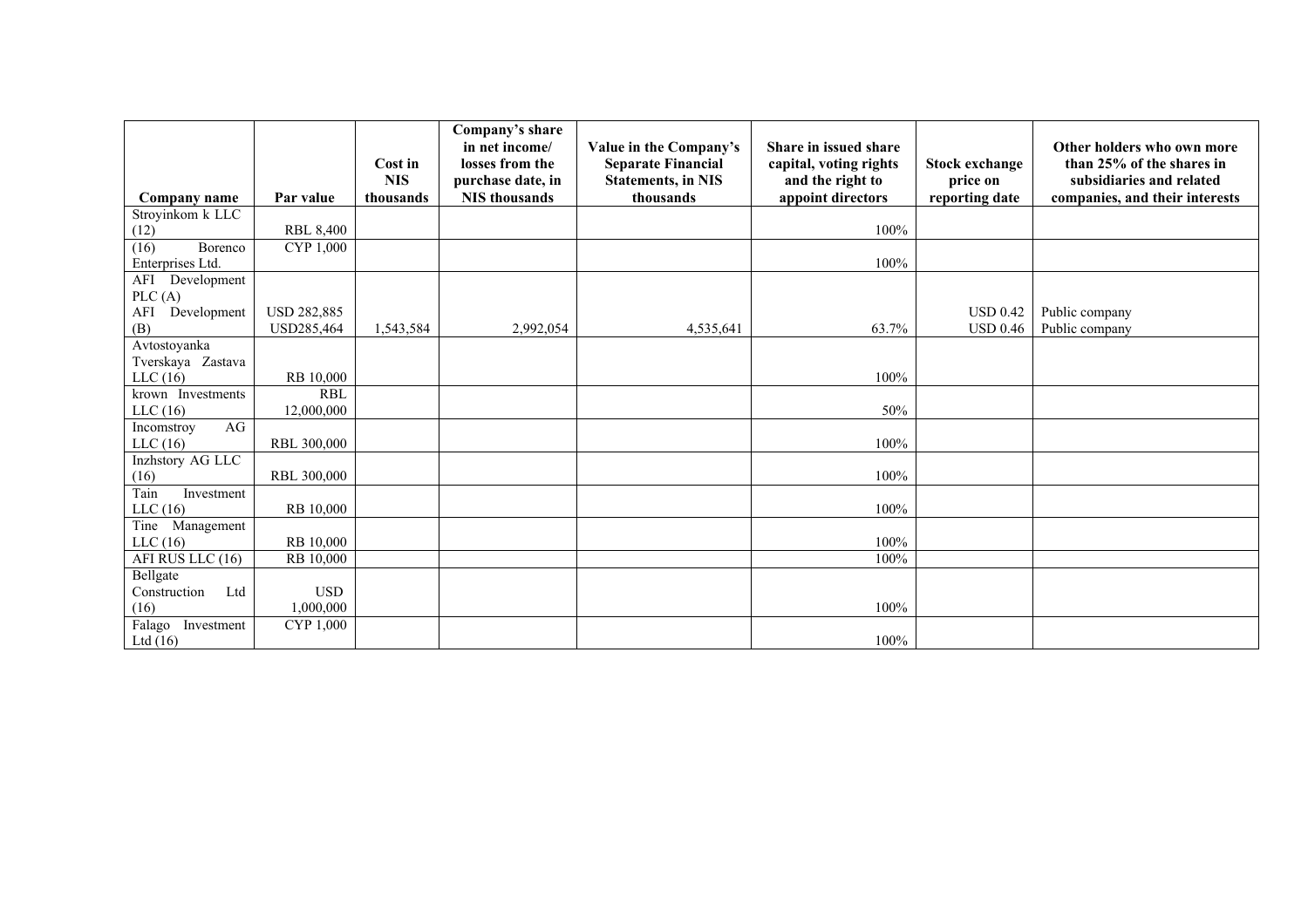|                               |                    |                       | Company's share<br>in net income/    | Value in the Company's                                 | <b>Share in issued share</b>               |                                   | Other holders who own more                            |
|-------------------------------|--------------------|-----------------------|--------------------------------------|--------------------------------------------------------|--------------------------------------------|-----------------------------------|-------------------------------------------------------|
|                               |                    | Cost in<br><b>NIS</b> | losses from the<br>purchase date, in | <b>Separate Financial</b><br><b>Statements, in NIS</b> | capital, voting rights<br>and the right to | <b>Stock exchange</b><br>price on | than 25% of the shares in<br>subsidiaries and related |
| Company name                  | Par value          | thousands             | <b>NIS</b> thousands                 | thousands                                              | appoint directors                          | reporting date                    | companies, and their interests                        |
| Stroyinkom k LLC              |                    |                       |                                      |                                                        |                                            |                                   |                                                       |
| (12)                          | <b>RBL 8,400</b>   |                       |                                      |                                                        | 100%                                       |                                   |                                                       |
| (16)<br>Borenco               | CYP 1,000          |                       |                                      |                                                        |                                            |                                   |                                                       |
| Enterprises Ltd.              |                    |                       |                                      |                                                        | 100%                                       |                                   |                                                       |
| AFI<br>Development            |                    |                       |                                      |                                                        |                                            |                                   |                                                       |
| PLC(A)<br>Development<br>AFI  | <b>USD 282,885</b> |                       |                                      |                                                        |                                            | <b>USD 0.42</b>                   | Public company                                        |
| (B)                           | USD285,464         | 1,543,584             | 2,992,054                            | 4,535,641                                              | 63.7%                                      | <b>USD 0.46</b>                   | Public company                                        |
| Avtostoyanka                  |                    |                       |                                      |                                                        |                                            |                                   |                                                       |
| Tverskaya Zastava             |                    |                       |                                      |                                                        |                                            |                                   |                                                       |
| LLC(16)                       | RB 10,000          |                       |                                      |                                                        | 100%                                       |                                   |                                                       |
| krown Investments             | <b>RBL</b>         |                       |                                      |                                                        |                                            |                                   |                                                       |
| LLC $(16)$                    | 12,000,000         |                       |                                      |                                                        | 50%                                        |                                   |                                                       |
| AG<br>Incomstroy              |                    |                       |                                      |                                                        |                                            |                                   |                                                       |
| LLC $(16)$                    | RBL 300,000        |                       |                                      |                                                        | 100%                                       |                                   |                                                       |
| Inzhstory AG LLC              |                    |                       |                                      |                                                        |                                            |                                   |                                                       |
| (16)                          | RBL 300,000        |                       |                                      |                                                        | 100%                                       |                                   |                                                       |
| Tain<br>Investment            |                    |                       |                                      |                                                        | 100%                                       |                                   |                                                       |
| LLC $(16)$                    | RB 10,000          |                       |                                      |                                                        |                                            |                                   |                                                       |
| Tine<br>Management<br>LLC(16) | RB 10,000          |                       |                                      |                                                        | 100%                                       |                                   |                                                       |
| AFI RUS LLC (16)              | RB 10.000          |                       |                                      |                                                        | 100%                                       |                                   |                                                       |
| Bellgate                      |                    |                       |                                      |                                                        |                                            |                                   |                                                       |
| Ltd<br>Construction           | <b>USD</b>         |                       |                                      |                                                        |                                            |                                   |                                                       |
| (16)                          | 1,000,000          |                       |                                      |                                                        | 100%                                       |                                   |                                                       |
| Falago<br>Investment          | CYP 1,000          |                       |                                      |                                                        |                                            |                                   |                                                       |
| Ltd $(16)$                    |                    |                       |                                      |                                                        | 100%                                       |                                   |                                                       |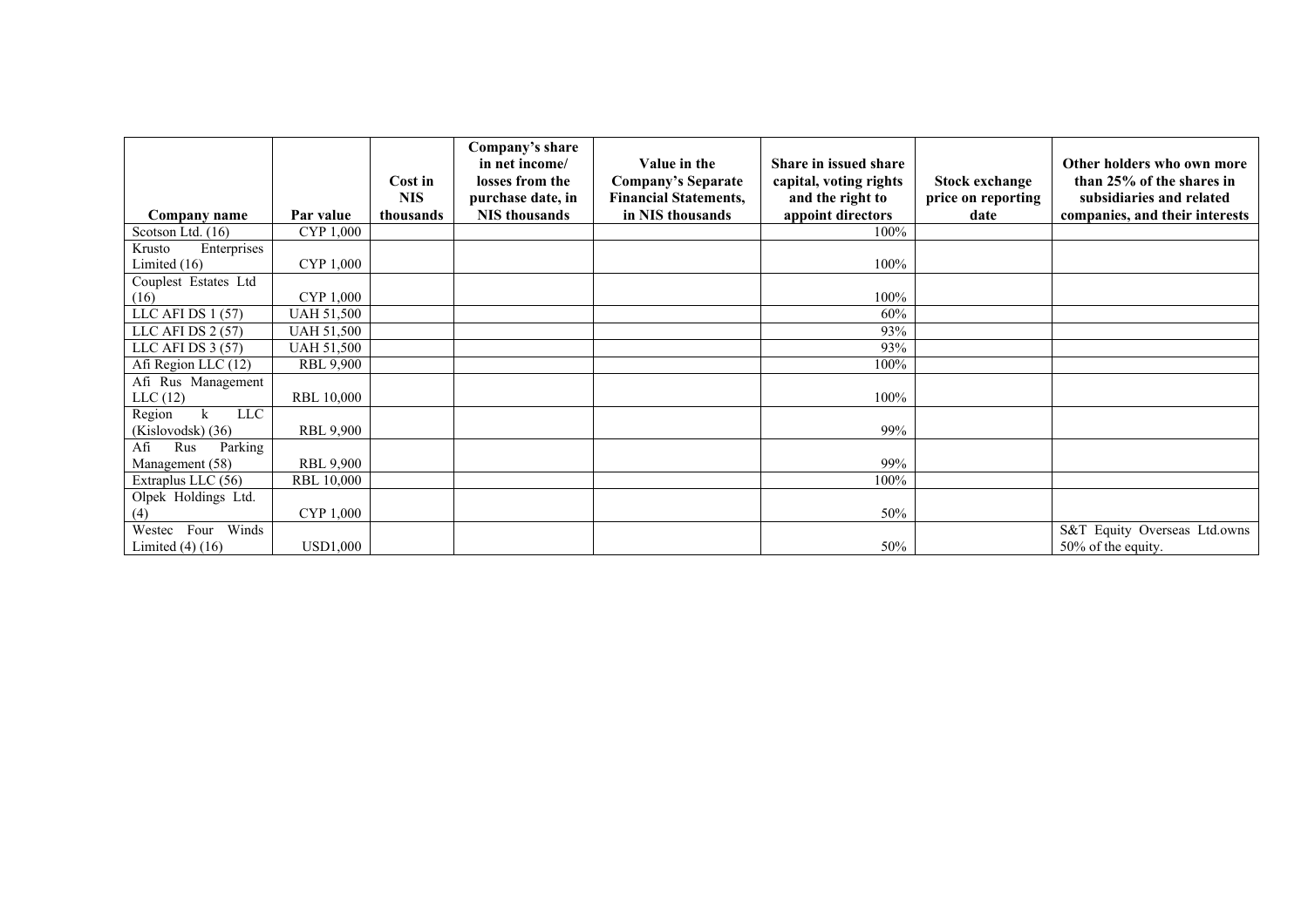|                           |                   |            | Company's share<br>in net income/ | Value in the                 | Share in issued share  |                       | Other holders who own more     |
|---------------------------|-------------------|------------|-----------------------------------|------------------------------|------------------------|-----------------------|--------------------------------|
|                           |                   | Cost in    | losses from the                   | <b>Company's Separate</b>    | capital, voting rights | <b>Stock exchange</b> | than 25% of the shares in      |
|                           |                   | <b>NIS</b> | purchase date, in                 | <b>Financial Statements,</b> | and the right to       | price on reporting    | subsidiaries and related       |
| Company name              | Par value         | thousands  | <b>NIS</b> thousands              | in NIS thousands             | appoint directors      | date                  | companies, and their interests |
| Scotson Ltd. (16)         | CYP 1,000         |            |                                   |                              | 100%                   |                       |                                |
| Krusto<br>Enterprises     |                   |            |                                   |                              |                        |                       |                                |
| Limited $(16)$            | CYP 1,000         |            |                                   |                              | 100%                   |                       |                                |
| Couplest Estates Ltd      |                   |            |                                   |                              |                        |                       |                                |
| (16)                      | CYP 1,000         |            |                                   |                              | 100%                   |                       |                                |
| LLC AFI DS 1 (57)         | <b>UAH 51,500</b> |            |                                   |                              | 60%                    |                       |                                |
| LLC AFI DS 2 (57)         | <b>UAH 51,500</b> |            |                                   |                              | 93%                    |                       |                                |
| LLC AFI DS 3 (57)         | <b>UAH 51,500</b> |            |                                   |                              | 93%                    |                       |                                |
| Afi Region LLC (12)       | <b>RBL 9,900</b>  |            |                                   |                              | $100\%$                |                       |                                |
| Afi Rus Management        |                   |            |                                   |                              |                        |                       |                                |
| LLC(12)                   | <b>RBL 10,000</b> |            |                                   |                              | 100%                   |                       |                                |
| <b>LLC</b><br>Region<br>k |                   |            |                                   |                              |                        |                       |                                |
| (Kislovodsk) (36)         | <b>RBL 9,900</b>  |            |                                   |                              | 99%                    |                       |                                |
| Parking<br>Afi<br>Rus     |                   |            |                                   |                              |                        |                       |                                |
| Management (58)           | <b>RBL 9,900</b>  |            |                                   |                              | 99%                    |                       |                                |
| Extraplus LLC $(56)$      | <b>RBL 10,000</b> |            |                                   |                              | $100\%$                |                       |                                |
| Olpek Holdings Ltd.       |                   |            |                                   |                              |                        |                       |                                |
| (4)                       | CYP 1,000         |            |                                   |                              | 50%                    |                       |                                |
| Winds<br>Four<br>Westec   |                   |            |                                   |                              |                        |                       | S&T Equity Overseas Ltd.owns   |
| Limited $(4)$ $(16)$      | <b>USD1,000</b>   |            |                                   |                              | 50%                    |                       | 50% of the equity.             |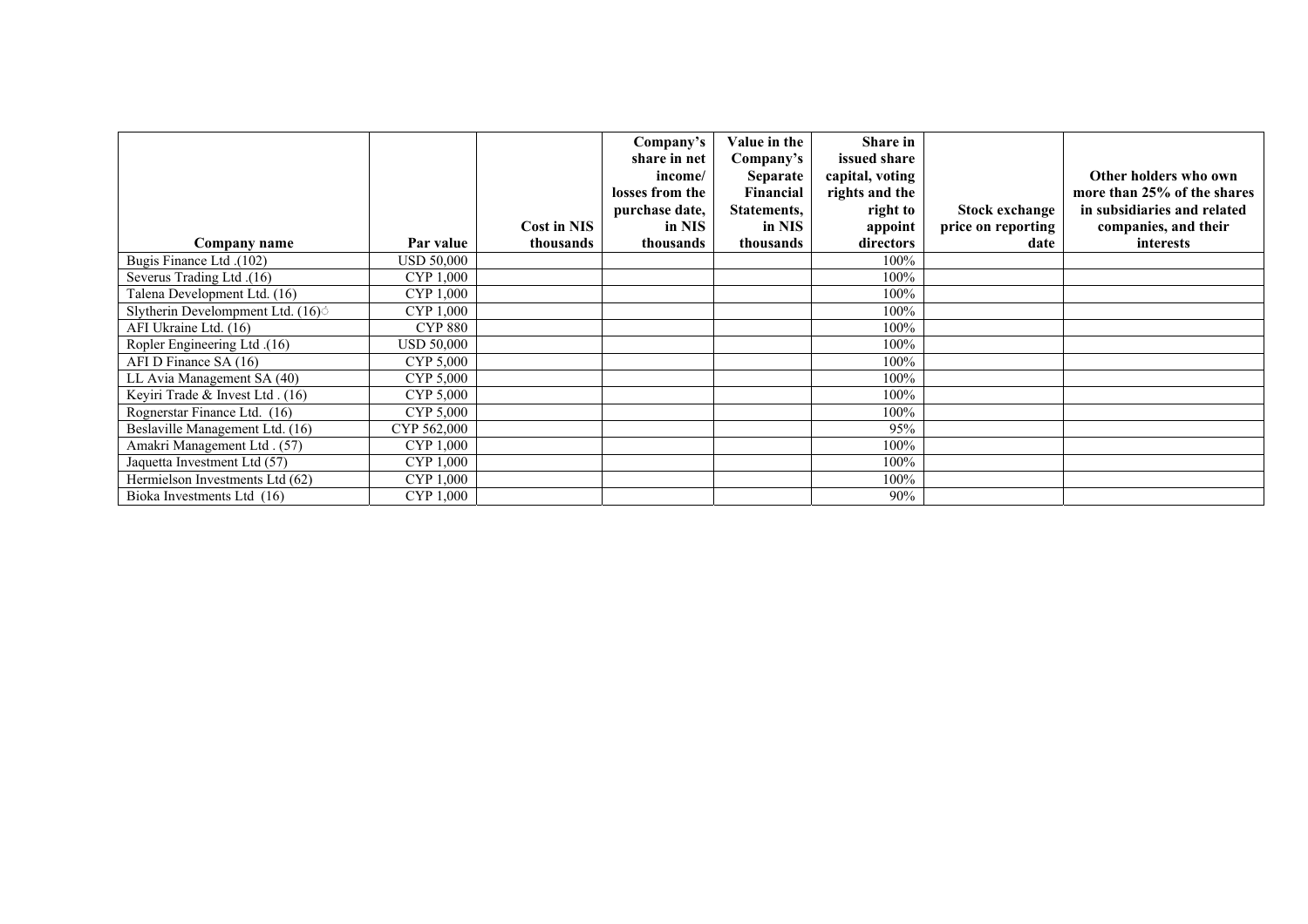|                                               |                | <b>Cost in NIS</b> | Company's<br>share in net<br>income/<br>losses from the<br>purchase date,<br>in NIS | Value in the<br>Company's<br><b>Separate</b><br>Financial<br>Statements,<br>in NIS | <b>Share in</b><br>issued share<br>capital, voting<br>rights and the<br>right to<br>appoint | Stock exchange<br>price on reporting | Other holders who own<br>more than 25% of the shares<br>in subsidiaries and related<br>companies, and their |
|-----------------------------------------------|----------------|--------------------|-------------------------------------------------------------------------------------|------------------------------------------------------------------------------------|---------------------------------------------------------------------------------------------|--------------------------------------|-------------------------------------------------------------------------------------------------------------|
| Company name                                  | Par value      | thousands          | thousands                                                                           | thousands                                                                          | directors                                                                                   | date                                 | interests                                                                                                   |
| (102). Bugis Finance Ltd                      | USD 50,000     |                    |                                                                                     |                                                                                    | 100%                                                                                        |                                      |                                                                                                             |
| (16). Severus Trading Ltd                     | CYP 1,000      |                    |                                                                                     |                                                                                    | 100%                                                                                        |                                      |                                                                                                             |
| Talena Development Ltd. (16)                  | CYP 1,000      |                    |                                                                                     |                                                                                    | 100%                                                                                        |                                      |                                                                                                             |
| Slytherin Develompment Ltd. (16) <sup>o</sup> | CYP 1,000      |                    |                                                                                     |                                                                                    | 100%                                                                                        |                                      |                                                                                                             |
| AFI Ukraine Ltd. (16)                         | <b>CYP 880</b> |                    |                                                                                     |                                                                                    | 100%                                                                                        |                                      |                                                                                                             |
| Ropler Engineering Ltd. (16)                  | USD 50,000     |                    |                                                                                     |                                                                                    | 100%                                                                                        |                                      |                                                                                                             |
| AFI D Finance SA (16)                         | CYP 5,000      |                    |                                                                                     |                                                                                    | 100%                                                                                        |                                      |                                                                                                             |
| LL Avia Management SA (40)                    | CYP 5,000      |                    |                                                                                     |                                                                                    | 100%                                                                                        |                                      |                                                                                                             |
| Keyiri Trade & Invest Ltd. (16)               | CYP 5,000      |                    |                                                                                     |                                                                                    | 100%                                                                                        |                                      |                                                                                                             |
| Rognerstar Finance Ltd. (16)                  | CYP 5,000      |                    |                                                                                     |                                                                                    | 100%                                                                                        |                                      |                                                                                                             |
| Beslaville Management Ltd. (16)               | CYP 562,000    |                    |                                                                                     |                                                                                    | 95%                                                                                         |                                      |                                                                                                             |
| Amakri Management Ltd. (57)                   | CYP 1,000      |                    |                                                                                     |                                                                                    | 100%                                                                                        |                                      |                                                                                                             |
| Jaquetta Investment Ltd (57)                  | CYP 1,000      |                    |                                                                                     |                                                                                    | 100%                                                                                        |                                      |                                                                                                             |
| Hermielson Investments Ltd (62)               | CYP 1,000      |                    |                                                                                     |                                                                                    | 100%                                                                                        |                                      |                                                                                                             |
| Bioka Investments Ltd (16)                    | CYP 1,000      |                    |                                                                                     |                                                                                    | 90%                                                                                         |                                      |                                                                                                             |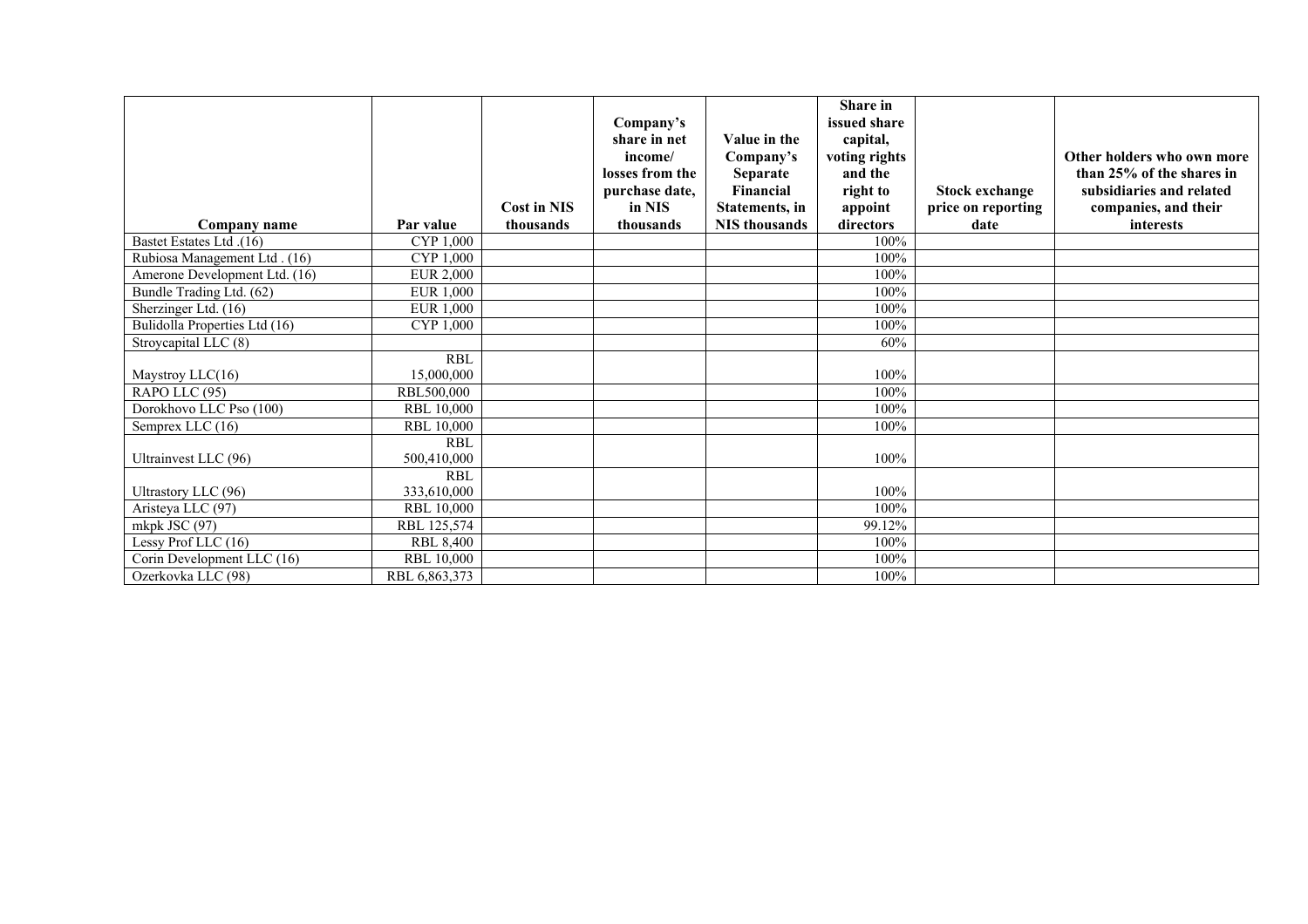|                                                  |                                 | <b>Cost in NIS</b> | Company's<br>share in net<br>income/<br>losses from the<br>purchase date,<br>in NIS | Value in the<br>Company's<br><b>Separate</b><br>Financial<br>Statements, in | <b>Share</b> in<br>issued share<br>capital,<br>voting rights<br>and the<br>right to<br>appoint | <b>Stock exchange</b><br>price on reporting | Other holders who own more<br>than 25% of the shares in<br>subsidiaries and related<br>companies, and their |
|--------------------------------------------------|---------------------------------|--------------------|-------------------------------------------------------------------------------------|-----------------------------------------------------------------------------|------------------------------------------------------------------------------------------------|---------------------------------------------|-------------------------------------------------------------------------------------------------------------|
| Company name                                     | Par value                       | thousands          | thousands                                                                           | <b>NIS</b> thousands                                                        | directors<br>100%                                                                              | date                                        | interests                                                                                                   |
| Bastet Estates Ltd. (16)                         | CYP 1,000                       |                    |                                                                                     |                                                                             | 100%                                                                                           |                                             |                                                                                                             |
| Rubiosa Management Ltd. (16)                     | CYP 1,000<br><b>EUR 2,000</b>   |                    |                                                                                     |                                                                             | 100%                                                                                           |                                             |                                                                                                             |
| Amerone Development Ltd. (16)                    | <b>EUR 1,000</b>                |                    |                                                                                     |                                                                             | 100%                                                                                           |                                             |                                                                                                             |
| Bundle Trading Ltd. (62)<br>Sherzinger Ltd. (16) | <b>EUR 1,000</b>                |                    |                                                                                     |                                                                             | 100%                                                                                           |                                             |                                                                                                             |
|                                                  |                                 |                    |                                                                                     |                                                                             | 100%                                                                                           |                                             |                                                                                                             |
| Bulidolla Properties Ltd (16)                    | CYP 1,000                       |                    |                                                                                     |                                                                             | 60%                                                                                            |                                             |                                                                                                             |
| Stroycapital LLC (8)                             |                                 |                    |                                                                                     |                                                                             |                                                                                                |                                             |                                                                                                             |
|                                                  | <b>RBL</b><br>15,000,000        |                    |                                                                                     |                                                                             | 100%                                                                                           |                                             |                                                                                                             |
| Maystroy LLC(16)                                 |                                 |                    |                                                                                     |                                                                             | 100%                                                                                           |                                             |                                                                                                             |
| RAPO LLC (95)<br>Dorokhovo LLC Pso (100)         | RBL500,000<br><b>RBL 10,000</b> |                    |                                                                                     |                                                                             | 100%                                                                                           |                                             |                                                                                                             |
|                                                  |                                 |                    |                                                                                     |                                                                             |                                                                                                |                                             |                                                                                                             |
| Semprex LLC (16)                                 | <b>RBL 10,000</b>               |                    |                                                                                     |                                                                             | 100%                                                                                           |                                             |                                                                                                             |
|                                                  | <b>RBL</b>                      |                    |                                                                                     |                                                                             |                                                                                                |                                             |                                                                                                             |
| Ultrainvest LLC (96)                             | 500,410,000<br><b>RBL</b>       |                    |                                                                                     |                                                                             | 100%                                                                                           |                                             |                                                                                                             |
|                                                  | 333.610.000                     |                    |                                                                                     |                                                                             | 100%                                                                                           |                                             |                                                                                                             |
| Ultrastory LLC (96)                              |                                 |                    |                                                                                     |                                                                             |                                                                                                |                                             |                                                                                                             |
| Aristeya LLC (97)                                | <b>RBL 10,000</b>               |                    |                                                                                     |                                                                             | 100%                                                                                           |                                             |                                                                                                             |
| mkpk JSC (97)                                    | RBL 125,574                     |                    |                                                                                     |                                                                             | 99.12%                                                                                         |                                             |                                                                                                             |
| Lessy Prof LLC (16)                              | <b>RBL 8,400</b>                |                    |                                                                                     |                                                                             | 100%                                                                                           |                                             |                                                                                                             |
| Corin Development LLC (16)                       | <b>RBL 10,000</b>               |                    |                                                                                     |                                                                             | 100%                                                                                           |                                             |                                                                                                             |
| Ozerkovka LLC (98)                               | RBL 6,863,373                   |                    |                                                                                     |                                                                             | 100%                                                                                           |                                             |                                                                                                             |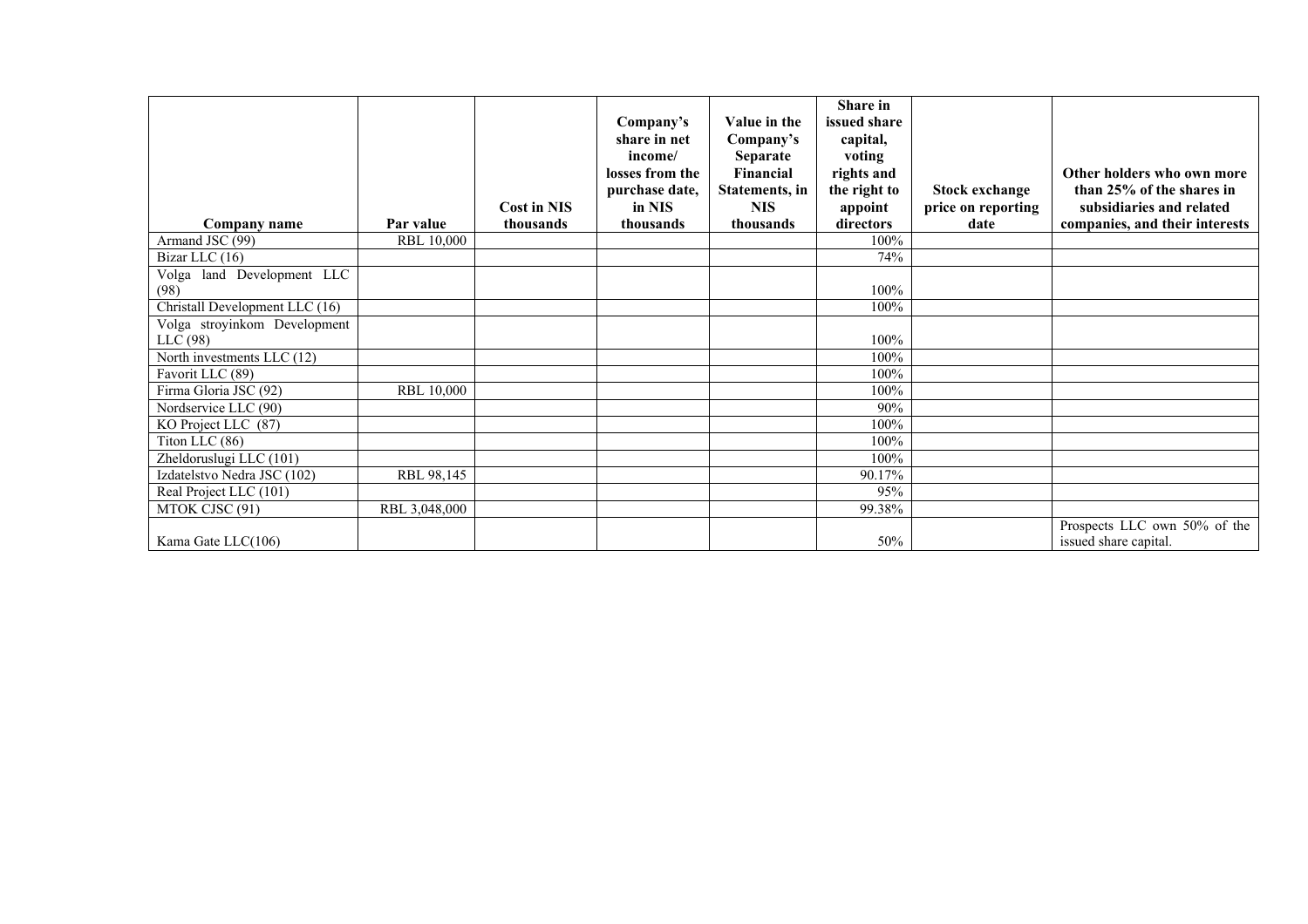| Company name                   | Par value         | <b>Cost in NIS</b><br>thousands | Company's<br>share in net<br>income/<br>losses from the<br>purchase date,<br>in NIS<br>thousands | Value in the<br>Company's<br><b>Separate</b><br>Financial<br>Statements, in<br>NIS.<br>thousands | Share in<br>issued share<br>capital,<br>voting<br>rights and<br>the right to<br>appoint<br>directors | <b>Stock exchange</b><br>price on reporting<br>date | Other holders who own more<br>than 25% of the shares in<br>subsidiaries and related<br>companies, and their interests |
|--------------------------------|-------------------|---------------------------------|--------------------------------------------------------------------------------------------------|--------------------------------------------------------------------------------------------------|------------------------------------------------------------------------------------------------------|-----------------------------------------------------|-----------------------------------------------------------------------------------------------------------------------|
| Armand JSC (99)                | <b>RBL 10,000</b> |                                 |                                                                                                  |                                                                                                  | 100%                                                                                                 |                                                     |                                                                                                                       |
| Bizar LLC (16)                 |                   |                                 |                                                                                                  |                                                                                                  | 74%                                                                                                  |                                                     |                                                                                                                       |
| Volga land Development LLC     |                   |                                 |                                                                                                  |                                                                                                  |                                                                                                      |                                                     |                                                                                                                       |
| (98)                           |                   |                                 |                                                                                                  |                                                                                                  | 100%                                                                                                 |                                                     |                                                                                                                       |
| Christall Development LLC (16) |                   |                                 |                                                                                                  |                                                                                                  | 100%                                                                                                 |                                                     |                                                                                                                       |
| Volga stroyinkom Development   |                   |                                 |                                                                                                  |                                                                                                  |                                                                                                      |                                                     |                                                                                                                       |
| LLC(98)                        |                   |                                 |                                                                                                  |                                                                                                  | 100%                                                                                                 |                                                     |                                                                                                                       |
| North investments LLC (12)     |                   |                                 |                                                                                                  |                                                                                                  | 100%                                                                                                 |                                                     |                                                                                                                       |
| Favorit LLC (89)               |                   |                                 |                                                                                                  |                                                                                                  | 100%                                                                                                 |                                                     |                                                                                                                       |
| Firma Gloria JSC (92)          | <b>RBL 10,000</b> |                                 |                                                                                                  |                                                                                                  | 100%                                                                                                 |                                                     |                                                                                                                       |
| Nordservice LLC (90)           |                   |                                 |                                                                                                  |                                                                                                  | 90%                                                                                                  |                                                     |                                                                                                                       |
| KO Project LLC (87)            |                   |                                 |                                                                                                  |                                                                                                  | 100%                                                                                                 |                                                     |                                                                                                                       |
| Titon LLC (86)                 |                   |                                 |                                                                                                  |                                                                                                  | 100%                                                                                                 |                                                     |                                                                                                                       |
| Zheldoruslugi LLC (101)        |                   |                                 |                                                                                                  |                                                                                                  | 100%                                                                                                 |                                                     |                                                                                                                       |
| Izdatelstvo Nedra JSC (102)    | RBL 98,145        |                                 |                                                                                                  |                                                                                                  | 90.17%                                                                                               |                                                     |                                                                                                                       |
| Real Project LLC (101)         |                   |                                 |                                                                                                  |                                                                                                  | 95%                                                                                                  |                                                     |                                                                                                                       |
| MTOK CJSC (91)                 | RBL 3,048,000     |                                 |                                                                                                  |                                                                                                  | 99.38%                                                                                               |                                                     |                                                                                                                       |
| Kama Gate $LLC(106)$           |                   |                                 |                                                                                                  |                                                                                                  | 50%                                                                                                  |                                                     | Prospects LLC own 50% of the<br>issued share capital.                                                                 |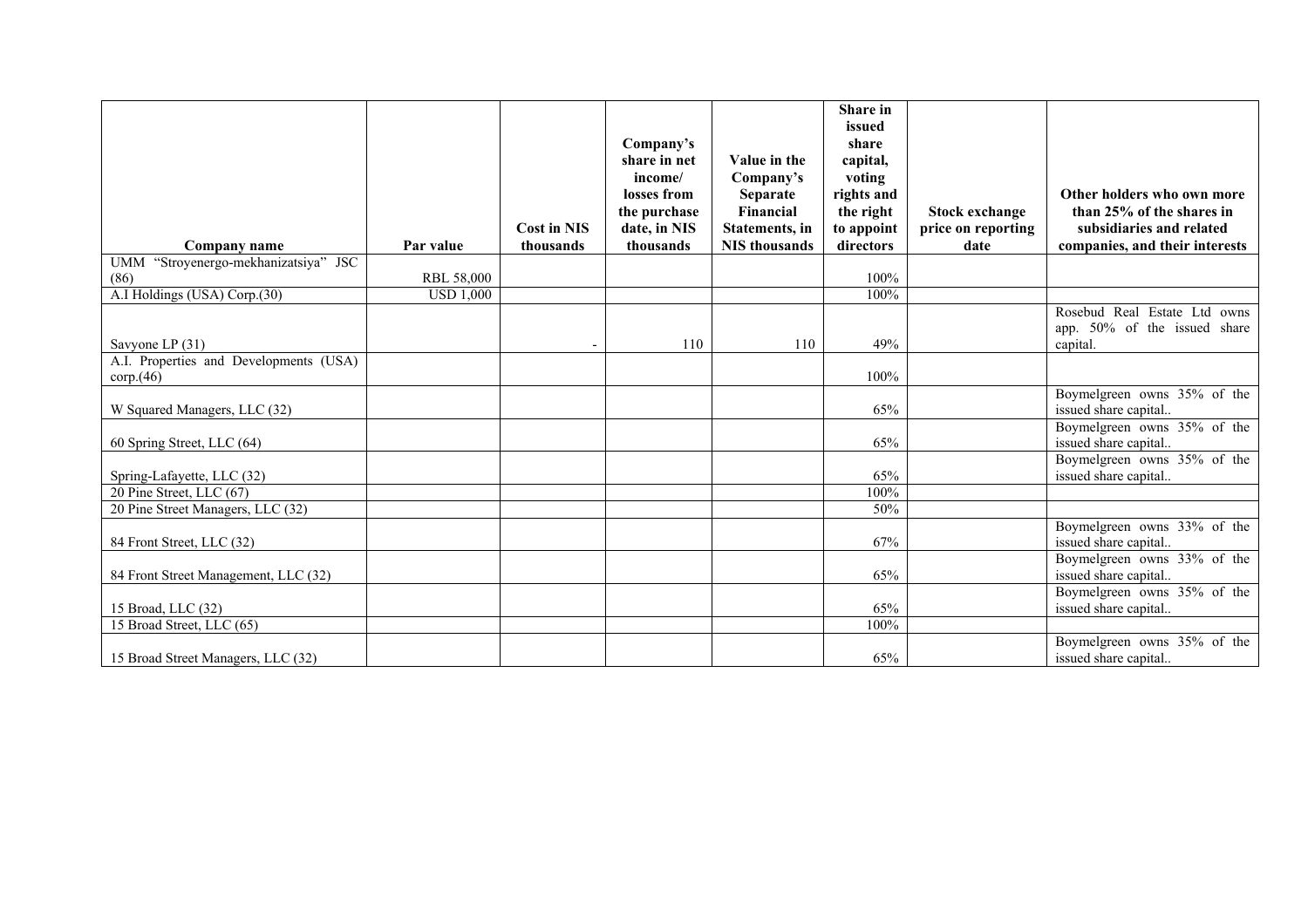|                                                      |                  |                                 |                           |                                                | Share in<br>issued      |                            |                                                            |
|------------------------------------------------------|------------------|---------------------------------|---------------------------|------------------------------------------------|-------------------------|----------------------------|------------------------------------------------------------|
|                                                      |                  |                                 | Company's                 |                                                | share                   |                            |                                                            |
|                                                      |                  |                                 | share in net              | Value in the                                   | capital,                |                            |                                                            |
|                                                      |                  |                                 | income/                   | Company's                                      | voting                  |                            |                                                            |
|                                                      |                  |                                 | losses from               | Separate                                       | rights and              |                            | Other holders who own more                                 |
|                                                      |                  |                                 | the purchase              | Financial                                      | the right               | Stock exchange             | than 25% of the shares in                                  |
|                                                      | Par value        | <b>Cost in NIS</b><br>thousands | date, in NIS<br>thousands | <b>Statements</b> , in<br><b>NIS</b> thousands | to appoint<br>directors | price on reporting<br>date | subsidiaries and related<br>companies, and their interests |
| Company name<br>UMM "Stroyenergo-mekhanizatsiya" JSC |                  |                                 |                           |                                                |                         |                            |                                                            |
| (86)                                                 | RBL 58,000       |                                 |                           |                                                | 100%                    |                            |                                                            |
| A.I Holdings (USA) Corp.(30)                         | <b>USD 1,000</b> |                                 |                           |                                                | 100%                    |                            |                                                            |
|                                                      |                  |                                 |                           |                                                |                         |                            | Rosebud Real Estate Ltd owns                               |
|                                                      |                  |                                 |                           |                                                |                         |                            | app. 50% of the issued share                               |
| Savyone LP (31)                                      |                  |                                 | 110                       | 110                                            | 49%                     |                            | capital.                                                   |
| A.I. Properties and Developments (USA)               |                  |                                 |                           |                                                |                         |                            |                                                            |
| $\text{corp}(46)$                                    |                  |                                 |                           |                                                | 100%                    |                            |                                                            |
|                                                      |                  |                                 |                           |                                                |                         |                            | Boymelgreen owns 35% of the                                |
| W Squared Managers, LLC (32)                         |                  |                                 |                           |                                                | 65%                     |                            | issued share capital                                       |
|                                                      |                  |                                 |                           |                                                |                         |                            | Boymelgreen owns 35% of the                                |
| 60 Spring Street, LLC (64)                           |                  |                                 |                           |                                                | 65%                     |                            | issued share capital                                       |
| Spring-Lafayette, LLC (32)                           |                  |                                 |                           |                                                | 65%                     |                            | Boymelgreen owns 35% of the<br>issued share capital        |
| 20 Pine Street, LLC (67)                             |                  |                                 |                           |                                                | 100%                    |                            |                                                            |
| 20 Pine Street Managers, LLC (32)                    |                  |                                 |                           |                                                | 50%                     |                            |                                                            |
|                                                      |                  |                                 |                           |                                                |                         |                            | Boymelgreen owns 33% of the                                |
| 84 Front Street, LLC (32)                            |                  |                                 |                           |                                                | 67%                     |                            | issued share capital                                       |
|                                                      |                  |                                 |                           |                                                |                         |                            | Boymelgreen owns 33% of the                                |
| 84 Front Street Management, LLC (32)                 |                  |                                 |                           |                                                | 65%                     |                            | issued share capital                                       |
|                                                      |                  |                                 |                           |                                                |                         |                            | Boymelgreen owns 35% of the                                |
| 15 Broad, LLC (32)                                   |                  |                                 |                           |                                                | 65%                     |                            | issued share capital                                       |
| 15 Broad Street, LLC (65)                            |                  |                                 |                           |                                                | 100%                    |                            |                                                            |
|                                                      |                  |                                 |                           |                                                |                         |                            | Boymelgreen owns 35% of the                                |
| 15 Broad Street Managers, LLC (32)                   |                  |                                 |                           |                                                | 65%                     |                            | issued share capital                                       |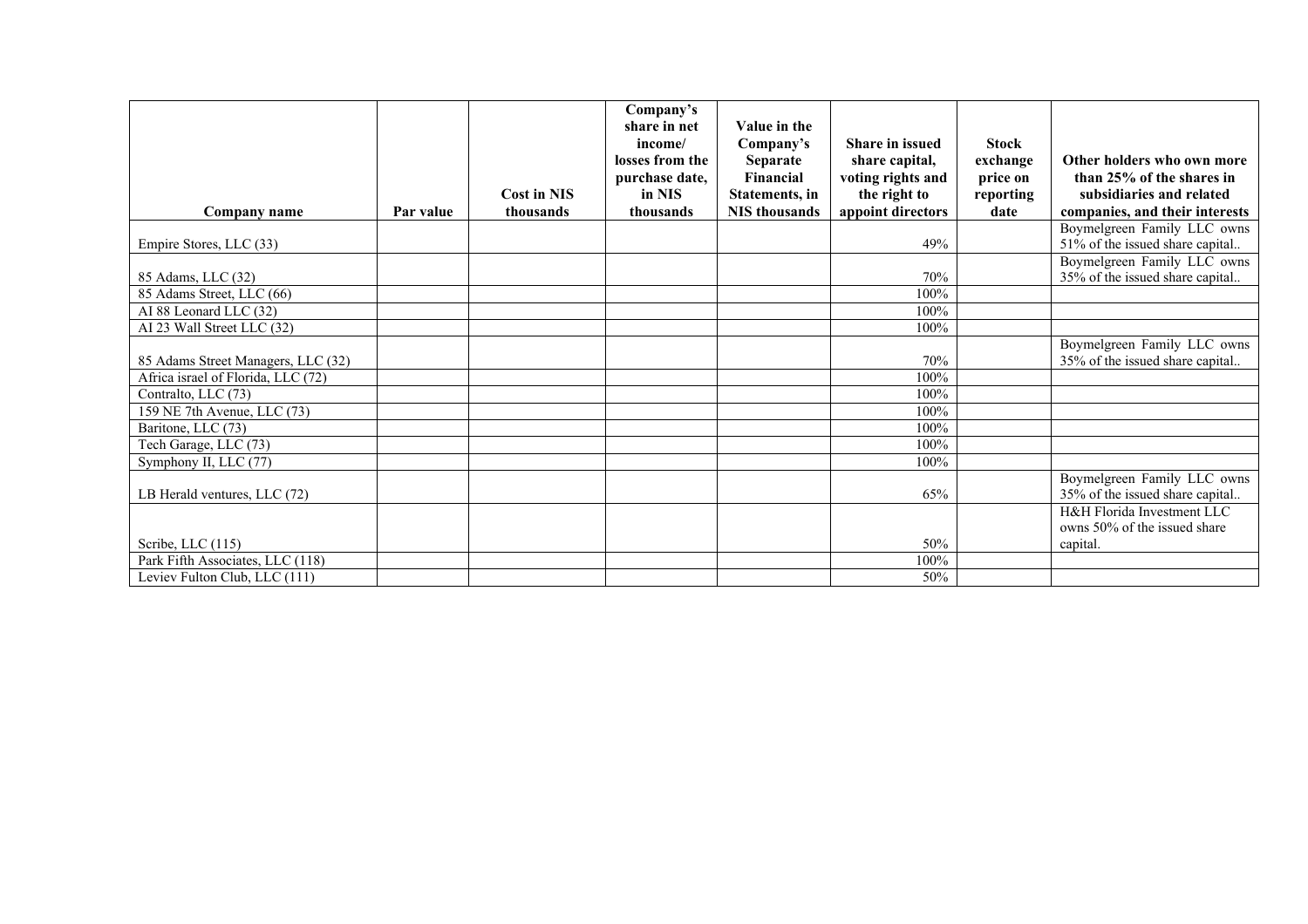|                                    |           |                    | Company's<br>share in net  | Value in the                 |                                          |                          |                                                                |
|------------------------------------|-----------|--------------------|----------------------------|------------------------------|------------------------------------------|--------------------------|----------------------------------------------------------------|
|                                    |           |                    | income/<br>losses from the | Company's<br><b>Separate</b> | <b>Share in issued</b><br>share capital, | <b>Stock</b><br>exchange | Other holders who own more                                     |
|                                    |           |                    | purchase date,             | Financial                    | voting rights and                        | price on                 | than 25% of the shares in                                      |
|                                    |           | <b>Cost in NIS</b> | in NIS                     | Statements, in               | the right to                             | reporting                | subsidiaries and related                                       |
| Company name                       | Par value | thousands          | thousands                  | <b>NIS</b> thousands         | appoint directors                        | date                     | companies, and their interests                                 |
|                                    |           |                    |                            |                              |                                          |                          | Boymelgreen Family LLC owns                                    |
| Empire Stores, LLC (33)            |           |                    |                            |                              | 49%                                      |                          | 51% of the issued share capital                                |
| 85 Adams, LLC (32)                 |           |                    |                            |                              | 70%                                      |                          | Boymelgreen Family LLC owns<br>35% of the issued share capital |
| 85 Adams Street, LLC (66)          |           |                    |                            |                              | 100%                                     |                          |                                                                |
| AI 88 Leonard LLC (32)             |           |                    |                            |                              | 100%                                     |                          |                                                                |
| AI 23 Wall Street LLC (32)         |           |                    |                            |                              | 100%                                     |                          |                                                                |
|                                    |           |                    |                            |                              |                                          |                          | Boymelgreen Family LLC owns                                    |
| 85 Adams Street Managers, LLC (32) |           |                    |                            |                              | 70%                                      |                          | 35% of the issued share capital                                |
| Africa israel of Florida, LLC (72) |           |                    |                            |                              | 100%                                     |                          |                                                                |
| Contralto, LLC (73)                |           |                    |                            |                              | 100%                                     |                          |                                                                |
| 159 NE 7th Avenue, LLC (73)        |           |                    |                            |                              | 100%                                     |                          |                                                                |
| Baritone, LLC (73)                 |           |                    |                            |                              | 100%                                     |                          |                                                                |
| Tech Garage, LLC (73)              |           |                    |                            |                              | 100%                                     |                          |                                                                |
| Symphony II, LLC (77)              |           |                    |                            |                              | 100%                                     |                          |                                                                |
| LB Herald ventures, LLC (72)       |           |                    |                            |                              | 65%                                      |                          | Boymelgreen Family LLC owns<br>35% of the issued share capital |
|                                    |           |                    |                            |                              |                                          |                          | H&H Florida Investment LLC                                     |
|                                    |           |                    |                            |                              |                                          |                          | owns 50% of the issued share                                   |
| Scribe, LLC (115)                  |           |                    |                            |                              | 50%                                      |                          | capital.                                                       |
| Park Fifth Associates, LLC (118)   |           |                    |                            |                              | 100%                                     |                          |                                                                |
| Leviev Fulton Club, LLC (111)      |           |                    |                            |                              | 50%                                      |                          |                                                                |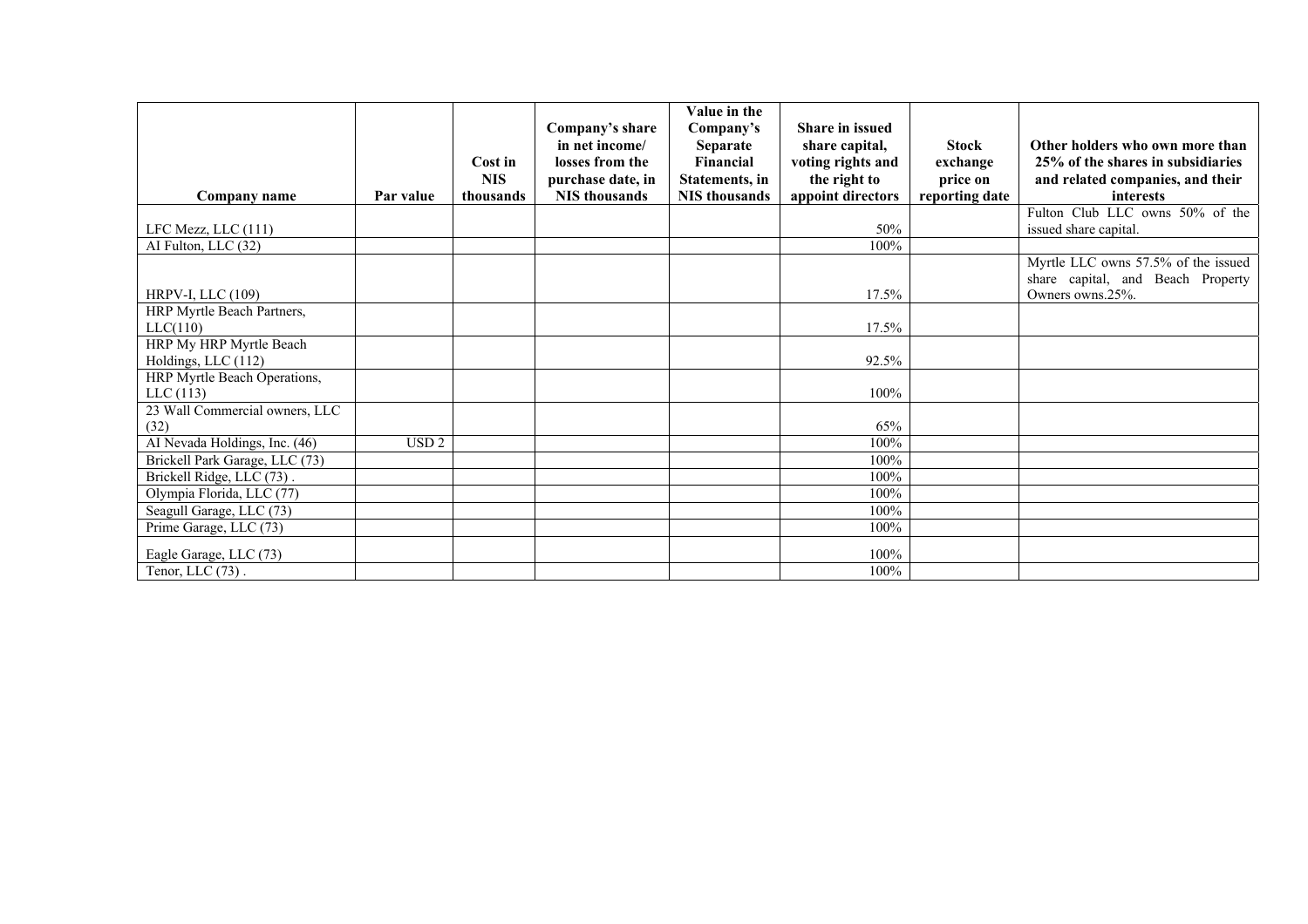|                                |                  |            |                                   | Value in the          |                                          |                |                                                       |
|--------------------------------|------------------|------------|-----------------------------------|-----------------------|------------------------------------------|----------------|-------------------------------------------------------|
|                                |                  |            | Company's share<br>in net income/ | Company's<br>Separate | <b>Share in issued</b><br>share capital, | <b>Stock</b>   | Other holders who own more than                       |
|                                |                  | Cost in    | losses from the                   | Financial             | voting rights and                        | exchange       | 25% of the shares in subsidiaries                     |
|                                |                  | <b>NIS</b> | purchase date, in                 | <b>Statements, in</b> | the right to                             | price on       | and related companies, and their                      |
| Company name                   | Par value        | thousands  | <b>NIS</b> thousands              | <b>NIS</b> thousands  | appoint directors                        | reporting date | <i>interests</i>                                      |
|                                |                  |            |                                   |                       |                                          |                | Fulton Club LLC owns 50% of the                       |
| LFC Mezz, LLC (111)            |                  |            |                                   |                       | 50%                                      |                | issued share capital.                                 |
| AI Fulton, LLC (32)            |                  |            |                                   |                       | 100%                                     |                |                                                       |
|                                |                  |            |                                   |                       |                                          |                | Myrtle LLC owns 57.5% of the issued                   |
| HRPV-I, LLC (109)              |                  |            |                                   |                       | 17.5%                                    |                | share capital, and Beach Property<br>Owners owns.25%. |
| HRP Myrtle Beach Partners,     |                  |            |                                   |                       |                                          |                |                                                       |
| LLC(110)                       |                  |            |                                   |                       | 17.5%                                    |                |                                                       |
| HRP My HRP Myrtle Beach        |                  |            |                                   |                       |                                          |                |                                                       |
| Holdings, LLC (112)            |                  |            |                                   |                       | 92.5%                                    |                |                                                       |
| HRP Myrtle Beach Operations,   |                  |            |                                   |                       |                                          |                |                                                       |
| LLC(113)                       |                  |            |                                   |                       | 100%                                     |                |                                                       |
| 23 Wall Commercial owners, LLC |                  |            |                                   |                       |                                          |                |                                                       |
| (32)                           |                  |            |                                   |                       | 65%                                      |                |                                                       |
| AI Nevada Holdings, Inc. (46)  | USD <sub>2</sub> |            |                                   |                       | 100%                                     |                |                                                       |
| Brickell Park Garage, LLC (73) |                  |            |                                   |                       | 100%                                     |                |                                                       |
| Brickell Ridge, LLC (73).      |                  |            |                                   |                       | 100%                                     |                |                                                       |
| Olympia Florida, LLC (77)      |                  |            |                                   |                       | 100%                                     |                |                                                       |
| Seagull Garage, LLC (73)       |                  |            |                                   |                       | 100%                                     |                |                                                       |
| Prime Garage, LLC (73)         |                  |            |                                   |                       | 100%                                     |                |                                                       |
| Eagle Garage, LLC (73)         |                  |            |                                   |                       | 100%                                     |                |                                                       |
| Tenor, LLC $(73)$ .            |                  |            |                                   |                       | 100%                                     |                |                                                       |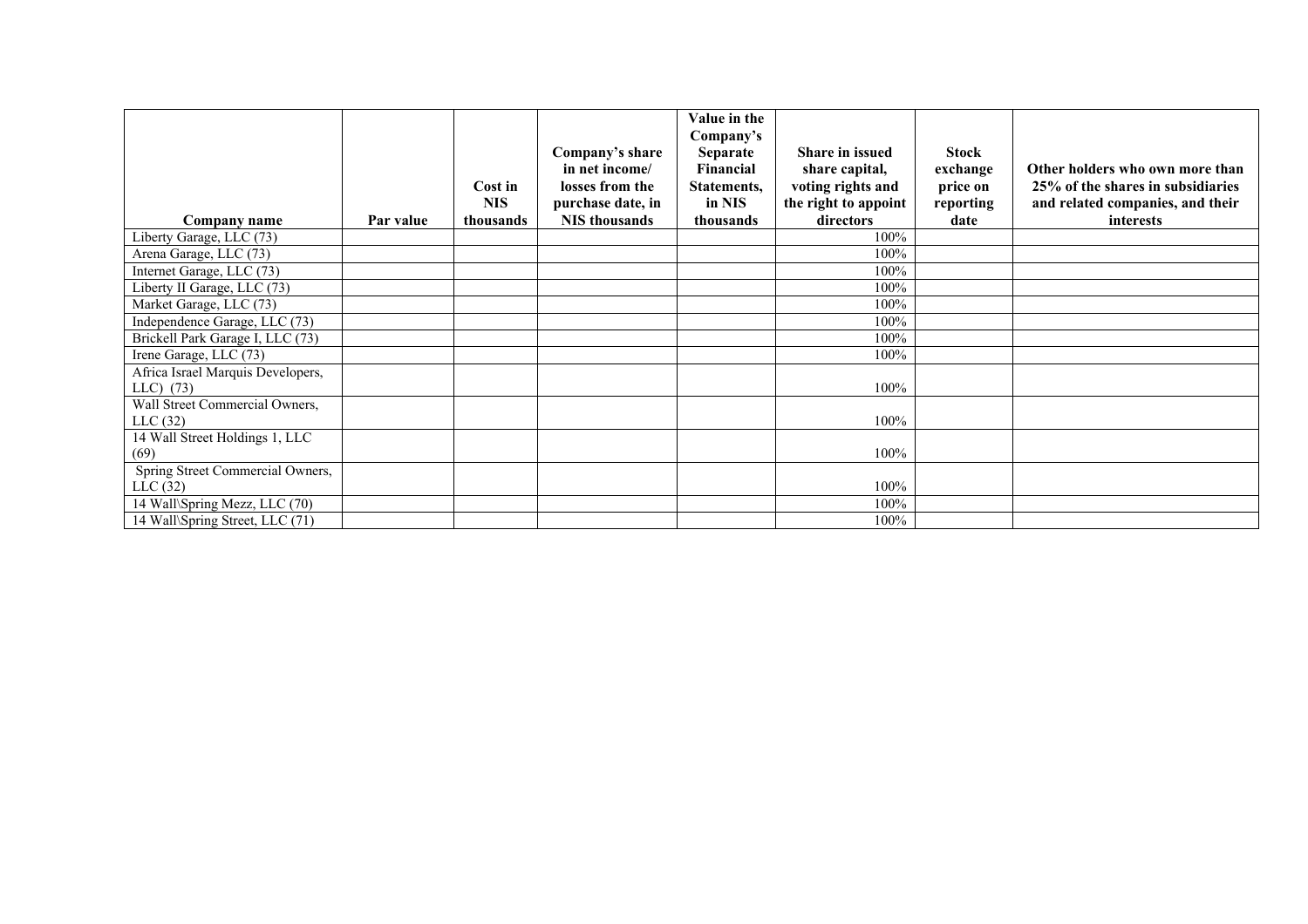|                                                    |           | Cost in<br><b>NIS</b> | Company's share<br>in net income/<br>losses from the<br>purchase date, in | Value in the<br>Company's<br><b>Separate</b><br>Financial<br>Statements,<br>in NIS | <b>Share in issued</b><br>share capital,<br>voting rights and<br>the right to appoint | Stock<br>exchange<br>price on<br>reporting | Other holders who own more than<br>25% of the shares in subsidiaries<br>and related companies, and their |
|----------------------------------------------------|-----------|-----------------------|---------------------------------------------------------------------------|------------------------------------------------------------------------------------|---------------------------------------------------------------------------------------|--------------------------------------------|----------------------------------------------------------------------------------------------------------|
| Company name                                       | Par value | thousands             | <b>NIS</b> thousands                                                      | thousands                                                                          | directors<br>100%                                                                     | date                                       | <b>interests</b>                                                                                         |
| Liberty Garage, LLC (73)<br>Arena Garage, LLC (73) |           |                       |                                                                           |                                                                                    | 100%                                                                                  |                                            |                                                                                                          |
| Internet Garage, LLC (73)                          |           |                       |                                                                           |                                                                                    | 100%                                                                                  |                                            |                                                                                                          |
| Liberty II Garage, LLC (73)                        |           |                       |                                                                           |                                                                                    | 100%                                                                                  |                                            |                                                                                                          |
| Market Garage, LLC (73)                            |           |                       |                                                                           |                                                                                    | 100%                                                                                  |                                            |                                                                                                          |
| Independence Garage, LLC (73)                      |           |                       |                                                                           |                                                                                    | 100%                                                                                  |                                            |                                                                                                          |
| Brickell Park Garage I, LLC (73)                   |           |                       |                                                                           |                                                                                    | 100%                                                                                  |                                            |                                                                                                          |
| Irene Garage, LLC (73)                             |           |                       |                                                                           |                                                                                    | 100%                                                                                  |                                            |                                                                                                          |
| Africa Israel Marquis Developers,                  |           |                       |                                                                           |                                                                                    |                                                                                       |                                            |                                                                                                          |
| $LLC)$ (73)                                        |           |                       |                                                                           |                                                                                    | 100%                                                                                  |                                            |                                                                                                          |
| Wall Street Commercial Owners,                     |           |                       |                                                                           |                                                                                    |                                                                                       |                                            |                                                                                                          |
| LLC(32)                                            |           |                       |                                                                           |                                                                                    | 100%                                                                                  |                                            |                                                                                                          |
| 14 Wall Street Holdings 1, LLC                     |           |                       |                                                                           |                                                                                    |                                                                                       |                                            |                                                                                                          |
| (69)                                               |           |                       |                                                                           |                                                                                    | 100%                                                                                  |                                            |                                                                                                          |
| Spring Street Commercial Owners,                   |           |                       |                                                                           |                                                                                    |                                                                                       |                                            |                                                                                                          |
| LLC(32)                                            |           |                       |                                                                           |                                                                                    | 100%                                                                                  |                                            |                                                                                                          |
| 14 Wall\Spring Mezz, LLC (70)                      |           |                       |                                                                           |                                                                                    | 100%                                                                                  |                                            |                                                                                                          |
| 14 Wall\Spring Street, LLC (71)                    |           |                       |                                                                           |                                                                                    | 100%                                                                                  |                                            |                                                                                                          |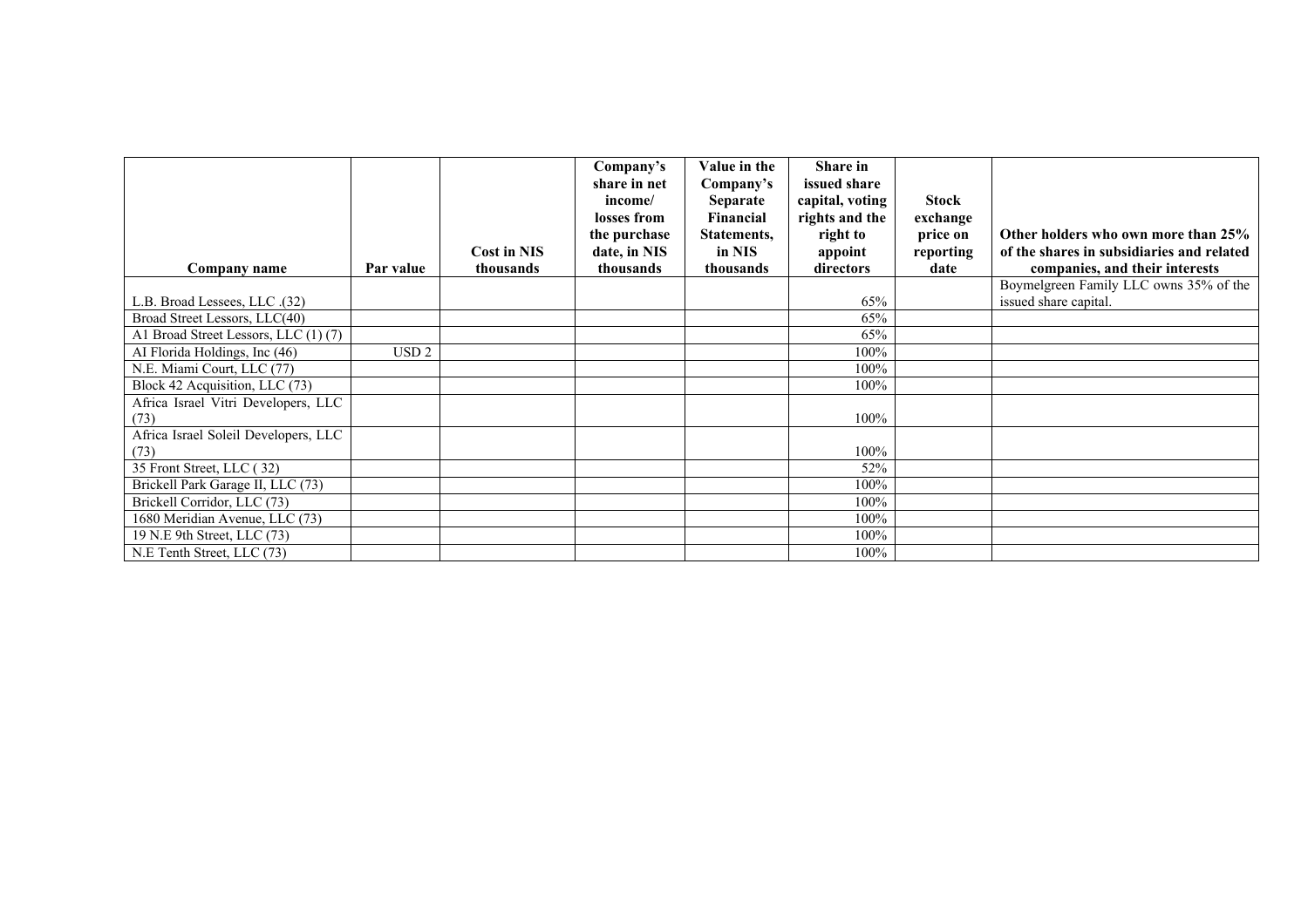|                                              |                  |                    | Company's<br>share in net<br>income/ | Value in the<br>Company's<br><b>Separate</b> | <b>Share in</b><br>issued share<br>capital, voting | <b>Stock</b> |                                                                 |
|----------------------------------------------|------------------|--------------------|--------------------------------------|----------------------------------------------|----------------------------------------------------|--------------|-----------------------------------------------------------------|
|                                              |                  |                    | losses from                          | Financial                                    | rights and the                                     | exchange     |                                                                 |
|                                              |                  |                    | the purchase                         | Statements,                                  | right to                                           | price on     | Other holders who own more than 25%                             |
|                                              |                  | <b>Cost in NIS</b> | date, in NIS                         | in NIS                                       | appoint                                            | reporting    | of the shares in subsidiaries and related                       |
| Company name                                 | Par value        | thousands          | thousands                            | thousands                                    | directors                                          | date         | companies, and their interests                                  |
| L.B. Broad Lessees, LLC .(32)                |                  |                    |                                      |                                              | 65%                                                |              | Boymelgreen Family LLC owns 35% of the<br>issued share capital. |
| Broad Street Lessors, LLC(40)                |                  |                    |                                      |                                              | 65%                                                |              |                                                                 |
| A1 Broad Street Lessors, LLC (1) (7)         |                  |                    |                                      |                                              | 65%                                                |              |                                                                 |
| AI Florida Holdings, Inc (46)                | USD <sub>2</sub> |                    |                                      |                                              | 100%                                               |              |                                                                 |
| N.E. Miami Court, LLC (77)                   |                  |                    |                                      |                                              | 100%                                               |              |                                                                 |
| Block 42 Acquisition, LLC (73)               |                  |                    |                                      |                                              | 100%                                               |              |                                                                 |
| Africa Israel Vitri Developers, LLC<br>(73)  |                  |                    |                                      |                                              | 100%                                               |              |                                                                 |
| Africa Israel Soleil Developers, LLC<br>(73) |                  |                    |                                      |                                              | 100%                                               |              |                                                                 |
| 35 Front Street, LLC (32)                    |                  |                    |                                      |                                              | 52%                                                |              |                                                                 |
| Brickell Park Garage II, LLC (73)            |                  |                    |                                      |                                              | 100%                                               |              |                                                                 |
| Brickell Corridor, LLC (73)                  |                  |                    |                                      |                                              | 100%                                               |              |                                                                 |
| 1680 Meridian Avenue, LLC (73)               |                  |                    |                                      |                                              | 100%                                               |              |                                                                 |
| 19 N.E 9th Street, LLC (73)                  |                  |                    |                                      |                                              | 100%                                               |              |                                                                 |
| N.E Tenth Street, LLC (73)                   |                  |                    |                                      |                                              | $100\%$                                            |              |                                                                 |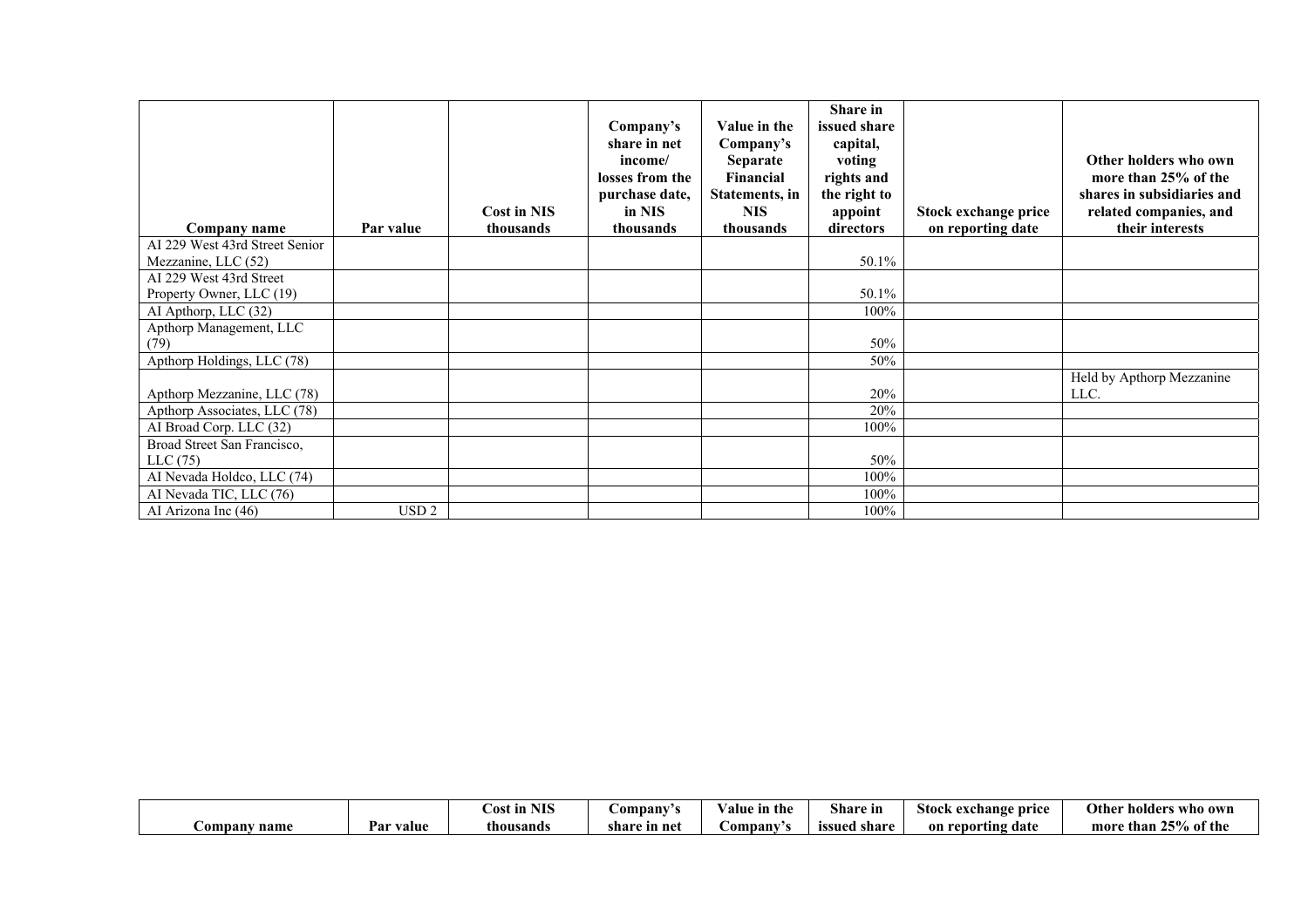| Company name                   | Par value        | Cost in NIS<br>thousands | Company's<br>share in net<br>income/<br>losses from the<br>purchase date,<br>in NIS<br>thousands | Value in the<br>Company's<br><b>Separate</b><br>Financial<br><b>Statements</b> , in<br><b>NIS</b><br>thousands | Share in<br>issued share<br>capital,<br>voting<br>rights and<br>the right to<br>appoint<br>directors | Stock exchange price<br>on reporting date | Other holders who own<br>more than 25% of the<br>shares in subsidiaries and<br>related companies, and<br>their interests |
|--------------------------------|------------------|--------------------------|--------------------------------------------------------------------------------------------------|----------------------------------------------------------------------------------------------------------------|------------------------------------------------------------------------------------------------------|-------------------------------------------|--------------------------------------------------------------------------------------------------------------------------|
| AI 229 West 43rd Street Senior |                  |                          |                                                                                                  |                                                                                                                |                                                                                                      |                                           |                                                                                                                          |
| Mezzanine, LLC (52)            |                  |                          |                                                                                                  |                                                                                                                | 50.1%                                                                                                |                                           |                                                                                                                          |
| AI 229 West 43rd Street        |                  |                          |                                                                                                  |                                                                                                                |                                                                                                      |                                           |                                                                                                                          |
| Property Owner, LLC (19)       |                  |                          |                                                                                                  |                                                                                                                | 50.1%                                                                                                |                                           |                                                                                                                          |
| AI Apthorp, LLC (32)           |                  |                          |                                                                                                  |                                                                                                                | 100%                                                                                                 |                                           |                                                                                                                          |
| Apthorp Management, LLC        |                  |                          |                                                                                                  |                                                                                                                |                                                                                                      |                                           |                                                                                                                          |
| (79)                           |                  |                          |                                                                                                  |                                                                                                                | 50%                                                                                                  |                                           |                                                                                                                          |
| Apthorp Holdings, LLC (78)     |                  |                          |                                                                                                  |                                                                                                                | 50%                                                                                                  |                                           |                                                                                                                          |
| Apthorp Mezzanine, LLC (78)    |                  |                          |                                                                                                  |                                                                                                                | 20%                                                                                                  |                                           | Held by Apthorp Mezzanine<br>LLC.                                                                                        |
| Apthorp Associates, LLC (78)   |                  |                          |                                                                                                  |                                                                                                                | 20%                                                                                                  |                                           |                                                                                                                          |
| AI Broad Corp. LLC (32)        |                  |                          |                                                                                                  |                                                                                                                | 100%                                                                                                 |                                           |                                                                                                                          |
| Broad Street San Francisco,    |                  |                          |                                                                                                  |                                                                                                                |                                                                                                      |                                           |                                                                                                                          |
| LLC(75)                        |                  |                          |                                                                                                  |                                                                                                                | 50%                                                                                                  |                                           |                                                                                                                          |
| AI Nevada Holdco, LLC (74)     |                  |                          |                                                                                                  |                                                                                                                | 100%                                                                                                 |                                           |                                                                                                                          |
| AI Nevada TIC, LLC (76)        |                  |                          |                                                                                                  |                                                                                                                | 100%                                                                                                 |                                           |                                                                                                                          |
| AI Arizona Inc (46)            | USD <sub>2</sub> |                          |                                                                                                  |                                                                                                                | 100%                                                                                                 |                                           |                                                                                                                          |

|                     |              | NITC<br>∶ost ın<br>3 L C | <b>⊃ompany</b>    | /alue in the | Q1.<br>Share in | exchange<br>Stock<br>price        | Other<br>who own<br>-nolder:     |
|---------------------|--------------|--------------------------|-------------------|--------------|-----------------|-----------------------------------|----------------------------------|
| <b>Company name</b> | value<br>rar | thousands                | share<br>e in net | ompany       | share<br>issued | 'eporting date<br>on $\mathbf{r}$ | 250/<br>% of the<br>moro<br>than |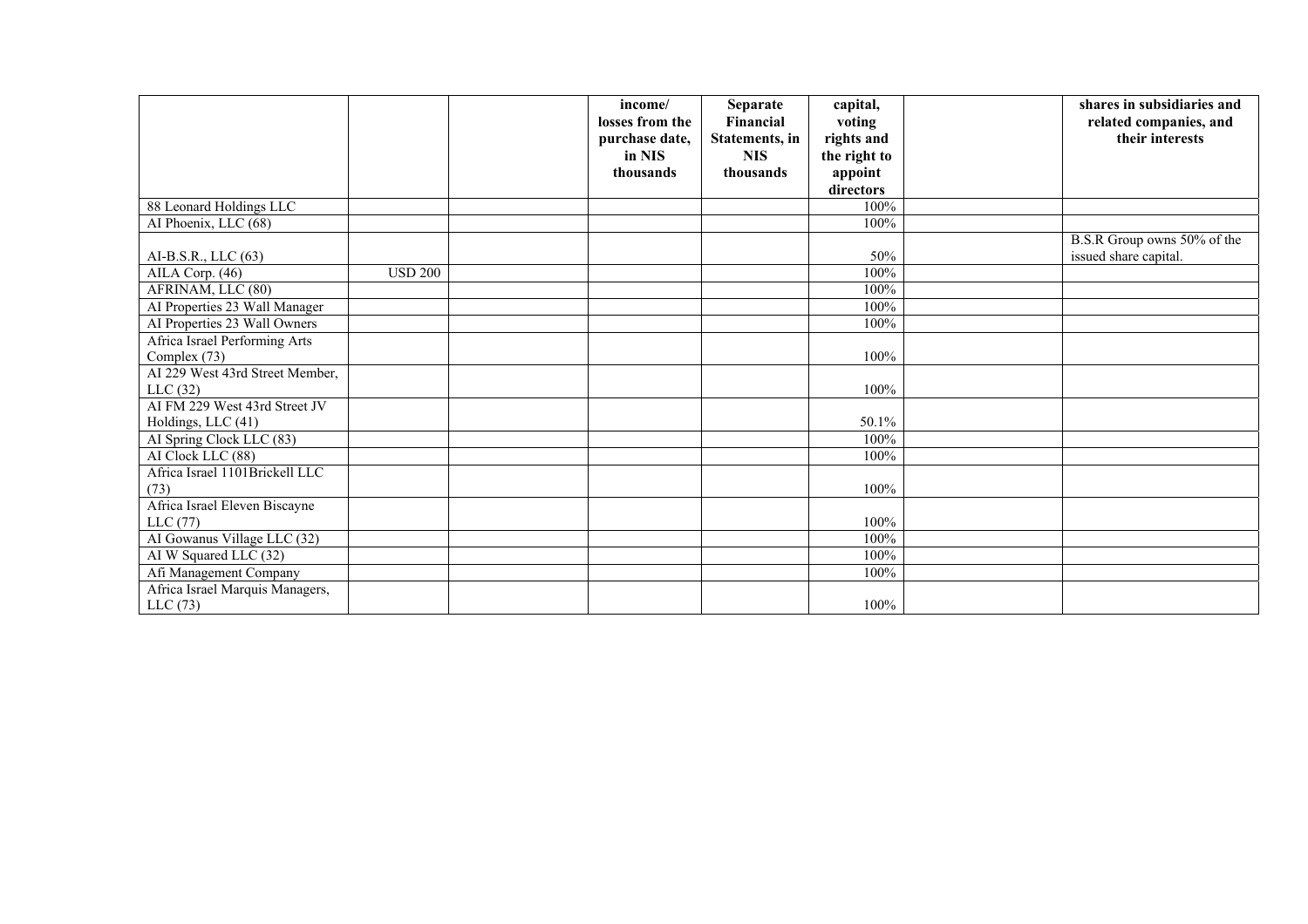|                                 |                | income/         | Separate       | capital,     | shares in subsidiaries and  |
|---------------------------------|----------------|-----------------|----------------|--------------|-----------------------------|
|                                 |                | losses from the | Financial      | voting       | related companies, and      |
|                                 |                | purchase date,  | Statements, in | rights and   | their interests             |
|                                 |                | in NIS          | <b>NIS</b>     | the right to |                             |
|                                 |                | thousands       | thousands      | appoint      |                             |
|                                 |                |                 |                | directors    |                             |
| 88 Leonard Holdings LLC         |                |                 |                | 100%         |                             |
| AI Phoenix, LLC (68)            |                |                 |                | 100%         |                             |
|                                 |                |                 |                |              | B.S.R Group owns 50% of the |
| AI-B.S.R., LLC (63)             |                |                 |                | 50%          | issued share capital.       |
| AILA Corp. (46)                 | <b>USD 200</b> |                 |                | 100%         |                             |
| AFRINAM, LLC (80)               |                |                 |                | 100%         |                             |
| AI Properties 23 Wall Manager   |                |                 |                | 100%         |                             |
| AI Properties 23 Wall Owners    |                |                 |                | 100%         |                             |
| Africa Israel Performing Arts   |                |                 |                |              |                             |
| Complex (73)                    |                |                 |                | 100%         |                             |
| AI 229 West 43rd Street Member, |                |                 |                |              |                             |
| LLC(32)                         |                |                 |                | 100%         |                             |
| AI FM 229 West 43rd Street JV   |                |                 |                |              |                             |
| Holdings, LLC (41)              |                |                 |                | 50.1%        |                             |
| AI Spring Clock LLC (83)        |                |                 |                | 100%         |                             |
| AI Clock LLC (88)               |                |                 |                | 100%         |                             |
| Africa Israel 1101Brickell LLC  |                |                 |                |              |                             |
| (73)                            |                |                 |                | 100%         |                             |
| Africa Israel Eleven Biscayne   |                |                 |                |              |                             |
| LLC(77)                         |                |                 |                | 100%         |                             |
| AI Gowanus Village LLC (32)     |                |                 |                | 100%         |                             |
| AI W Squared LLC (32)           |                |                 |                | 100%         |                             |
| Afi Management Company          |                |                 |                | 100%         |                             |
| Africa Israel Marquis Managers, |                |                 |                |              |                             |
| LLC(73)                         |                |                 |                | 100%         |                             |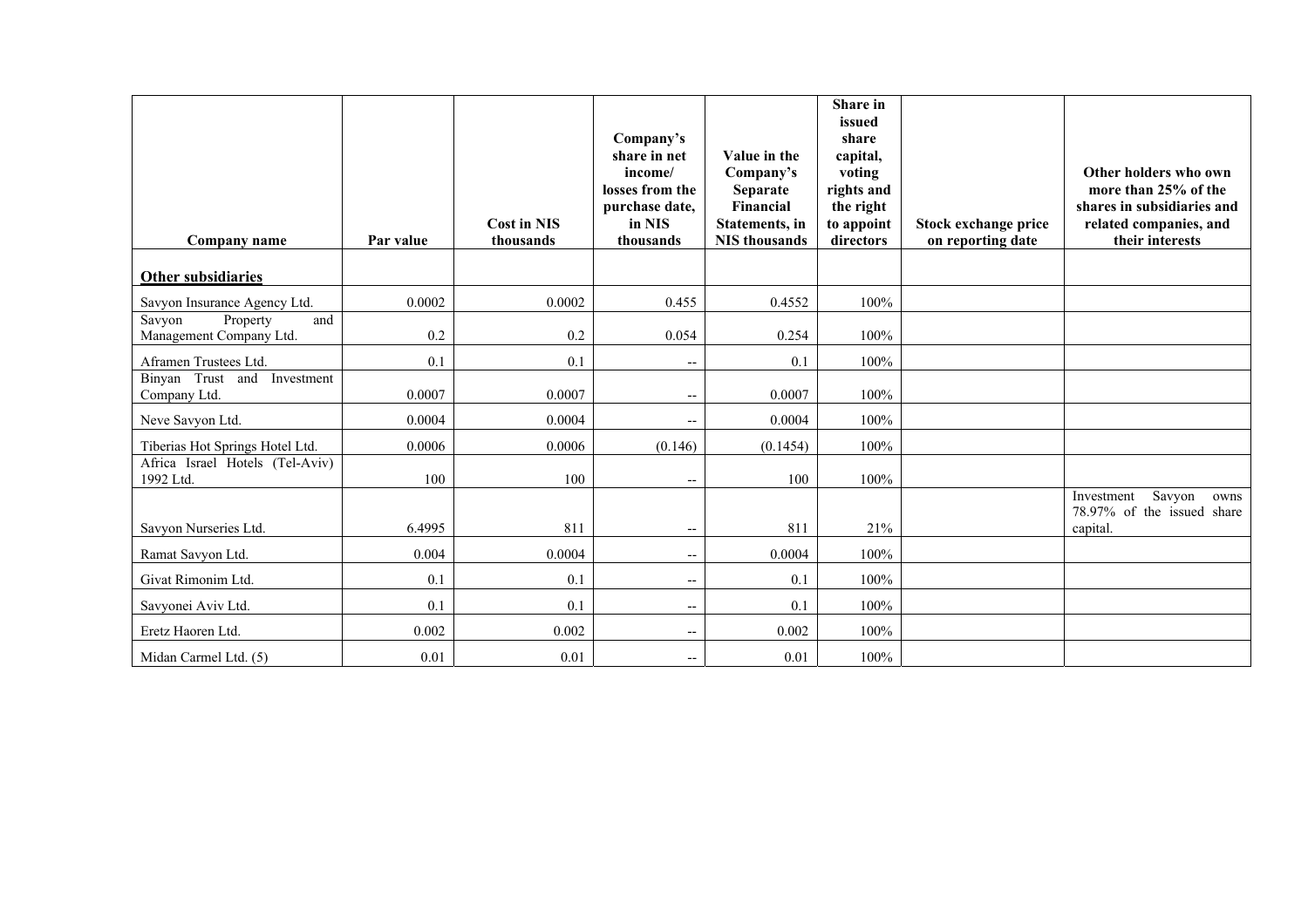| Company name                                         | Par value | <b>Cost in NIS</b><br>thousands | Company's<br>share in net<br>income/<br>losses from the<br>purchase date,<br>in NIS<br>thousands | Value in the<br>Company's<br><b>Separate</b><br>Financial<br>Statements, in<br><b>NIS</b> thousands | Share in<br>issued<br>share<br>capital,<br>voting<br>rights and<br>the right<br>to appoint<br>directors | Stock exchange price<br>on reporting date | Other holders who own<br>more than 25% of the<br>shares in subsidiaries and<br>related companies, and<br>their interests |
|------------------------------------------------------|-----------|---------------------------------|--------------------------------------------------------------------------------------------------|-----------------------------------------------------------------------------------------------------|---------------------------------------------------------------------------------------------------------|-------------------------------------------|--------------------------------------------------------------------------------------------------------------------------|
| Other subsidiaries                                   |           |                                 |                                                                                                  |                                                                                                     |                                                                                                         |                                           |                                                                                                                          |
| Savyon Insurance Agency Ltd.                         | 0.0002    | 0.0002                          | 0.455                                                                                            | 0.4552                                                                                              | 100%                                                                                                    |                                           |                                                                                                                          |
| Savyon<br>Property<br>and<br>Management Company Ltd. | 0.2       | 0.2                             | 0.054                                                                                            | 0.254                                                                                               | 100%                                                                                                    |                                           |                                                                                                                          |
| Aframen Trustees Ltd.                                | 0.1       | 0.1                             | $-$                                                                                              | 0.1                                                                                                 | 100%                                                                                                    |                                           |                                                                                                                          |
| Binyan Trust and<br>Investment<br>Company Ltd.       | 0.0007    | 0.0007                          | $\overline{\phantom{a}}$                                                                         | 0.0007                                                                                              | 100%                                                                                                    |                                           |                                                                                                                          |
| Neve Savyon Ltd.                                     | 0.0004    | 0.0004                          | $-$                                                                                              | 0.0004                                                                                              | 100%                                                                                                    |                                           |                                                                                                                          |
| Tiberias Hot Springs Hotel Ltd.                      | 0.0006    | 0.0006                          | (0.146)                                                                                          | (0.1454)                                                                                            | 100%                                                                                                    |                                           |                                                                                                                          |
| Africa Israel Hotels (Tel-Aviv)<br>1992 Ltd.         | 100       | 100                             | $\overline{\phantom{a}}$                                                                         | 100                                                                                                 | 100%                                                                                                    |                                           |                                                                                                                          |
| Savyon Nurseries Ltd.                                | 6.4995    | 811                             | $-$                                                                                              | 811                                                                                                 | 21%                                                                                                     |                                           | Savyon<br>Investment<br>owns<br>78.97% of the issued share<br>capital.                                                   |
| Ramat Savyon Ltd.                                    | 0.004     | 0.0004                          | $\overline{\phantom{a}}$                                                                         | 0.0004                                                                                              | 100%                                                                                                    |                                           |                                                                                                                          |
| Givat Rimonim Ltd.                                   | 0.1       | 0.1                             | --                                                                                               | 0.1                                                                                                 | 100%                                                                                                    |                                           |                                                                                                                          |
| Savyonei Aviv Ltd.                                   | 0.1       | 0.1                             | $\overline{\phantom{a}}$                                                                         | 0.1                                                                                                 | 100%                                                                                                    |                                           |                                                                                                                          |
| Eretz Haoren Ltd.                                    | 0.002     | 0.002                           | $\overline{\phantom{m}}$                                                                         | 0.002                                                                                               | 100%                                                                                                    |                                           |                                                                                                                          |
| Midan Carmel Ltd. (5)                                | 0.01      | 0.01                            | $\overline{\phantom{a}}$                                                                         | 0.01                                                                                                | 100%                                                                                                    |                                           |                                                                                                                          |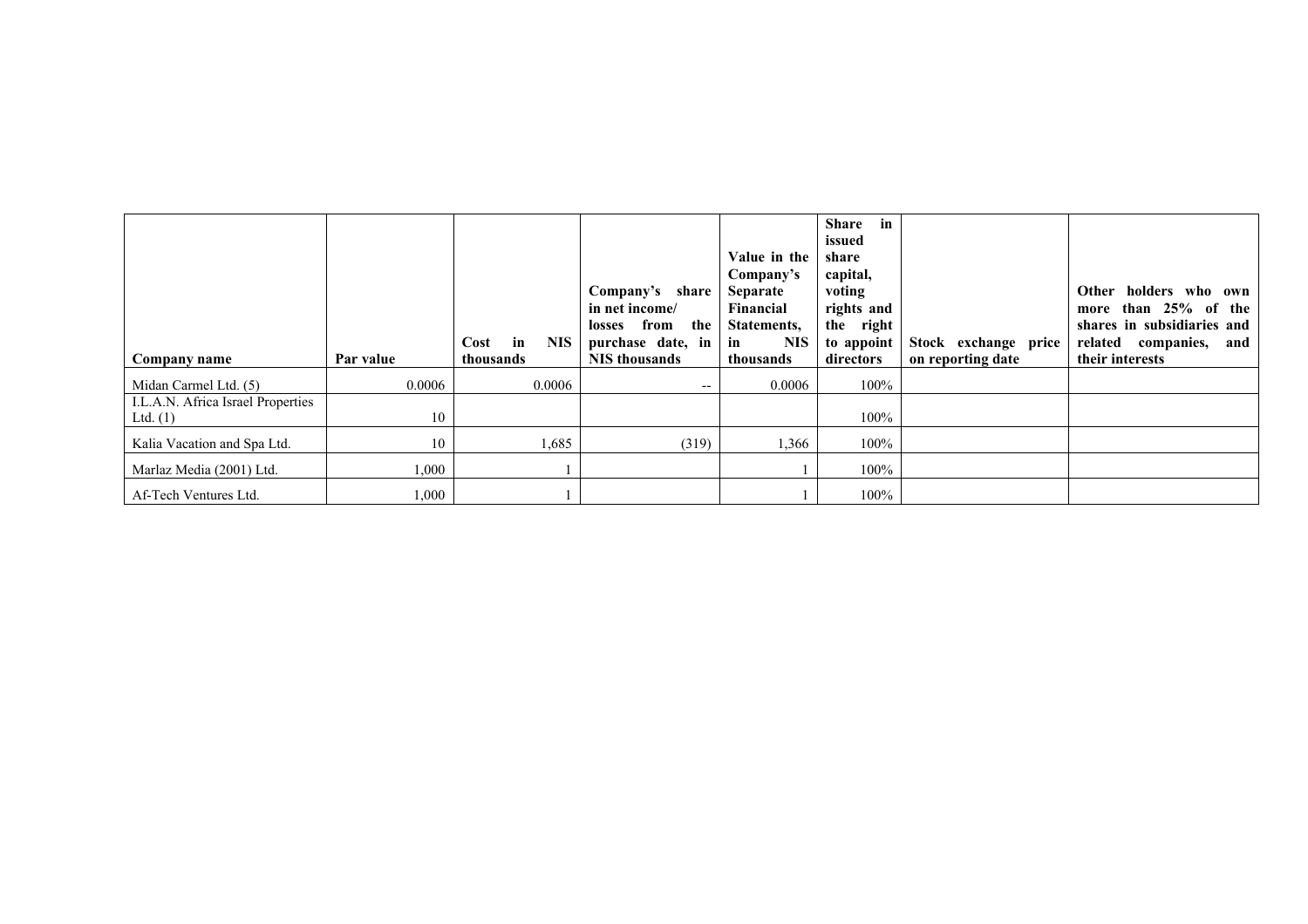| Company name                                    | Par value | in<br><b>NIS</b><br>Cost<br>thousands | Company's share<br>in net income/<br>losses from<br>the<br>purchase date, in<br><b>NIS</b> thousands | Value in the<br>Company's<br>Separate<br>Financial<br>Statements,<br><b>NIS</b><br>in<br>thousands | in<br><b>Share</b><br>issued<br>share<br>capital,<br>voting<br>rights and<br>the right<br>to appoint<br>directors | Stock exchange price<br>on reporting date | Other<br>holders who own<br>than $25%$ of<br>the<br>more<br>shares in subsidiaries and<br>companies,<br>related<br>and<br>their interests |
|-------------------------------------------------|-----------|---------------------------------------|------------------------------------------------------------------------------------------------------|----------------------------------------------------------------------------------------------------|-------------------------------------------------------------------------------------------------------------------|-------------------------------------------|-------------------------------------------------------------------------------------------------------------------------------------------|
| Midan Carmel Ltd. (5)                           | 0.0006    | 0.0006                                | $- -$                                                                                                | 0.0006                                                                                             | $100\%$                                                                                                           |                                           |                                                                                                                                           |
| I.L.A.N. Africa Israel Properties<br>Ltd. $(1)$ | 10        |                                       |                                                                                                      |                                                                                                    | $100\%$                                                                                                           |                                           |                                                                                                                                           |
| Kalia Vacation and Spa Ltd.                     | 10        | 1,685                                 | (319)                                                                                                | 1,366                                                                                              | 100%                                                                                                              |                                           |                                                                                                                                           |
| Marlaz Media (2001) Ltd.                        | 1,000     |                                       |                                                                                                      |                                                                                                    | 100%                                                                                                              |                                           |                                                                                                                                           |
| Af-Tech Ventures Ltd.                           | 000.1     |                                       |                                                                                                      |                                                                                                    | $100\%$                                                                                                           |                                           |                                                                                                                                           |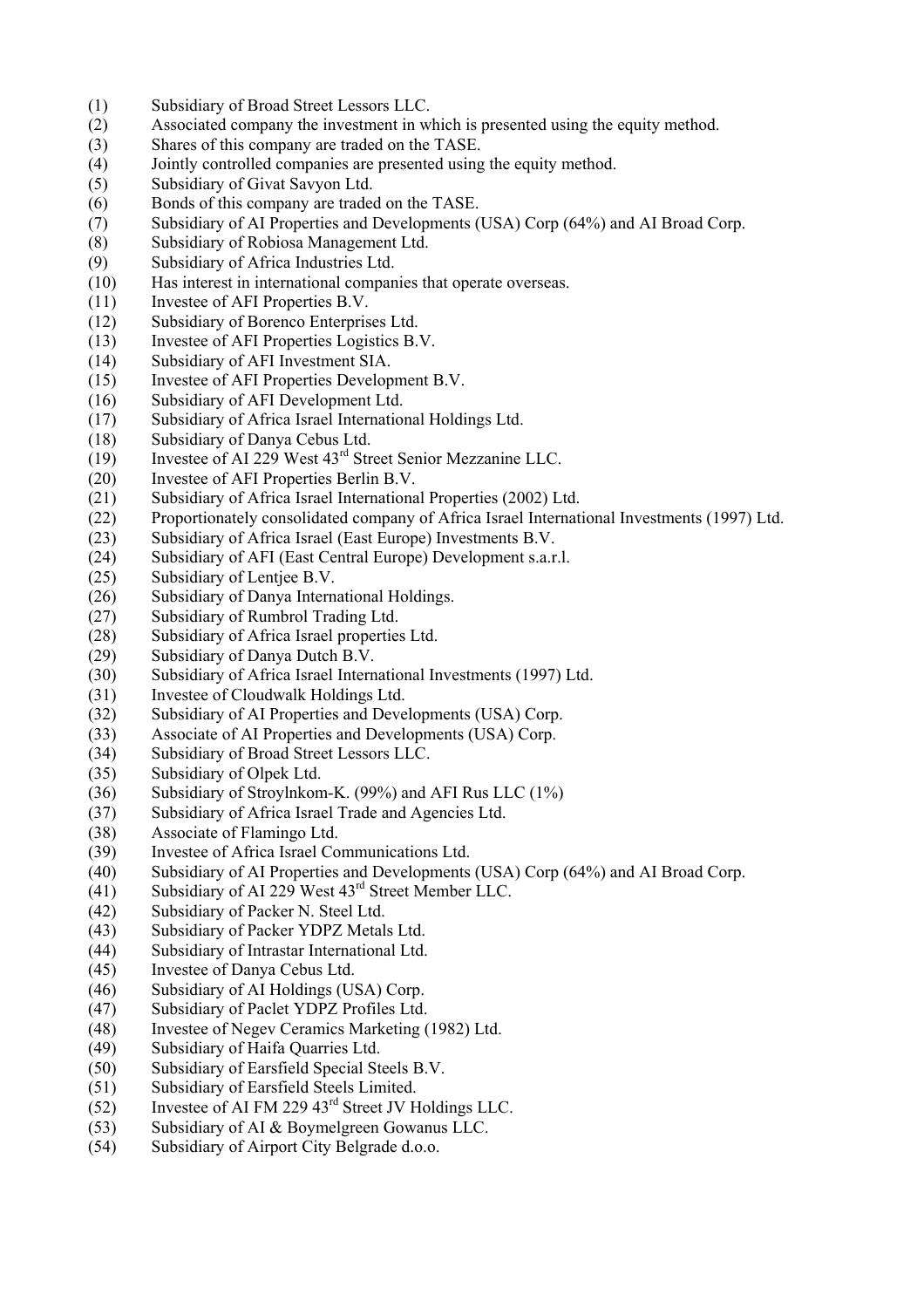- (1) Subsidiary of Broad Street Lessors LLC.
- (2) Associated company the investment in which is presented using the equity method.
- (3) Shares of this company are traded on the TASE.
- (4) Jointly controlled companies are presented using the equity method.
- (5) Subsidiary of Givat Savyon Ltd.
- (6) Bonds of this company are traded on the TASE.
- (7) Subsidiary of AI Properties and Developments (USA) Corp (64%) and AI Broad Corp.
- (8) Subsidiary of Robiosa Management Ltd.
- (9) Subsidiary of Africa Industries Ltd.
- (10) Has interest in international companies that operate overseas.
- (11) Investee of AFI Properties B.V.
- (12) Subsidiary of Borenco Enterprises Ltd.
- (13) Investee of AFI Properties Logistics B.V.
- (14) Subsidiary of AFI Investment SIA.
- (15) Investee of AFI Properties Development B.V.
- (16) Subsidiary of AFI Development Ltd.
- (17) Subsidiary of Africa Israel International Holdings Ltd.
- (18) Subsidiary of Danya Cebus Ltd.
- (19) Investee of AI 229 West 43rd Street Senior Mezzanine LLC.
- (20) Investee of AFI Properties Berlin B.V.
- (21) Subsidiary of Africa Israel International Properties (2002) Ltd.
- (22) Proportionately consolidated company of Africa Israel International Investments (1997) Ltd.
- (23) Subsidiary of Africa Israel (East Europe) Investments B.V.
- (24) Subsidiary of AFI (East Central Europe) Development s.a.r.l.
- (25) Subsidiary of Lentjee B.V.
- (26) Subsidiary of Danya International Holdings.
- (27) Subsidiary of Rumbrol Trading Ltd.
- (28) Subsidiary of Africa Israel properties Ltd.
- (29) Subsidiary of Danya Dutch B.V.
- (30) Subsidiary of Africa Israel International Investments (1997) Ltd.
- (31) Investee of Cloudwalk Holdings Ltd.
- (32) Subsidiary of AI Properties and Developments (USA) Corp.
- (33) Associate of AI Properties and Developments (USA) Corp.
- (34) Subsidiary of Broad Street Lessors LLC.
- (35) Subsidiary of Olpek Ltd.
- (36) Subsidiary of Stroylnkom-K. (99%) and AFI Rus LLC (1%)
- (37) Subsidiary of Africa Israel Trade and Agencies Ltd.
- (38) Associate of Flamingo Ltd.
- (39) Investee of Africa Israel Communications Ltd.
- (40) Subsidiary of AI Properties and Developments (USA) Corp (64%) and AI Broad Corp.
- (41) Subsidiary of AI 229 West 43rd Street Member LLC.
- (42) Subsidiary of Packer N. Steel Ltd.
- (43) Subsidiary of Packer YDPZ Metals Ltd.
- (44) Subsidiary of Intrastar International Ltd.
- (45) Investee of Danya Cebus Ltd.
- (46) Subsidiary of AI Holdings (USA) Corp.
- (47) Subsidiary of Paclet YDPZ Profiles Ltd.
- (48) Investee of Negev Ceramics Marketing (1982) Ltd.
- (49) Subsidiary of Haifa Quarries Ltd.
- (50) Subsidiary of Earsfield Special Steels B.V.
- (51) Subsidiary of Earsfield Steels Limited.
- $(52)$  Investee of AI FM 229 43<sup>rd</sup> Street JV Holdings LLC.
- (53) Subsidiary of AI & Boymelgreen Gowanus LLC.
- (54) Subsidiary of Airport City Belgrade d.o.o.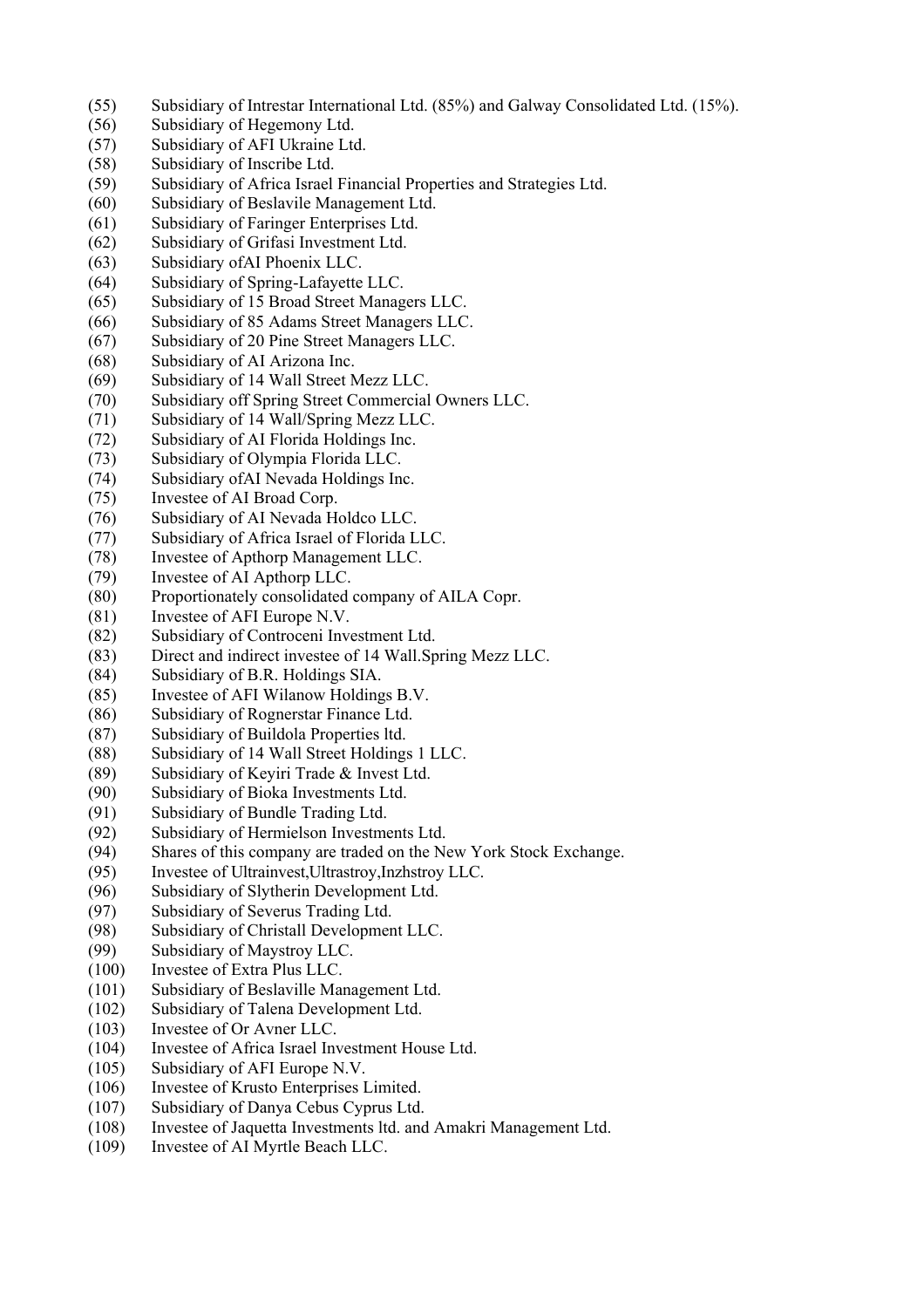- (55) Subsidiary of Intrestar International Ltd. (85%) and Galway Consolidated Ltd. (15%).
- (56) Subsidiary of Hegemony Ltd.
- (57) Subsidiary of AFI Ukraine Ltd.
- (58) Subsidiary of Inscribe Ltd.
- (59) Subsidiary of Africa Israel Financial Properties and Strategies Ltd.
- (60) Subsidiary of Beslavile Management Ltd.
- (61) Subsidiary of Faringer Enterprises Ltd.
- (62) Subsidiary of Grifasi Investment Ltd.
- (63) Subsidiary ofAI Phoenix LLC.
- (64) Subsidiary of Spring-Lafayette LLC.
- (65) Subsidiary of 15 Broad Street Managers LLC.
- (66) Subsidiary of 85 Adams Street Managers LLC.
- (67) Subsidiary of 20 Pine Street Managers LLC.
- (68) Subsidiary of AI Arizona Inc.
- (69) Subsidiary of 14 Wall Street Mezz LLC.
- (70) Subsidiary off Spring Street Commercial Owners LLC.
- (71) Subsidiary of 14 Wall/Spring Mezz LLC.
- (72) Subsidiary of AI Florida Holdings Inc.
- (73) Subsidiary of Olympia Florida LLC.
- (74) Subsidiary ofAI Nevada Holdings Inc.
- (75) Investee of AI Broad Corp.
- (76) Subsidiary of AI Nevada Holdco LLC.
- (77) Subsidiary of Africa Israel of Florida LLC.
- (78) Investee of Apthorp Management LLC.
- (79) Investee of AI Apthorp LLC.
- (80) Proportionately consolidated company of AILA Copr.
- (81) Investee of AFI Europe N.V.
- (82) Subsidiary of Controceni Investment Ltd.
- (83) Direct and indirect investee of 14 Wall.Spring Mezz LLC.
- (84) Subsidiary of B.R. Holdings SIA.
- (85) Investee of AFI Wilanow Holdings B.V.
- (86) Subsidiary of Rognerstar Finance Ltd.
- (87) Subsidiary of Buildola Properties ltd.
- (88) Subsidiary of 14 Wall Street Holdings 1 LLC.
- (89) Subsidiary of Keyiri Trade & Invest Ltd.
- (90) Subsidiary of Bioka Investments Ltd.
- (91) Subsidiary of Bundle Trading Ltd.
- (92) Subsidiary of Hermielson Investments Ltd.
- (94) Shares of this company are traded on the New York Stock Exchange.
- (95) Investee of Ultrainvest,Ultrastroy,Inzhstroy LLC.
- (96) Subsidiary of Slytherin Development Ltd.
- (97) Subsidiary of Severus Trading Ltd.
- (98) Subsidiary of Christall Development LLC.
- (99) Subsidiary of Maystroy LLC.
- (100) Investee of Extra Plus LLC.
- (101) Subsidiary of Beslaville Management Ltd.
- (102) Subsidiary of Talena Development Ltd.
- (103) Investee of Or Avner LLC.
- (104) Investee of Africa Israel Investment House Ltd.
- (105) Subsidiary of AFI Europe N.V.
- (106) Investee of Krusto Enterprises Limited.
- (107) Subsidiary of Danya Cebus Cyprus Ltd.
- (108) Investee of Jaquetta Investments ltd. and Amakri Management Ltd.
- (109) Investee of AI Myrtle Beach LLC.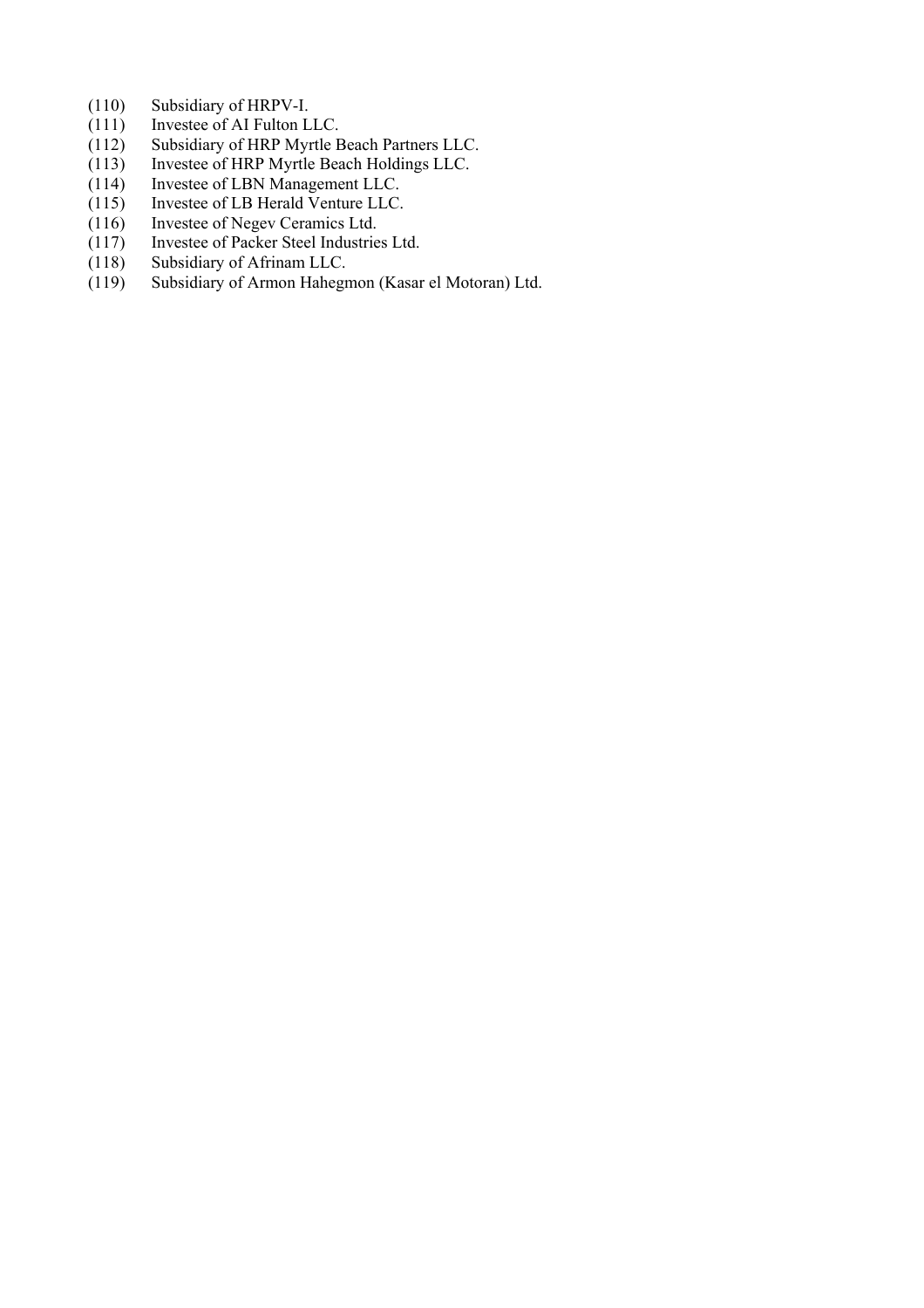- (110) Subsidiary of HRPV-I.<br>(111) Investee of AI Fulton L
- Investee of AI Fulton LLC.
- (112) Subsidiary of HRP Myrtle Beach Partners LLC.<br>(113) Investee of HRP Myrtle Beach Holdings LLC.
- Investee of HRP Myrtle Beach Holdings LLC.
- (114) Investee of LBN Management LLC.
- (115) Investee of LB Herald Venture LLC.
- (116) Investee of Negev Ceramics Ltd.<br>(117) Investee of Packer Steel Industrie
- Investee of Packer Steel Industries Ltd.
- (118) Subsidiary of Afrinam LLC.<br>(119) Subsidiary of Armon Hahegr
- Subsidiary of Armon Hahegmon (Kasar el Motoran) Ltd.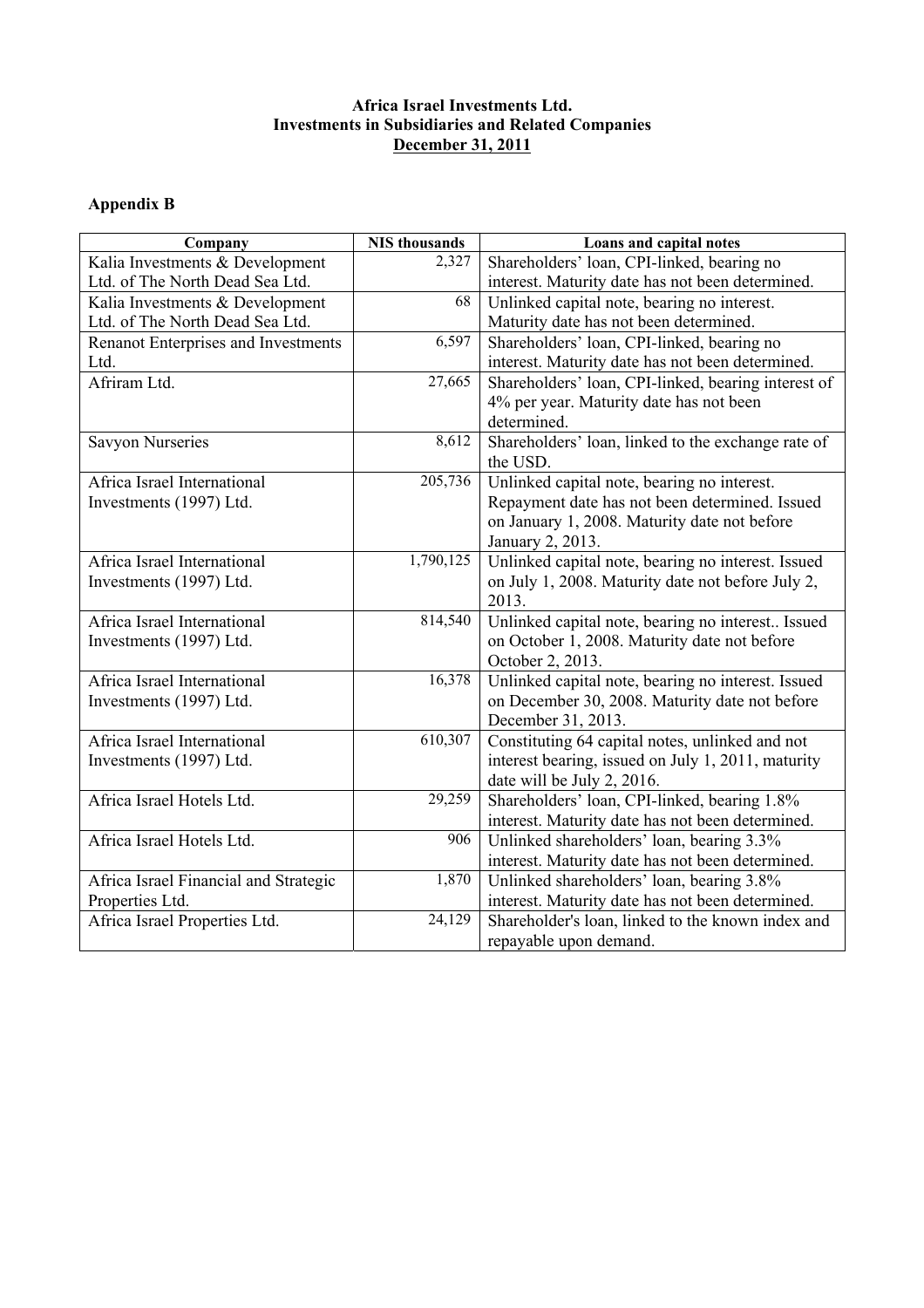## **Africa Israel Investments Ltd. Investments in Subsidiaries and Related Companies December 31, 2011**

# **Appendix B**

| Company                               | <b>NIS</b> thousands | Loans and capital notes                             |
|---------------------------------------|----------------------|-----------------------------------------------------|
| Kalia Investments & Development       | 2,327                | Shareholders' loan, CPI-linked, bearing no          |
| Ltd. of The North Dead Sea Ltd.       |                      | interest. Maturity date has not been determined.    |
| Kalia Investments & Development       | 68                   | Unlinked capital note, bearing no interest.         |
| Ltd. of The North Dead Sea Ltd.       |                      | Maturity date has not been determined.              |
| Renanot Enterprises and Investments   | 6,597                | Shareholders' loan, CPI-linked, bearing no          |
| Ltd.                                  |                      | interest. Maturity date has not been determined.    |
| Afriram Ltd.                          | 27,665               | Shareholders' loan, CPI-linked, bearing interest of |
|                                       |                      | 4% per year. Maturity date has not been             |
|                                       |                      | determined.                                         |
| <b>Savyon Nurseries</b>               | 8,612                | Shareholders' loan, linked to the exchange rate of  |
|                                       |                      | the USD.                                            |
| Africa Israel International           | 205,736              | Unlinked capital note, bearing no interest.         |
| Investments (1997) Ltd.               |                      | Repayment date has not been determined. Issued      |
|                                       |                      | on January 1, 2008. Maturity date not before        |
|                                       |                      | January 2, 2013.                                    |
| Africa Israel International           | 1,790,125            | Unlinked capital note, bearing no interest. Issued  |
| Investments (1997) Ltd.               |                      | on July 1, 2008. Maturity date not before July 2,   |
|                                       |                      | 2013.                                               |
| Africa Israel International           | 814,540              | Unlinked capital note, bearing no interest Issued   |
| Investments (1997) Ltd.               |                      | on October 1, 2008. Maturity date not before        |
|                                       |                      | October 2, 2013.                                    |
| Africa Israel International           | 16,378               | Unlinked capital note, bearing no interest. Issued  |
| Investments (1997) Ltd.               |                      | on December 30, 2008. Maturity date not before      |
|                                       |                      | December 31, 2013.                                  |
| Africa Israel International           | 610,307              | Constituting 64 capital notes, unlinked and not     |
| Investments (1997) Ltd.               |                      | interest bearing, issued on July 1, 2011, maturity  |
|                                       |                      | date will be July 2, 2016.                          |
| Africa Israel Hotels Ltd.             | 29,259               | Shareholders' loan, CPI-linked, bearing 1.8%        |
|                                       |                      | interest. Maturity date has not been determined.    |
| Africa Israel Hotels Ltd.             | 906                  | Unlinked shareholders' loan, bearing 3.3%           |
|                                       |                      | interest. Maturity date has not been determined.    |
| Africa Israel Financial and Strategic | 1,870                | Unlinked shareholders' loan, bearing 3.8%           |
| Properties Ltd.                       |                      | interest. Maturity date has not been determined.    |
| Africa Israel Properties Ltd.         | 24,129               | Shareholder's loan, linked to the known index and   |
|                                       |                      | repayable upon demand.                              |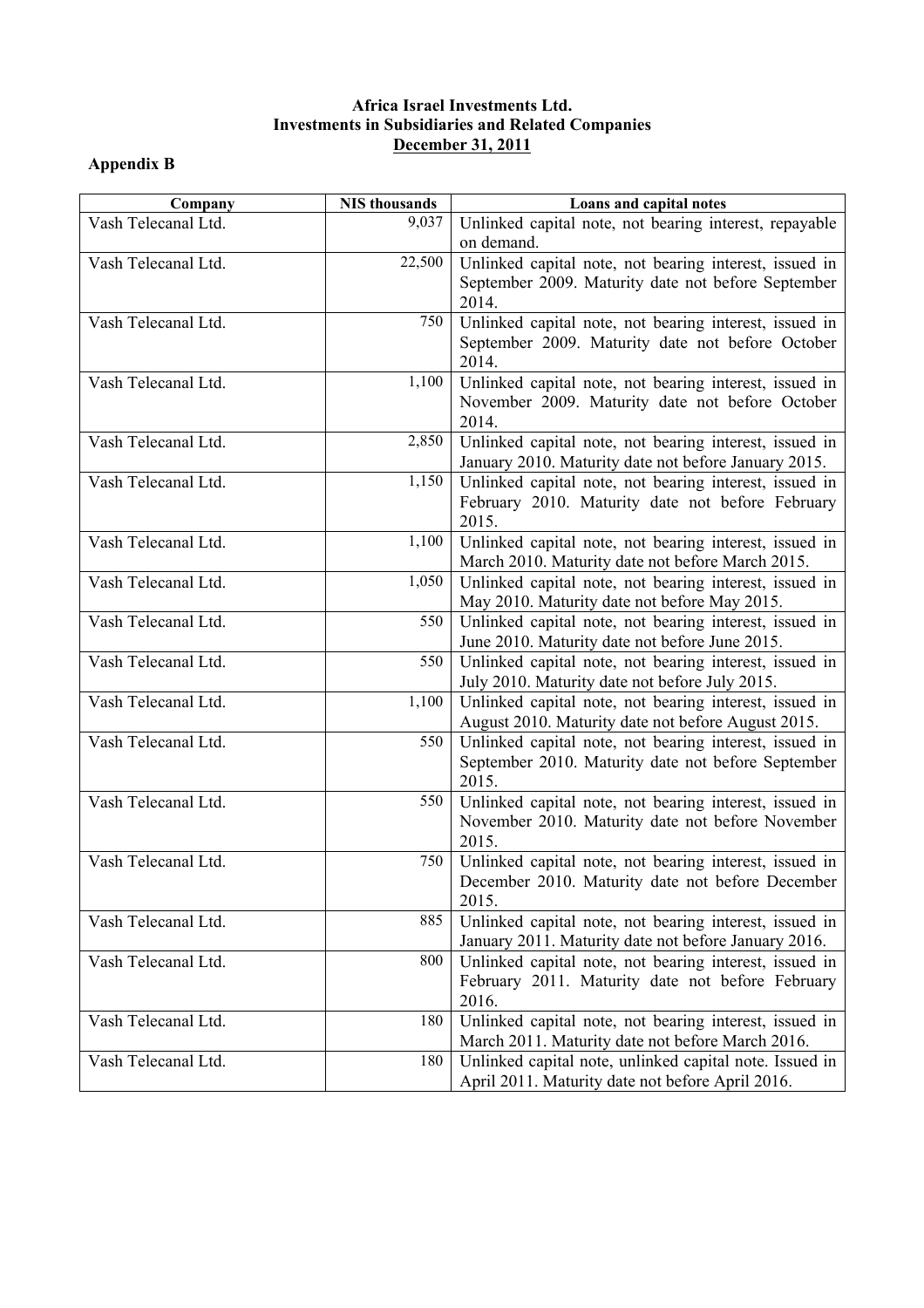## **Africa Israel Investments Ltd. Investments in Subsidiaries and Related Companies December 31, 2011**

# **Appendix B**

| Company             | <b>NIS</b> thousands | Loans and capital notes                                                                                      |
|---------------------|----------------------|--------------------------------------------------------------------------------------------------------------|
| Vash Telecanal Ltd. | 9,037                | Unlinked capital note, not bearing interest, repayable                                                       |
|                     |                      | on demand.                                                                                                   |
| Vash Telecanal Ltd. | 22,500               | Unlinked capital note, not bearing interest, issued in                                                       |
|                     |                      | September 2009. Maturity date not before September                                                           |
|                     |                      | 2014.                                                                                                        |
| Vash Telecanal Ltd. | 750                  | Unlinked capital note, not bearing interest, issued in                                                       |
|                     |                      | September 2009. Maturity date not before October                                                             |
|                     |                      | 2014.                                                                                                        |
| Vash Telecanal Ltd. | 1,100                | Unlinked capital note, not bearing interest, issued in                                                       |
|                     |                      | November 2009. Maturity date not before October<br>2014.                                                     |
| Vash Telecanal Ltd. | 2,850                | Unlinked capital note, not bearing interest, issued in                                                       |
|                     |                      | January 2010. Maturity date not before January 2015.                                                         |
| Vash Telecanal Ltd. | 1,150                | Unlinked capital note, not bearing interest, issued in                                                       |
|                     |                      | February 2010. Maturity date not before February                                                             |
|                     |                      | 2015.                                                                                                        |
| Vash Telecanal Ltd. | 1,100                | Unlinked capital note, not bearing interest, issued in                                                       |
|                     |                      | March 2010. Maturity date not before March 2015.                                                             |
| Vash Telecanal Ltd. | 1,050                | Unlinked capital note, not bearing interest, issued in                                                       |
|                     |                      | May 2010. Maturity date not before May 2015.                                                                 |
| Vash Telecanal Ltd. | 550                  | Unlinked capital note, not bearing interest, issued in                                                       |
|                     |                      | June 2010. Maturity date not before June 2015.                                                               |
| Vash Telecanal Ltd. | 550                  | Unlinked capital note, not bearing interest, issued in                                                       |
|                     |                      | July 2010. Maturity date not before July 2015.                                                               |
| Vash Telecanal Ltd. | 1,100                | Unlinked capital note, not bearing interest, issued in                                                       |
|                     | 550                  | August 2010. Maturity date not before August 2015.                                                           |
| Vash Telecanal Ltd. |                      | Unlinked capital note, not bearing interest, issued in<br>September 2010. Maturity date not before September |
|                     |                      | 2015.                                                                                                        |
| Vash Telecanal Ltd. | 550                  | Unlinked capital note, not bearing interest, issued in                                                       |
|                     |                      | November 2010. Maturity date not before November                                                             |
|                     |                      | 2015.                                                                                                        |
| Vash Telecanal Ltd. | 750                  | Unlinked capital note, not bearing interest, issued in                                                       |
|                     |                      | December 2010. Maturity date not before December                                                             |
|                     |                      | 2015.                                                                                                        |
| Vash Telecanal Ltd. | 885                  | Unlinked capital note, not bearing interest, issued in                                                       |
|                     |                      | January 2011. Maturity date not before January 2016.                                                         |
| Vash Telecanal Ltd. | 800                  | Unlinked capital note, not bearing interest, issued in                                                       |
|                     |                      | February 2011. Maturity date not before February                                                             |
|                     |                      | 2016.                                                                                                        |
| Vash Telecanal Ltd. | 180                  | Unlinked capital note, not bearing interest, issued in                                                       |
|                     |                      | March 2011. Maturity date not before March 2016.                                                             |
| Vash Telecanal Ltd. | 180                  | Unlinked capital note, unlinked capital note. Issued in                                                      |
|                     |                      | April 2011. Maturity date not before April 2016.                                                             |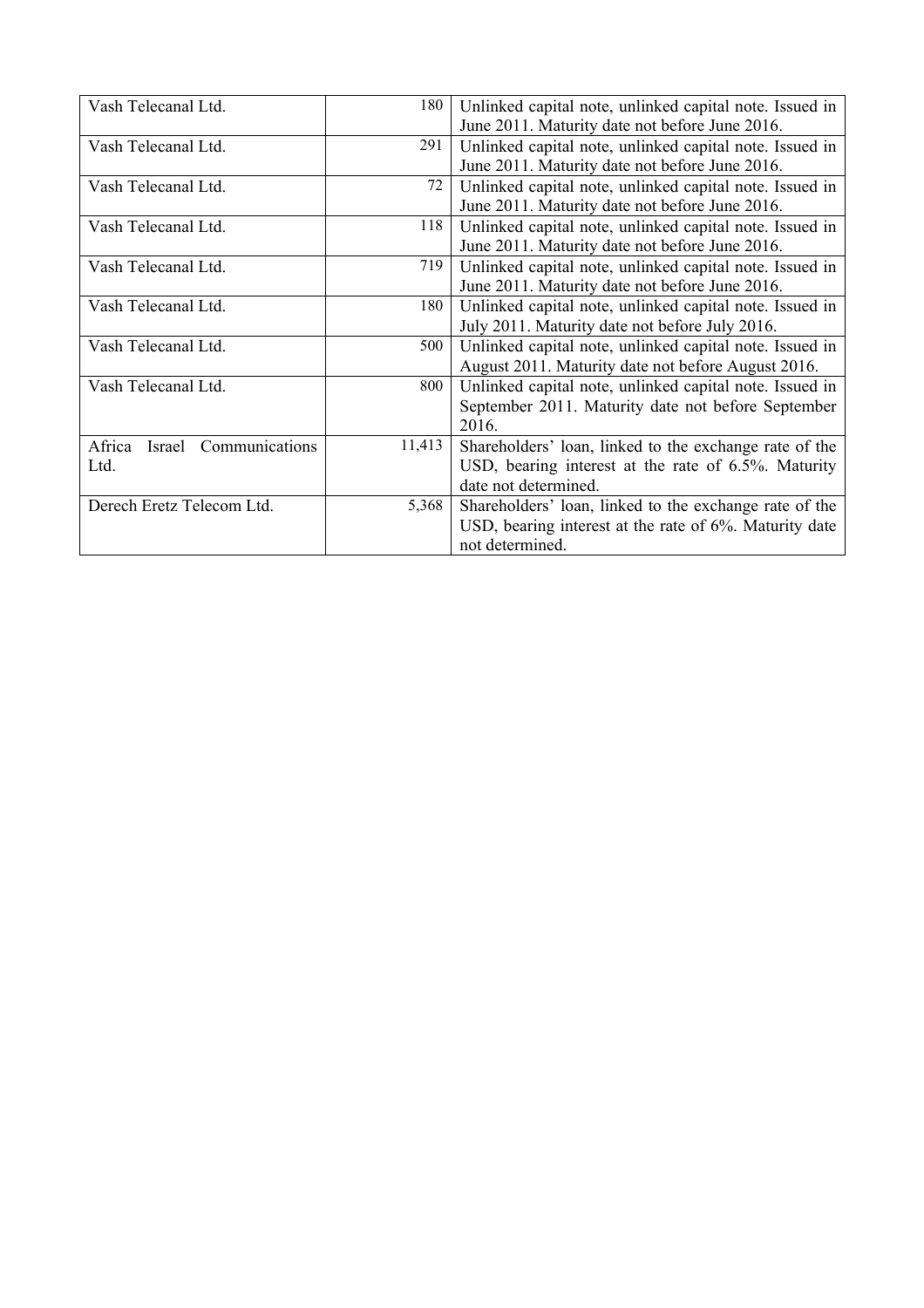| Vash Telecanal Ltd.             | 180    | Unlinked capital note, unlinked capital note. Issued in |
|---------------------------------|--------|---------------------------------------------------------|
|                                 |        | June 2011. Maturity date not before June 2016.          |
| Vash Telecanal Ltd.             | 291    | Unlinked capital note, unlinked capital note. Issued in |
|                                 |        | June 2011. Maturity date not before June 2016.          |
| Vash Telecanal Ltd.             | 72     | Unlinked capital note, unlinked capital note. Issued in |
|                                 |        | June 2011. Maturity date not before June 2016.          |
| Vash Telecanal Ltd.             | 118    | Unlinked capital note, unlinked capital note. Issued in |
|                                 |        | June 2011. Maturity date not before June 2016.          |
| Vash Telecanal Ltd.             | 719    | Unlinked capital note, unlinked capital note. Issued in |
|                                 |        | June 2011. Maturity date not before June 2016.          |
| Vash Telecanal Ltd.             | 180    | Unlinked capital note, unlinked capital note. Issued in |
|                                 |        | July 2011. Maturity date not before July 2016.          |
| Vash Telecanal Ltd.             | 500    | Unlinked capital note, unlinked capital note. Issued in |
|                                 |        | August 2011. Maturity date not before August 2016.      |
| Vash Telecanal Ltd.             | 800    | Unlinked capital note, unlinked capital note. Issued in |
|                                 |        | September 2011. Maturity date not before September      |
|                                 |        | 2016.                                                   |
| Israel Communications<br>Africa | 11,413 | Shareholders' loan, linked to the exchange rate of the  |
| Ltd.                            |        | USD, bearing interest at the rate of 6.5%. Maturity     |
|                                 |        | date not determined.                                    |
| Derech Eretz Telecom Ltd.       | 5,368  | Shareholders' loan, linked to the exchange rate of the  |
|                                 |        | USD, bearing interest at the rate of 6%. Maturity date  |
|                                 |        | not determined.                                         |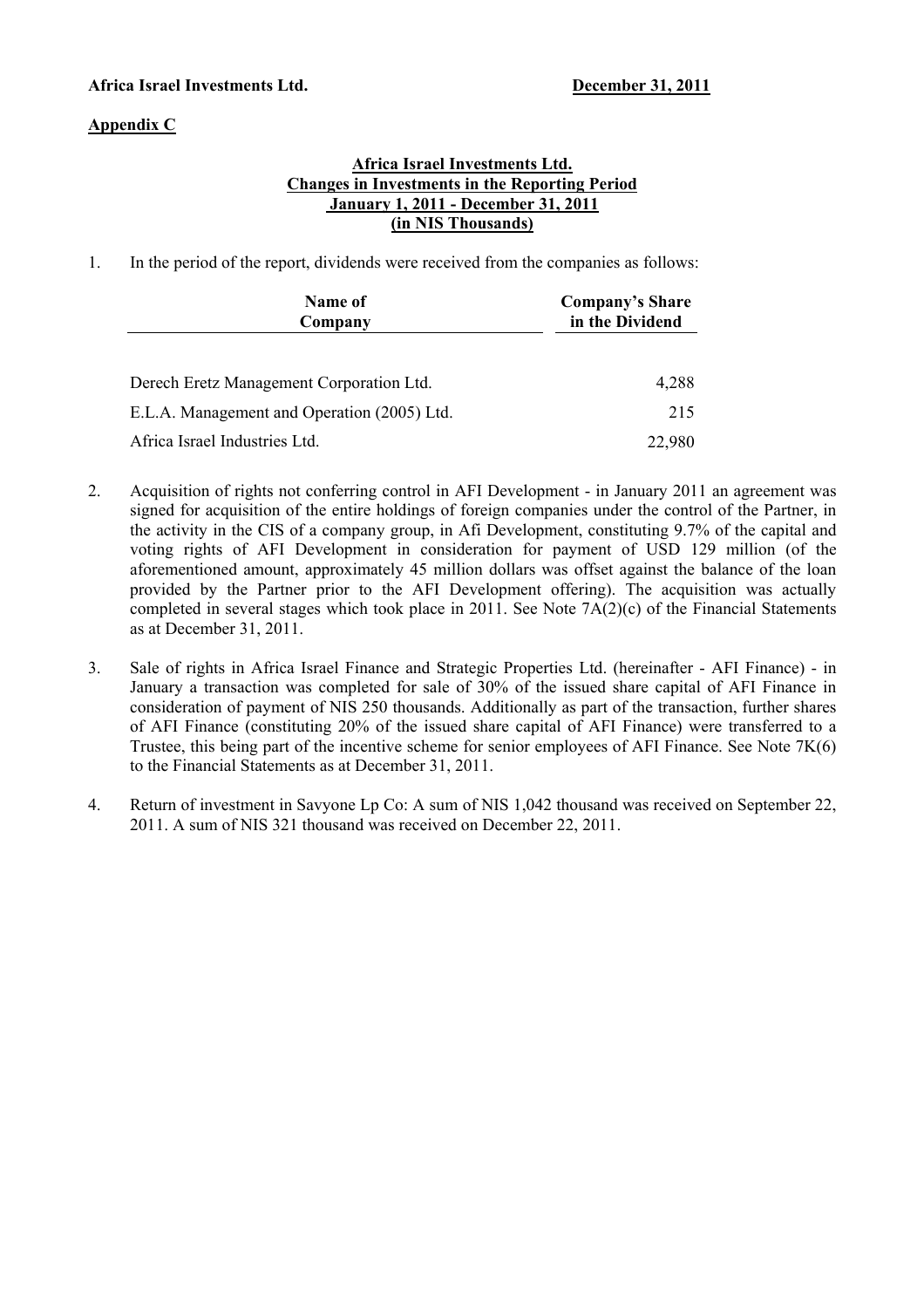## **Africa Israel Investments Ltd. December 31, 2011**

## **Appendix C**

## **Africa Israel Investments Ltd. Changes in Investments in the Reporting Period January 1, 2011 - December 31, 2011 (in NIS Thousands)**

1. In the period of the report, dividends were received from the companies as follows:

| Name of<br>Company                          | <b>Company's Share</b><br>in the Dividend |
|---------------------------------------------|-------------------------------------------|
| Derech Eretz Management Corporation Ltd.    | 4,288                                     |
| E.L.A. Management and Operation (2005) Ltd. | 215                                       |
| Africa Israel Industries Ltd.               | 22,980                                    |

- 2. Acquisition of rights not conferring control in AFI Development in January 2011 an agreement was signed for acquisition of the entire holdings of foreign companies under the control of the Partner, in the activity in the CIS of a company group, in Afi Development, constituting 9.7% of the capital and voting rights of AFI Development in consideration for payment of USD 129 million (of the aforementioned amount, approximately 45 million dollars was offset against the balance of the loan provided by the Partner prior to the AFI Development offering). The acquisition was actually completed in several stages which took place in 2011. See Note 7A(2)(c) of the Financial Statements as at December 31, 2011.
- 3. Sale of rights in Africa Israel Finance and Strategic Properties Ltd. (hereinafter AFI Finance) in January a transaction was completed for sale of 30% of the issued share capital of AFI Finance in consideration of payment of NIS 250 thousands. Additionally as part of the transaction, further shares of AFI Finance (constituting 20% of the issued share capital of AFI Finance) were transferred to a Trustee, this being part of the incentive scheme for senior employees of AFI Finance. See Note 7K(6) to the Financial Statements as at December 31, 2011.
- 4. Return of investment in Savyone Lp Co: A sum of NIS 1,042 thousand was received on September 22, 2011. A sum of NIS 321 thousand was received on December 22, 2011.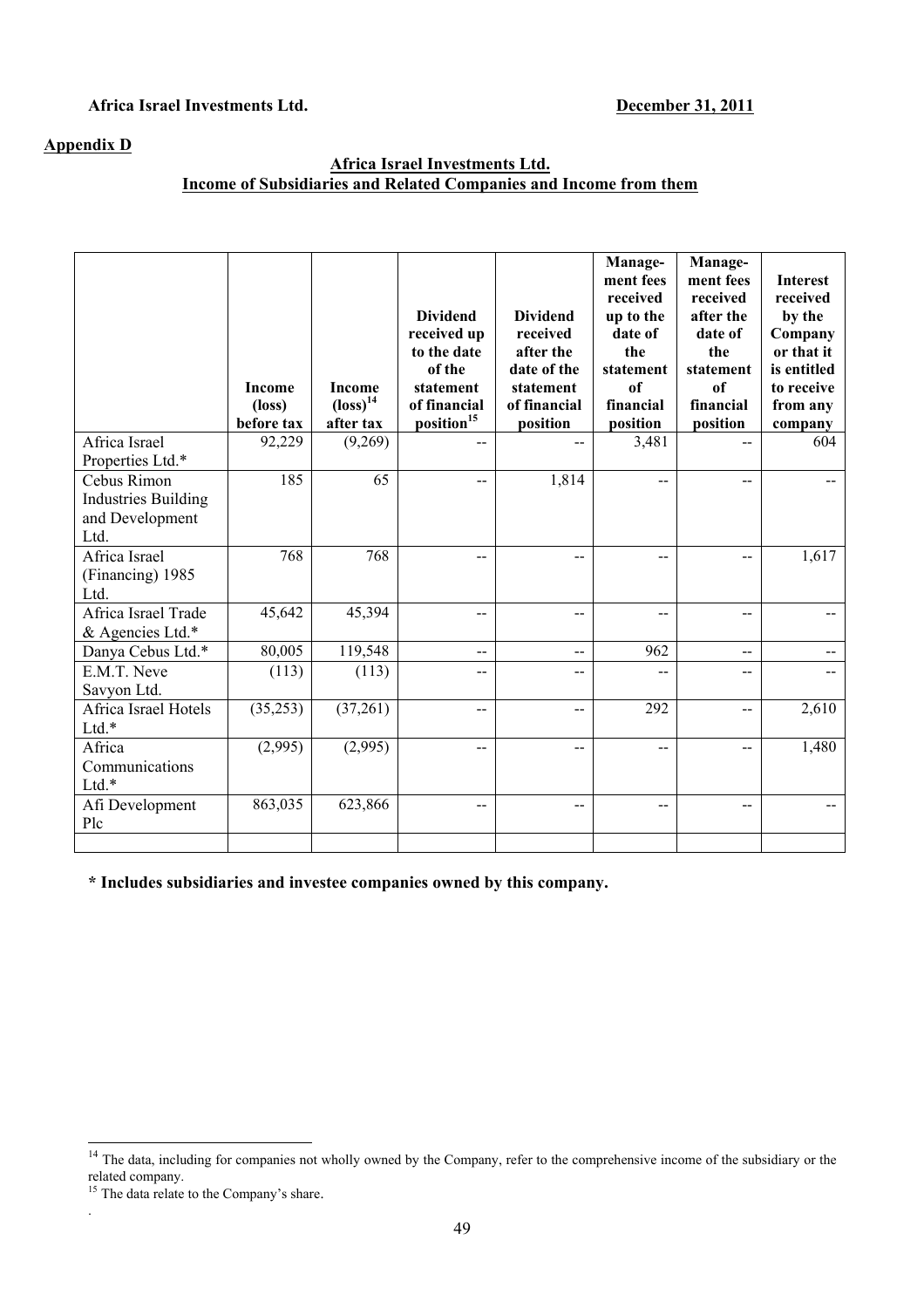## Africa Israel Investments Ltd. December 31, 2011

## **Appendix D**

## **Africa Israel Investments Ltd. Income of Subsidiaries and Related Companies and Income from them**

|                                                                      | <b>Income</b><br>$(\text{loss})$<br>before tax | <b>Income</b><br>$\left(\text{loss}\right)^{14}$<br>after tax | <b>Dividend</b><br>received up<br>to the date<br>of the<br>statement<br>of financial<br>position <sup>15</sup> | <b>Dividend</b><br>received<br>after the<br>date of the<br>statement<br>of financial<br>position | Manage-<br>ment fees<br>received<br>up to the<br>date of<br>the<br>statement<br>of<br>financial<br>position | Manage-<br>ment fees<br>received<br>after the<br>date of<br>the<br>statement<br>of<br>financial<br>position | <b>Interest</b><br>received<br>by the<br>Company<br>or that it<br>is entitled<br>to receive<br>from any<br>company |
|----------------------------------------------------------------------|------------------------------------------------|---------------------------------------------------------------|----------------------------------------------------------------------------------------------------------------|--------------------------------------------------------------------------------------------------|-------------------------------------------------------------------------------------------------------------|-------------------------------------------------------------------------------------------------------------|--------------------------------------------------------------------------------------------------------------------|
| Africa Israel<br>Properties Ltd.*                                    | 92,229                                         | (9,269)                                                       | $-$                                                                                                            | --                                                                                               | 3,481                                                                                                       | $-$                                                                                                         | 604                                                                                                                |
| Cebus Rimon<br><b>Industries Building</b><br>and Development<br>Ltd. | 185                                            | 65                                                            | $\overline{a}$                                                                                                 | 1,814                                                                                            | $-$                                                                                                         | $\overline{a}$                                                                                              |                                                                                                                    |
| Africa Israel<br>(Financing) 1985<br>Ltd.                            | 768                                            | 768                                                           |                                                                                                                |                                                                                                  | --                                                                                                          | $-$                                                                                                         | 1,617                                                                                                              |
| Africa Israel Trade<br>& Agencies Ltd.*                              | 45,642                                         | 45,394                                                        | $-$                                                                                                            | $-$                                                                                              | $-$                                                                                                         | $-$                                                                                                         |                                                                                                                    |
| Danya Cebus Ltd.*                                                    | 80,005                                         | 119,548                                                       | $-$                                                                                                            | $-$                                                                                              | 962                                                                                                         | $-$                                                                                                         |                                                                                                                    |
| E.M.T. Neve<br>Savyon Ltd.                                           | (113)                                          | (113)                                                         | $-$                                                                                                            | $-$                                                                                              | --                                                                                                          | $-$                                                                                                         |                                                                                                                    |
| Africa Israel Hotels<br>Ltd.*                                        | (35,253)                                       | (37,261)                                                      | $-$                                                                                                            | --                                                                                               | 292                                                                                                         | $\overline{a}$                                                                                              | 2,610                                                                                                              |
| Africa<br>Communications<br>Ltd.*                                    | (2,995)                                        | (2,995)                                                       | $-$                                                                                                            | $-$                                                                                              | --                                                                                                          | $- -$                                                                                                       | 1,480                                                                                                              |
| Afi Development<br>Plc                                               | 863,035                                        | 623,866                                                       | $-$                                                                                                            | $-$                                                                                              | --                                                                                                          | $-$                                                                                                         |                                                                                                                    |
|                                                                      |                                                |                                                               |                                                                                                                |                                                                                                  |                                                                                                             |                                                                                                             |                                                                                                                    |

**\* Includes subsidiaries and investee companies owned by this company.** 

 $\overline{\phantom{a}}$ 

.

<sup>&</sup>lt;sup>14</sup> The data, including for companies not wholly owned by the Company, refer to the comprehensive income of the subsidiary or the related company.

<sup>&</sup>lt;sup>15</sup> The data relate to the Company's share.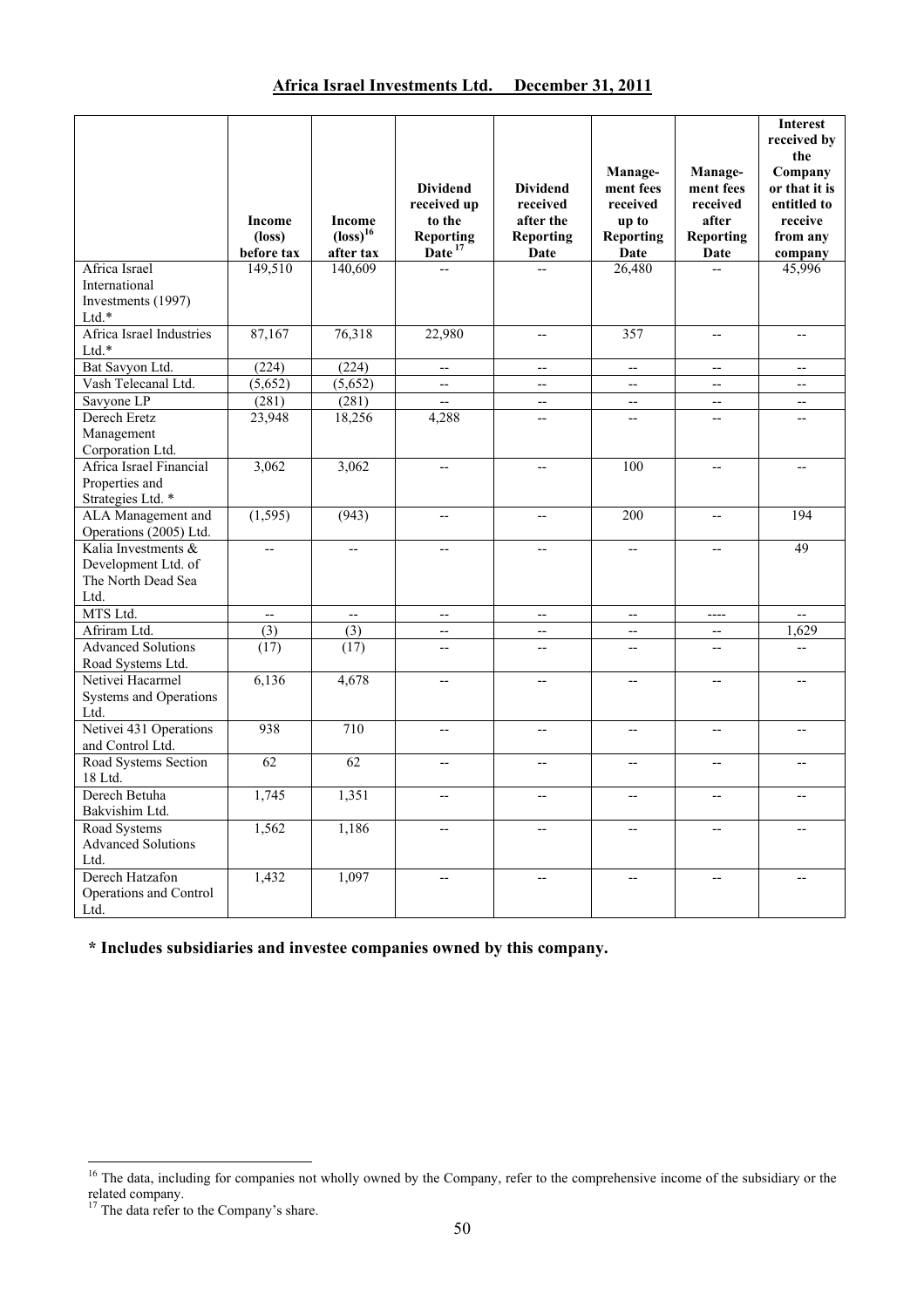|                                                                          |                                         |                                                               |                                                                                       |                                                                             |                                                                       |                                                                              | <b>Interest</b><br>received by                                                   |
|--------------------------------------------------------------------------|-----------------------------------------|---------------------------------------------------------------|---------------------------------------------------------------------------------------|-----------------------------------------------------------------------------|-----------------------------------------------------------------------|------------------------------------------------------------------------------|----------------------------------------------------------------------------------|
|                                                                          | Income<br>$(\text{loss})$<br>before tax | <b>Income</b><br>$\left(\text{loss}\right)^{16}$<br>after tax | <b>Dividend</b><br>received up<br>to the<br>Reporting<br>$\tilde{\mathbf{Date}}^{17}$ | <b>Dividend</b><br>received<br>after the<br><b>Reporting</b><br><b>Date</b> | Manage-<br>ment fees<br>received<br>up to<br><b>Reporting</b><br>Date | Manage-<br>ment fees<br>received<br>after<br><b>Reporting</b><br><b>Date</b> | the<br>Company<br>or that it is<br>entitled to<br>receive<br>from any<br>company |
| Africa Israel<br>International<br>Investments (1997)<br>Ltd.*            | 149,510                                 | 140,609                                                       |                                                                                       | $\sim$                                                                      | 26,480                                                                | $\overline{a}$                                                               | 45,996                                                                           |
| Africa Israel Industries<br>$Ltd.*$                                      | 87,167                                  | 76,318                                                        | 22,980                                                                                | $\overline{\phantom{a}}$                                                    | 357                                                                   | $-$                                                                          | $-$                                                                              |
| Bat Savyon Ltd.                                                          | (224)                                   | (224)                                                         | $\overline{\phantom{a}}$                                                              | $-$                                                                         | $-$                                                                   | $-$                                                                          | $-$                                                                              |
| Vash Telecanal Ltd.                                                      | (5,652)                                 | (5,652)                                                       | $\overline{\phantom{a}}$                                                              | $\overline{\phantom{a}}$                                                    | $\overline{a}$                                                        | $\overline{\phantom{a}}$                                                     | $\overline{\phantom{a}}$                                                         |
| Savyone LP                                                               | (281)                                   | (281)                                                         | $\sim$                                                                                | $\overline{\phantom{a}}$                                                    | $\overline{a}$                                                        | $-$                                                                          | $-$                                                                              |
| Derech Eretz<br>Management<br>Corporation Ltd.                           | 23,948                                  | 18,256                                                        | 4,288                                                                                 | $\overline{\phantom{a}}$                                                    | --                                                                    | $\overline{\phantom{a}}$                                                     | --                                                                               |
| Africa Israel Financial<br>Properties and<br>Strategies Ltd. *           | 3,062                                   | 3,062                                                         | --                                                                                    | --                                                                          | 100                                                                   |                                                                              |                                                                                  |
| ALA Management and<br>Operations (2005) Ltd.                             | (1, 595)                                | (943)                                                         | $\overline{\phantom{a}}$                                                              | $\overline{\phantom{a}}$                                                    | 200                                                                   | $\overline{\phantom{a}}$                                                     | 194                                                                              |
| Kalia Investments &<br>Development Ltd. of<br>The North Dead Sea<br>Ltd. | $-$                                     | $\overline{a}$                                                | $\overline{a}$                                                                        | $\overline{a}$                                                              | $-$                                                                   | $\overline{a}$                                                               | 49                                                                               |
| MTS Ltd.                                                                 | ш.                                      | $\overline{\phantom{a}}$                                      | $\mathbb{L}^2$                                                                        | $\mathbb{L}^2$                                                              | $\overline{\phantom{a}}$                                              | $\overline{a}$                                                               | $\mathbb{Z}^2$                                                                   |
| Afriram Ltd.                                                             | (3)                                     | $\overline{(3)}$                                              | $\overline{\phantom{a}}$                                                              | $\overline{\phantom{a}}$                                                    | $-$                                                                   | $\overline{\phantom{a}}$                                                     | 1,629                                                                            |
| <b>Advanced Solutions</b><br>Road Systems Ltd.                           | (17)                                    | (17)                                                          | $\overline{\phantom{a}}$                                                              | $\overline{\phantom{a}}$                                                    | $-$                                                                   | $\overline{\phantom{a}}$                                                     | $-$                                                                              |
| Netivei Hacarmel<br><b>Systems and Operations</b><br>Ltd.                | 6,136                                   | 4,678                                                         | $\sim$                                                                                | $\sim$                                                                      | $-$                                                                   | $\sim$                                                                       | $\overline{a}$                                                                   |
| Netivei 431 Operations<br>and Control Ltd.                               | 938                                     | 710                                                           | $\overline{\phantom{a}}$                                                              | $\overline{\phantom{a}}$                                                    | $\overline{\phantom{a}}$                                              | $\overline{\phantom{a}}$                                                     | $\overline{a}$                                                                   |
| Road Systems Section<br>18 Ltd.                                          | 62                                      | 62                                                            | $-$                                                                                   | $-$                                                                         | --                                                                    | $\overline{\phantom{a}}$                                                     | $\overline{a}$                                                                   |
| Derech Betuha<br>Bakvishim Ltd.                                          | 1,745                                   | 1,351                                                         | $-$                                                                                   | $\overline{\phantom{a}}$                                                    | $\overline{\phantom{a}}$                                              | $-$                                                                          | $-$                                                                              |
| Road Systems<br><b>Advanced Solutions</b><br>Ltd.                        | 1,562                                   | 1,186                                                         | $\sim$                                                                                | $-$                                                                         | $-$                                                                   | $\overline{a}$                                                               | $\overline{a}$                                                                   |
| Derech Hatzafon<br>Operations and Control<br>Ltd.                        | 1,432                                   | 1,097                                                         | $\overline{\phantom{a}}$                                                              | $\overline{\phantom{a}}$                                                    | $-$                                                                   | $-$                                                                          | $-$                                                                              |

**\* Includes subsidiaries and investee companies owned by this company.**

l

<sup>&</sup>lt;sup>16</sup> The data, including for companies not wholly owned by the Company, refer to the comprehensive income of the subsidiary or the related company.

<sup>&</sup>lt;sup>17</sup> The data refer to the Company's share.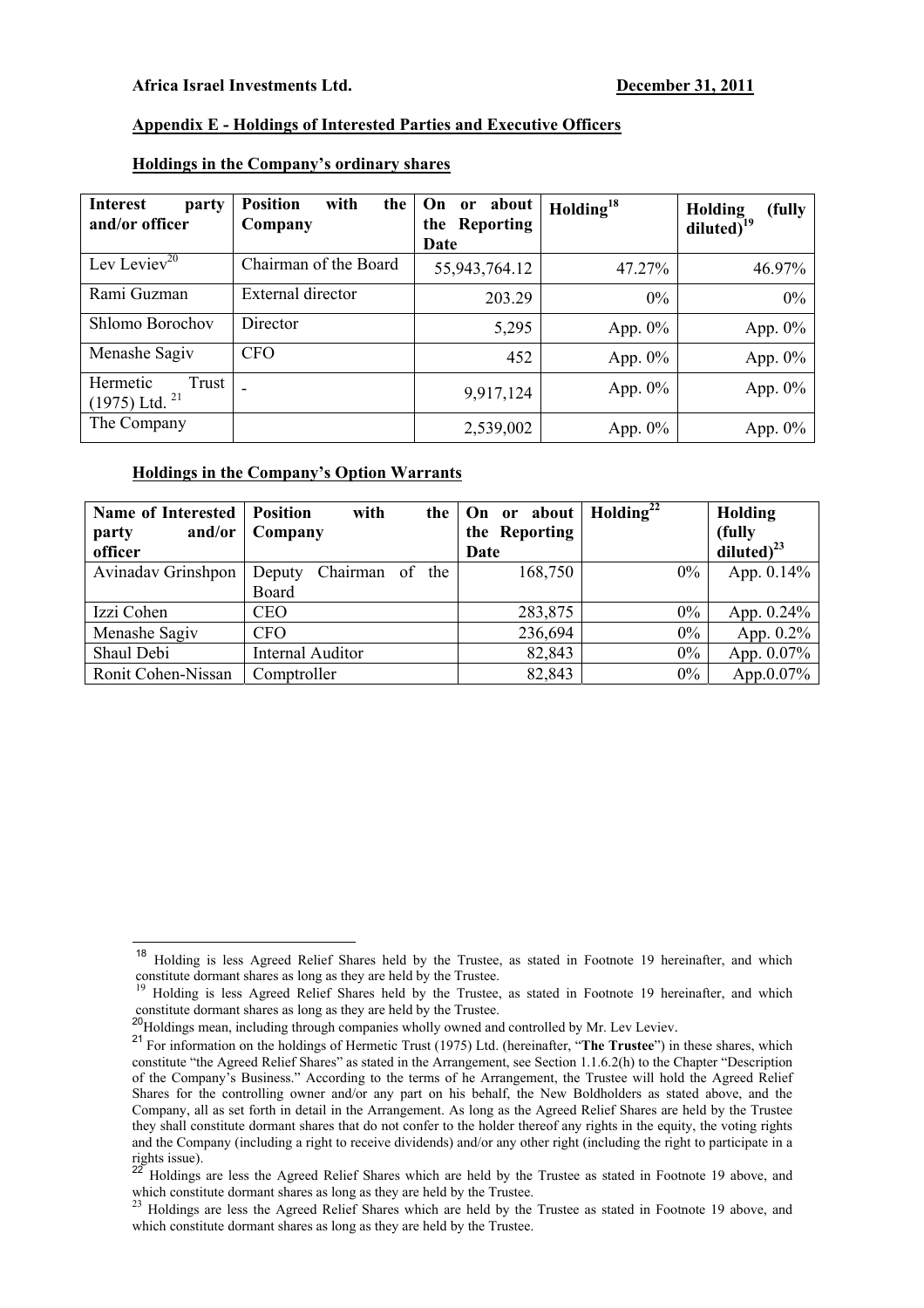## **Appendix E - Holdings of Interested Parties and Executive Officers**

| <b>Interest</b><br>party<br>and/or officer       | <b>Position</b><br>with<br>the<br>Company | On or about<br>the Reporting<br>Date | Holding <sup>18</sup> | <b>Holding</b><br>(fully<br>diluted $\overline{)}^{19}$ |
|--------------------------------------------------|-------------------------------------------|--------------------------------------|-----------------------|---------------------------------------------------------|
| Lev Leviev <sup>20</sup>                         | Chairman of the Board                     | 55,943,764.12                        | 47.27%                | 46.97%                                                  |
| Rami Guzman                                      | External director                         | 203.29                               | $0\%$                 | $0\%$                                                   |
| Shlomo Borochov                                  | Director                                  | 5,295                                | App. $0\%$            | App. $0\%$                                              |
| Menashe Sagiv                                    | <b>CFO</b>                                | 452                                  | App. $0\%$            | App. $0\%$                                              |
| Hermetic<br>Trust<br>$(1975)$ Ltd. <sup>21</sup> |                                           | 9,917,124                            | App. $0\%$            | App. $0\%$                                              |
| The Company                                      |                                           | 2,539,002                            | App. $0\%$            | App. $0\%$                                              |

## **Holdings in the Company's ordinary shares**

#### **Holdings in the Company's Option Warrants**

| <b>Name of Interested</b> | <b>Position</b><br>with<br>the | On or about   $Holding22$ |       | Holding          |
|---------------------------|--------------------------------|---------------------------|-------|------------------|
| and/or<br>party           | Company                        | the Reporting             |       | (fully           |
| officer                   |                                | Date                      |       | diluted) $^{23}$ |
| Avinadav Grinshpon        | Chairman of<br>the<br>Deputy   | 168,750                   | $0\%$ | App. $0.14\%$    |
|                           | Board                          |                           |       |                  |
| Izzi Cohen                | <b>CEO</b>                     | 283,875                   | $0\%$ | App. 0.24%       |
| Menashe Sagiv             | <b>CFO</b>                     | 236,694                   | $0\%$ | App. $0.2\%$     |
| Shaul Debi                | <b>Internal Auditor</b>        | 82,843                    | $0\%$ | App. 0.07%       |
| Ronit Cohen-Nissan        | Comptroller                    | 82,843                    | $0\%$ | App.0.07%        |

<sup>&</sup>lt;sup>18</sup> Holding is less Agreed Relief Shares held by the Trustee, as stated in Footnote 19 hereinafter, and which constitute dormant shares as long as they are held by the Trustee.<br><sup>19</sup> Holding is less Agreed Relief Shares held by the Trustee, as stated in Footnote 19 hereinafter, and which

constitute dormant shares as long as they are held by the Trustee.<br><sup>20</sup>Holdings mean, including through companies wholly owned and controlled by Mr. Lev Leviev.<br><sup>21</sup>For information on the holdings of Hermetic Trust (1975) constitute "the Agreed Relief Shares" as stated in the Arrangement, see Section 1.1.6.2(h) to the Chapter "Description of the Company's Business." According to the terms of he Arrangement, the Trustee will hold the Agreed Relief Shares for the controlling owner and/or any part on his behalf, the New Boldholders as stated above, and the Company, all as set forth in detail in the Arrangement. As long as the Agreed Relief Shares are held by the Trustee they shall constitute dormant shares that do not confer to the holder thereof any rights in the equity, the voting rights and the Company (including a right to receive dividends) and/or any other right (including the right to participate in a rights issue).

<sup>22</sup> Holdings are less the Agreed Relief Shares which are held by the Trustee as stated in Footnote 19 above, and which constitute dormant shares as long as they are held by the Trustee.<br><sup>23</sup> Holdings are less the Agreed Relief Shares which are held by the Trustee as stated in Footnote 19 above, and <sup>23</sup>

which constitute dormant shares as long as they are held by the Trustee.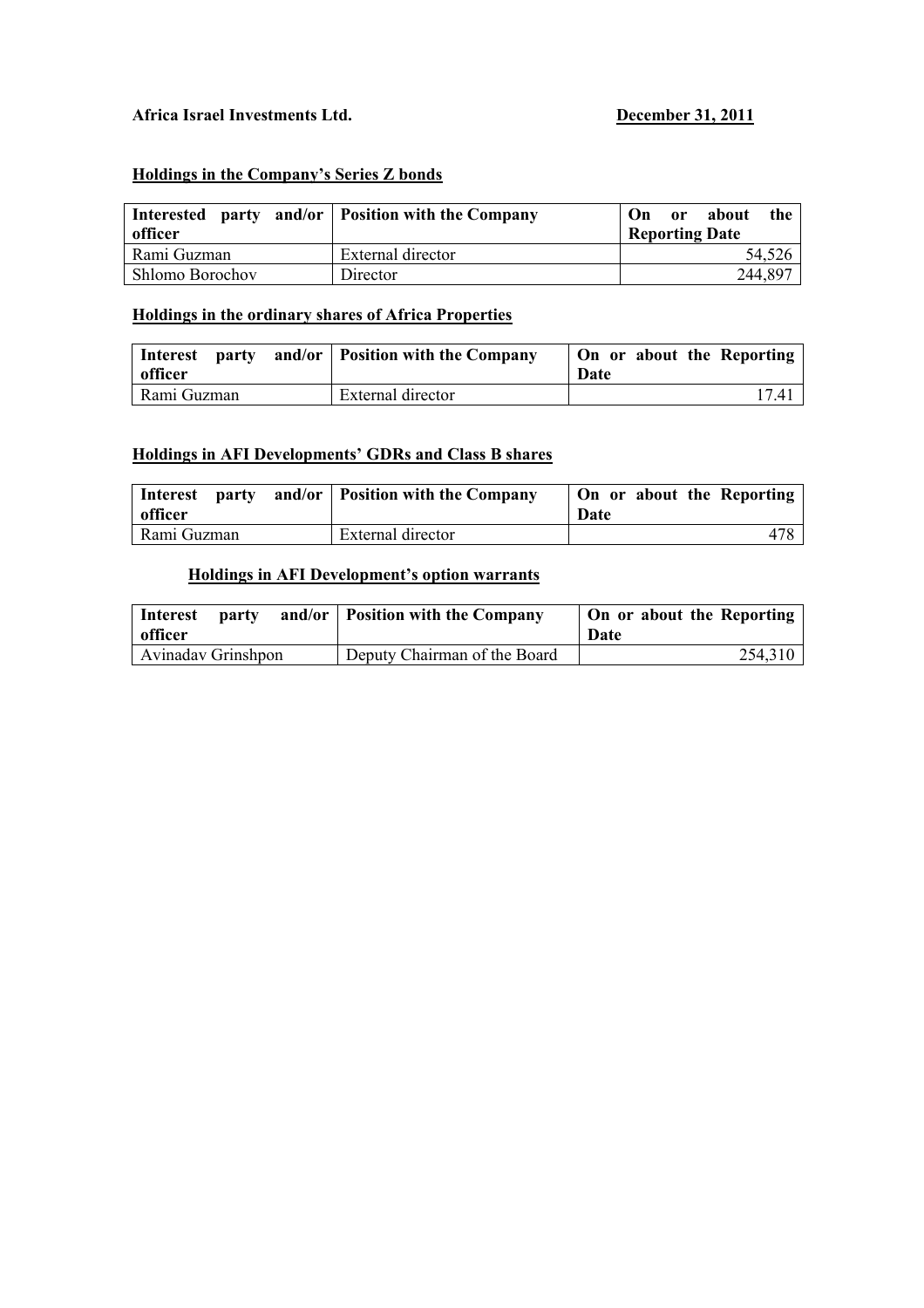## Africa Israel Investments Ltd. December 31, 2011

## **Holdings in the Company's Series Z bonds**

| <b>Interested</b><br>party<br>officer | and/or   Position with the Company | about<br>the<br>On<br>0r<br><b>Reporting Date</b> |
|---------------------------------------|------------------------------------|---------------------------------------------------|
| Rami Guzman                           | External director                  | 54,526                                            |
| Shlomo Borochov                       | Director                           | 244,897                                           |

## **Holdings in the ordinary shares of Africa Properties**

| Interest<br>officer | <b>party</b> and/or Position with the Company | On or about the Reporting<br>Date |
|---------------------|-----------------------------------------------|-----------------------------------|
| Rami Guzman         | External director                             | 17.4                              |

## **Holdings in AFI Developments' GDRs and Class B shares**

| <b>party</b><br>Interest<br>officer | and/or   Position with the Company | On or about the Reporting<br>Date |
|-------------------------------------|------------------------------------|-----------------------------------|
| Rami Guzman                         | External director                  |                                   |

# **Holdings in AFI Development's option warrants**

| party<br>Interest<br>officer | and/or   Position with the Company | On or about the Reporting<br>Date |
|------------------------------|------------------------------------|-----------------------------------|
| Avinaday Grinshpon           | Deputy Chairman of the Board       | 254,310                           |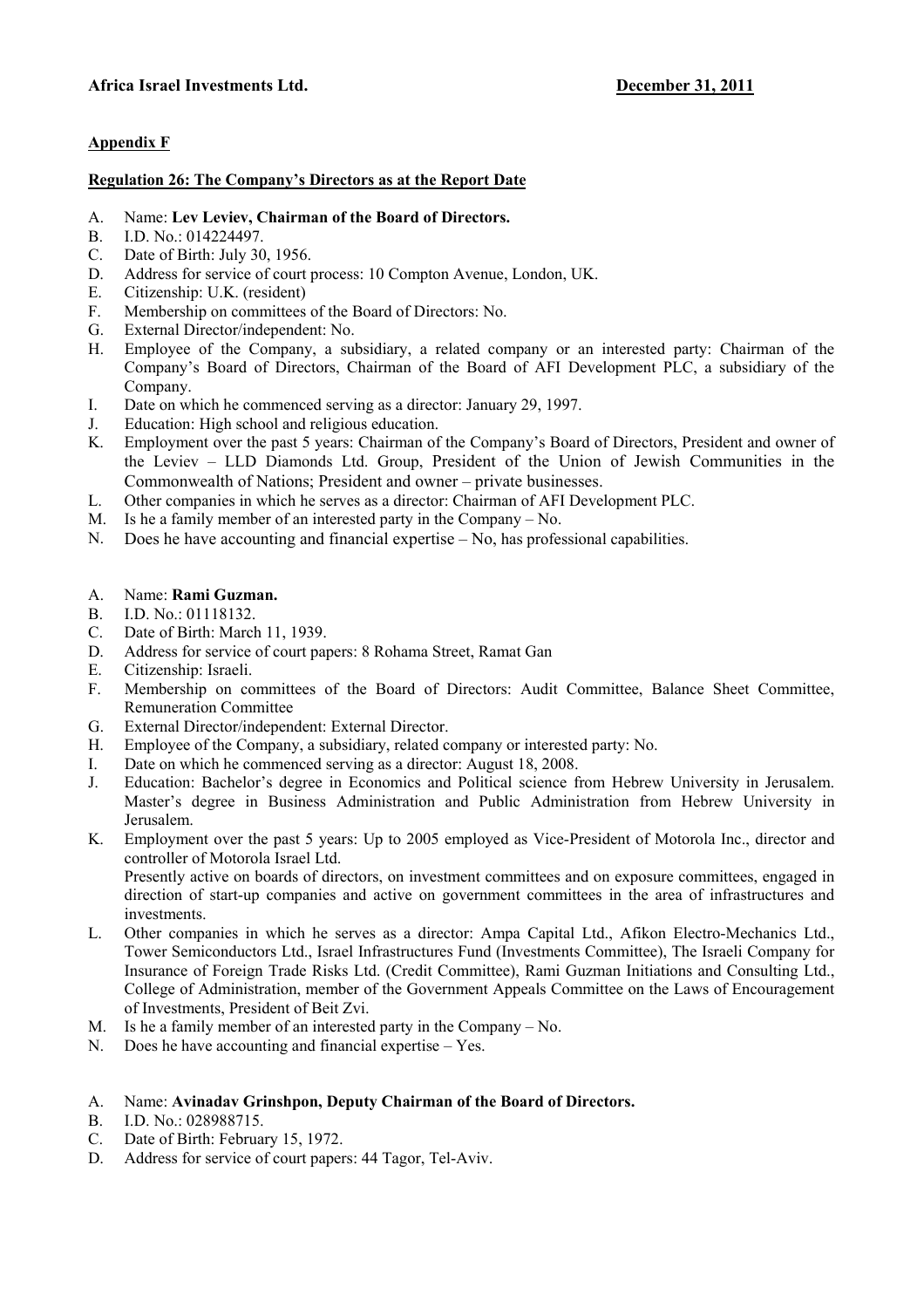## **Appendix F**

## **Regulation 26: The Company's Directors as at the Report Date**

- A. Name: **Lev Leviev, Chairman of the Board of Directors.**
- B. I.D. No.: 014224497.
- C. Date of Birth: July 30, 1956.
- D. Address for service of court process: 10 Compton Avenue, London, UK.
- E. Citizenship: U.K. (resident)
- F. Membership on committees of the Board of Directors: No.
- G. External Director/independent: No.
- H. Employee of the Company, a subsidiary, a related company or an interested party: Chairman of the Company's Board of Directors, Chairman of the Board of AFI Development PLC, a subsidiary of the Company.
- I. Date on which he commenced serving as a director: January 29, 1997.
- J. Education: High school and religious education.
- K. Employment over the past 5 years: Chairman of the Company's Board of Directors, President and owner of the Leviev – LLD Diamonds Ltd. Group, President of the Union of Jewish Communities in the Commonwealth of Nations; President and owner – private businesses.
- L. Other companies in which he serves as a director: Chairman of AFI Development PLC.
- M. Is he a family member of an interested party in the Company No.
- N. Does he have accounting and financial expertise No, has professional capabilities.
- A. Name: **Rami Guzman.**
- B. I.D. No.: 01118132.
- C. Date of Birth: March 11, 1939.
- D. Address for service of court papers: 8 Rohama Street, Ramat Gan
- E. Citizenship: Israeli.
- F. Membership on committees of the Board of Directors: Audit Committee, Balance Sheet Committee, Remuneration Committee
- G. External Director/independent: External Director.
- H. Employee of the Company, a subsidiary, related company or interested party: No.
- I. Date on which he commenced serving as a director: August 18, 2008.
- J. Education: Bachelor's degree in Economics and Political science from Hebrew University in Jerusalem. Master's degree in Business Administration and Public Administration from Hebrew University in Jerusalem.
- K. Employment over the past 5 years: Up to 2005 employed as Vice-President of Motorola Inc., director and controller of Motorola Israel Ltd.

Presently active on boards of directors, on investment committees and on exposure committees, engaged in direction of start-up companies and active on government committees in the area of infrastructures and investments.

- L. Other companies in which he serves as a director: Ampa Capital Ltd., Afikon Electro-Mechanics Ltd., Tower Semiconductors Ltd., Israel Infrastructures Fund (Investments Committee), The Israeli Company for Insurance of Foreign Trade Risks Ltd. (Credit Committee), Rami Guzman Initiations and Consulting Ltd., College of Administration, member of the Government Appeals Committee on the Laws of Encouragement of Investments, President of Beit Zvi.
- M. Is he a family member of an interested party in the Company No.
- N. Does he have accounting and financial expertise Yes.
- A. Name: **Avinadav Grinshpon, Deputy Chairman of the Board of Directors.**
- B. I.D. No.: 028988715.
- C. Date of Birth: February 15, 1972.
- D. Address for service of court papers: 44 Tagor, Tel-Aviv.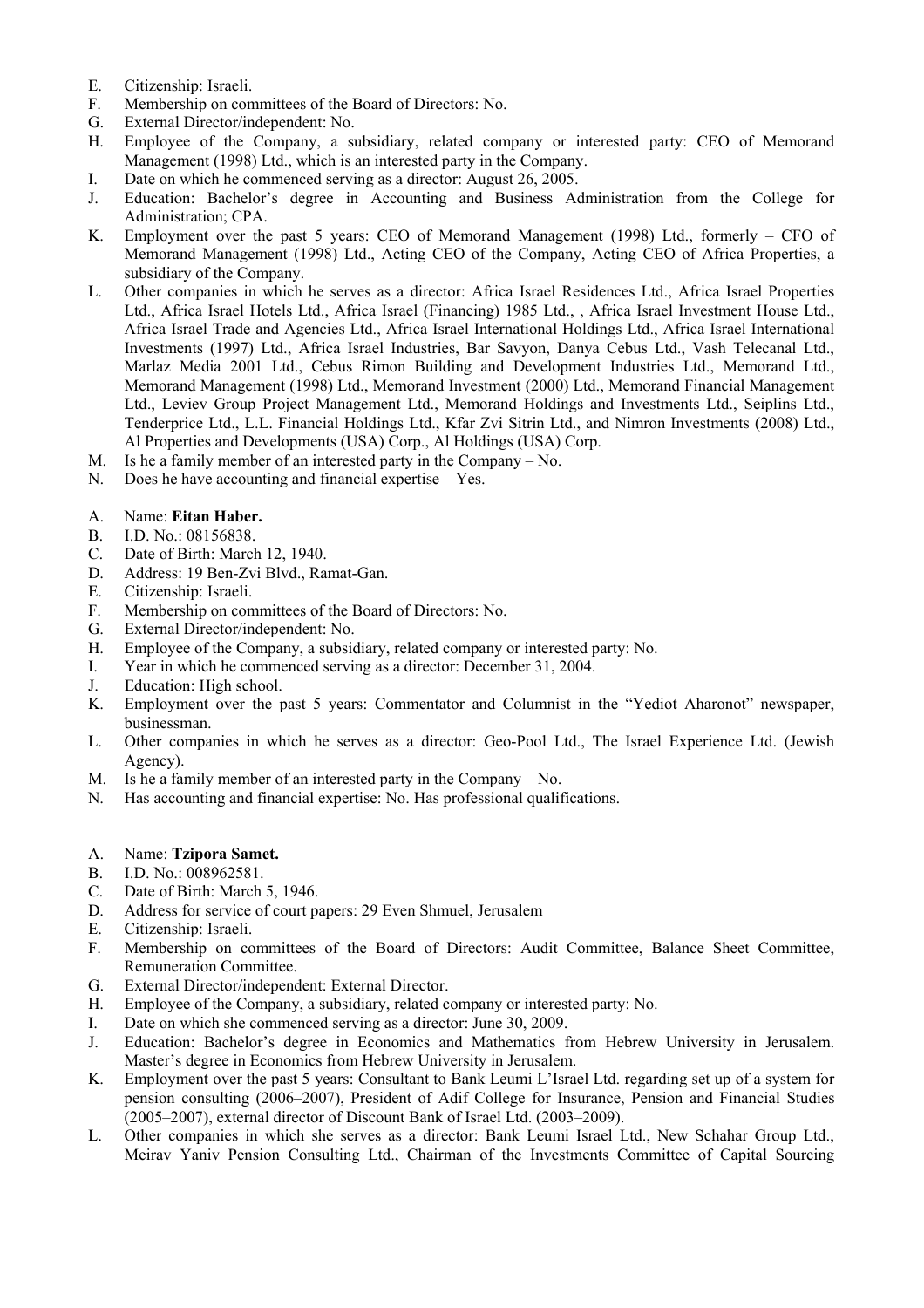- E. Citizenship: Israeli.
- F. Membership on committees of the Board of Directors: No.
- G. External Director/independent: No.
- H. Employee of the Company, a subsidiary, related company or interested party: CEO of Memorand Management (1998) Ltd., which is an interested party in the Company.
- I. Date on which he commenced serving as a director: August 26, 2005.
- J. Education: Bachelor's degree in Accounting and Business Administration from the College for Administration; CPA.
- K. Employment over the past 5 years: CEO of Memorand Management (1998) Ltd., formerly CFO of Memorand Management (1998) Ltd., Acting CEO of the Company, Acting CEO of Africa Properties, a subsidiary of the Company.
- L. Other companies in which he serves as a director: Africa Israel Residences Ltd., Africa Israel Properties Ltd., Africa Israel Hotels Ltd., Africa Israel (Financing) 1985 Ltd., , Africa Israel Investment House Ltd., Africa Israel Trade and Agencies Ltd., Africa Israel International Holdings Ltd., Africa Israel International Investments (1997) Ltd., Africa Israel Industries, Bar Savyon, Danya Cebus Ltd., Vash Telecanal Ltd., Marlaz Media 2001 Ltd., Cebus Rimon Building and Development Industries Ltd., Memorand Ltd., Memorand Management (1998) Ltd., Memorand Investment (2000) Ltd., Memorand Financial Management Ltd., Leviev Group Project Management Ltd., Memorand Holdings and Investments Ltd., Seiplins Ltd., Tenderprice Ltd., L.L. Financial Holdings Ltd., Kfar Zvi Sitrin Ltd., and Nimron Investments (2008) Ltd., Al Properties and Developments (USA) Corp., Al Holdings (USA) Corp.
- M. Is he a family member of an interested party in the Company No.
- N. Does he have accounting and financial expertise Yes.
- A. Name: **Eitan Haber.**
- B. I.D. No.: 08156838.
- C. Date of Birth: March 12, 1940.
- D. Address: 19 Ben-Zvi Blvd., Ramat-Gan.
- E. Citizenship: Israeli.
- F. Membership on committees of the Board of Directors: No.
- G. External Director/independent: No.
- H. Employee of the Company, a subsidiary, related company or interested party: No.
- I. Year in which he commenced serving as a director: December 31, 2004.
- J. Education: High school.
- K. Employment over the past 5 years: Commentator and Columnist in the "Yediot Aharonot" newspaper, businessman.
- L. Other companies in which he serves as a director: Geo-Pool Ltd., The Israel Experience Ltd. (Jewish Agency).
- M. Is he a family member of an interested party in the Company No.
- N. Has accounting and financial expertise: No. Has professional qualifications.
- A. Name: **Tzipora Samet.**
- B. I.D. No.: 008962581.
- C. Date of Birth: March 5, 1946.
- D. Address for service of court papers: 29 Even Shmuel, Jerusalem
- E. Citizenship: Israeli.
- F. Membership on committees of the Board of Directors: Audit Committee, Balance Sheet Committee, Remuneration Committee.
- G. External Director/independent: External Director.
- H. Employee of the Company, a subsidiary, related company or interested party: No.
- I. Date on which she commenced serving as a director: June 30, 2009.
- J. Education: Bachelor's degree in Economics and Mathematics from Hebrew University in Jerusalem. Master's degree in Economics from Hebrew University in Jerusalem.
- K. Employment over the past 5 years: Consultant to Bank Leumi L'Israel Ltd. regarding set up of a system for pension consulting (2006–2007), President of Adif College for Insurance, Pension and Financial Studies (2005–2007), external director of Discount Bank of Israel Ltd. (2003–2009).
- L. Other companies in which she serves as a director: Bank Leumi Israel Ltd., New Schahar Group Ltd., Meirav Yaniv Pension Consulting Ltd., Chairman of the Investments Committee of Capital Sourcing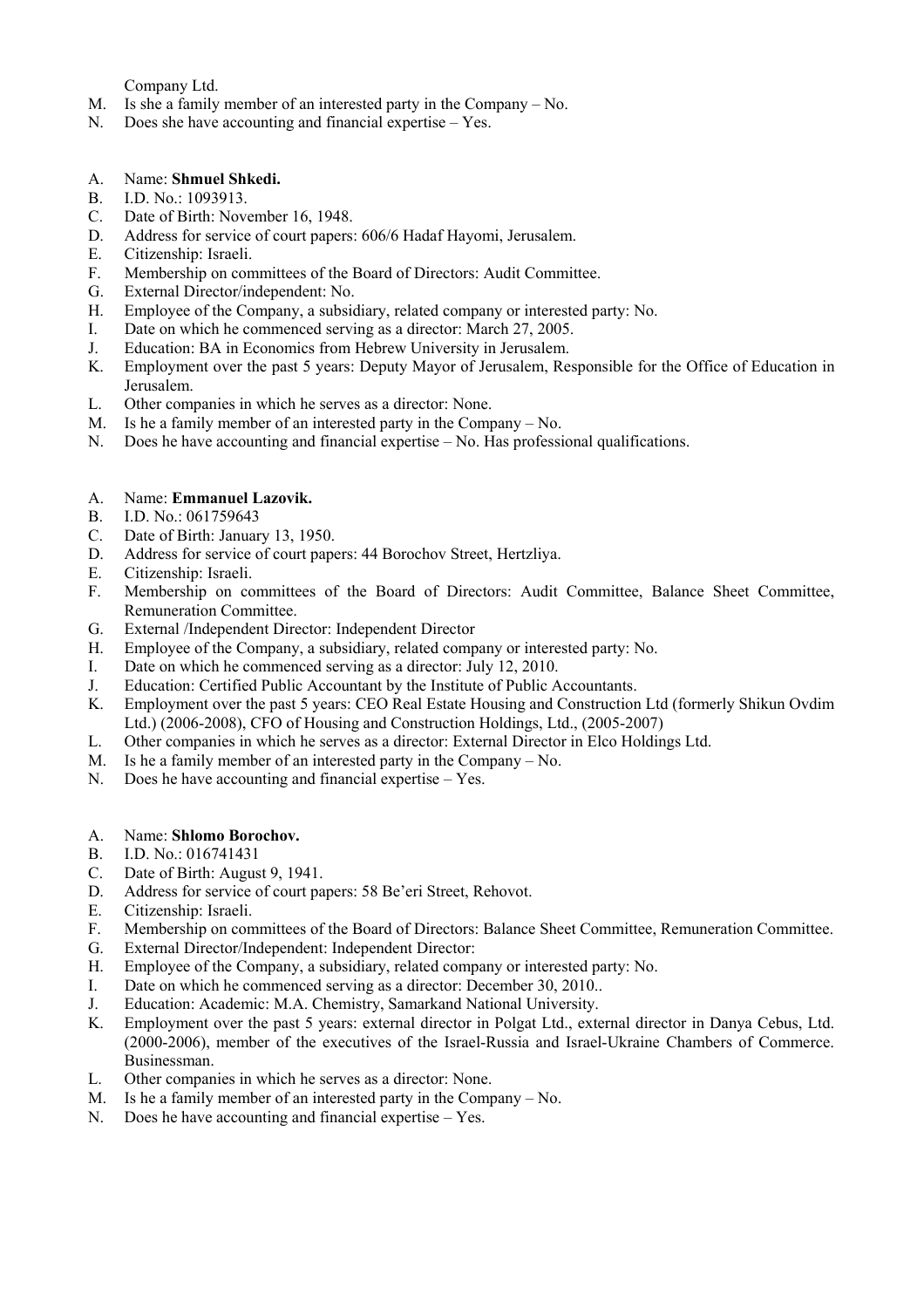Company Ltd.

- M. Is she a family member of an interested party in the Company No.
- N. Does she have accounting and financial expertise Yes.
- A. Name: **Shmuel Shkedi.**
- B. I.D. No.: 1093913.<br>C. Date of Birth: Nove
- Date of Birth: November 16, 1948.
- D. Address for service of court papers: 606/6 Hadaf Hayomi, Jerusalem.
- E. Citizenship: Israeli.
- F. Membership on committees of the Board of Directors: Audit Committee.
- G. External Director/independent: No.
- H. Employee of the Company, a subsidiary, related company or interested party: No.
- I. Date on which he commenced serving as a director: March 27, 2005.
- J. Education: BA in Economics from Hebrew University in Jerusalem.<br>K. Employment over the past 5 years: Deputy Mayor of Jerusalem. Re
- Employment over the past 5 years: Deputy Mayor of Jerusalem, Responsible for the Office of Education in Jerusalem.
- L. Other companies in which he serves as a director: None.
- M. Is he a family member of an interested party in the Company No.
- N. Does he have accounting and financial expertise No. Has professional qualifications.

## A. Name: **Emmanuel Lazovik.**

- B. I.D. No.: 061759643
- C. Date of Birth: January 13, 1950.
- D. Address for service of court papers: 44 Borochov Street, Hertzliya.
- E. Citizenship: Israeli.
- F. Membership on committees of the Board of Directors: Audit Committee, Balance Sheet Committee, Remuneration Committee.
- G. External /Independent Director: Independent Director
- H. Employee of the Company, a subsidiary, related company or interested party: No.
- I. Date on which he commenced serving as a director: July 12, 2010.
- J. Education: Certified Public Accountant by the Institute of Public Accountants.
- K. Employment over the past 5 years: CEO Real Estate Housing and Construction Ltd (formerly Shikun Ovdim Ltd.) (2006-2008), CFO of Housing and Construction Holdings, Ltd., (2005-2007)
- L. Other companies in which he serves as a director: External Director in Elco Holdings Ltd.
- M. Is he a family member of an interested party in the Company No.
- N. Does he have accounting and financial expertise Yes.
- A. Name: **Shlomo Borochov.**
- B. I.D. No.: 016741431
- C. Date of Birth: August 9, 1941.
- D. Address for service of court papers: 58 Be'eri Street, Rehovot.
- E. Citizenship: Israeli.
- F. Membership on committees of the Board of Directors: Balance Sheet Committee, Remuneration Committee.
- G. External Director/Independent: Independent Director:
- H. Employee of the Company, a subsidiary, related company or interested party: No.
- I. Date on which he commenced serving as a director: December 30, 2010..
- J. Education: Academic: M.A. Chemistry, Samarkand National University.
- K. Employment over the past 5 years: external director in Polgat Ltd., external director in Danya Cebus, Ltd. (2000-2006), member of the executives of the Israel-Russia and Israel-Ukraine Chambers of Commerce. Businessman.
- L. Other companies in which he serves as a director: None.
- M. Is he a family member of an interested party in the Company No.
- N. Does he have accounting and financial expertise Yes.